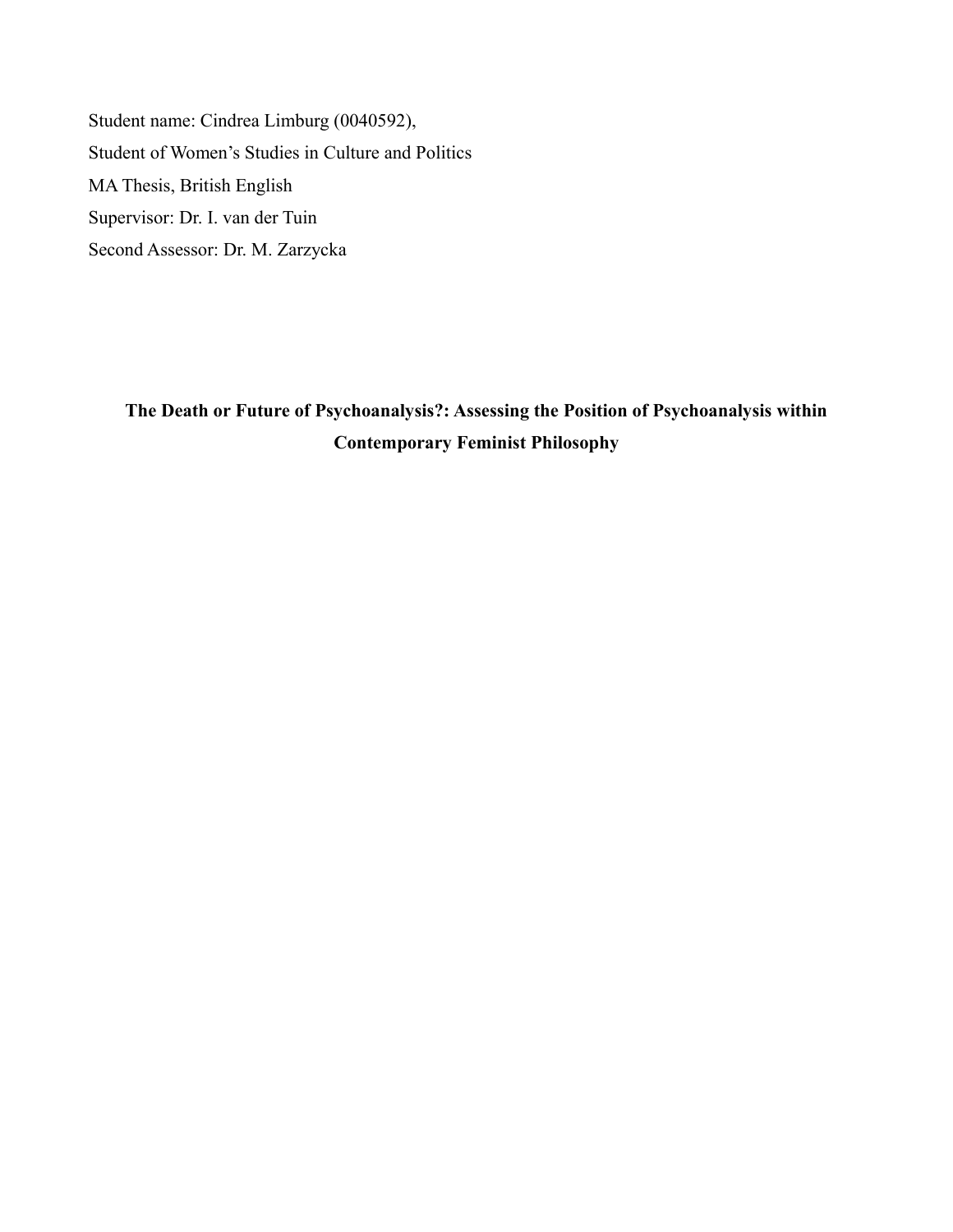Student name: Cindrea Limburg (0040592), Student of Women's Studies in Culture and Politics MA Thesis, British English Supervisor: Dr. I. van der Tuin Second Assessor: Dr. M. Zarzycka

**The Death or Future of Psychoanalysis?: Assessing the Position of Psychoanalysis within Contemporary Feminist Philosophy**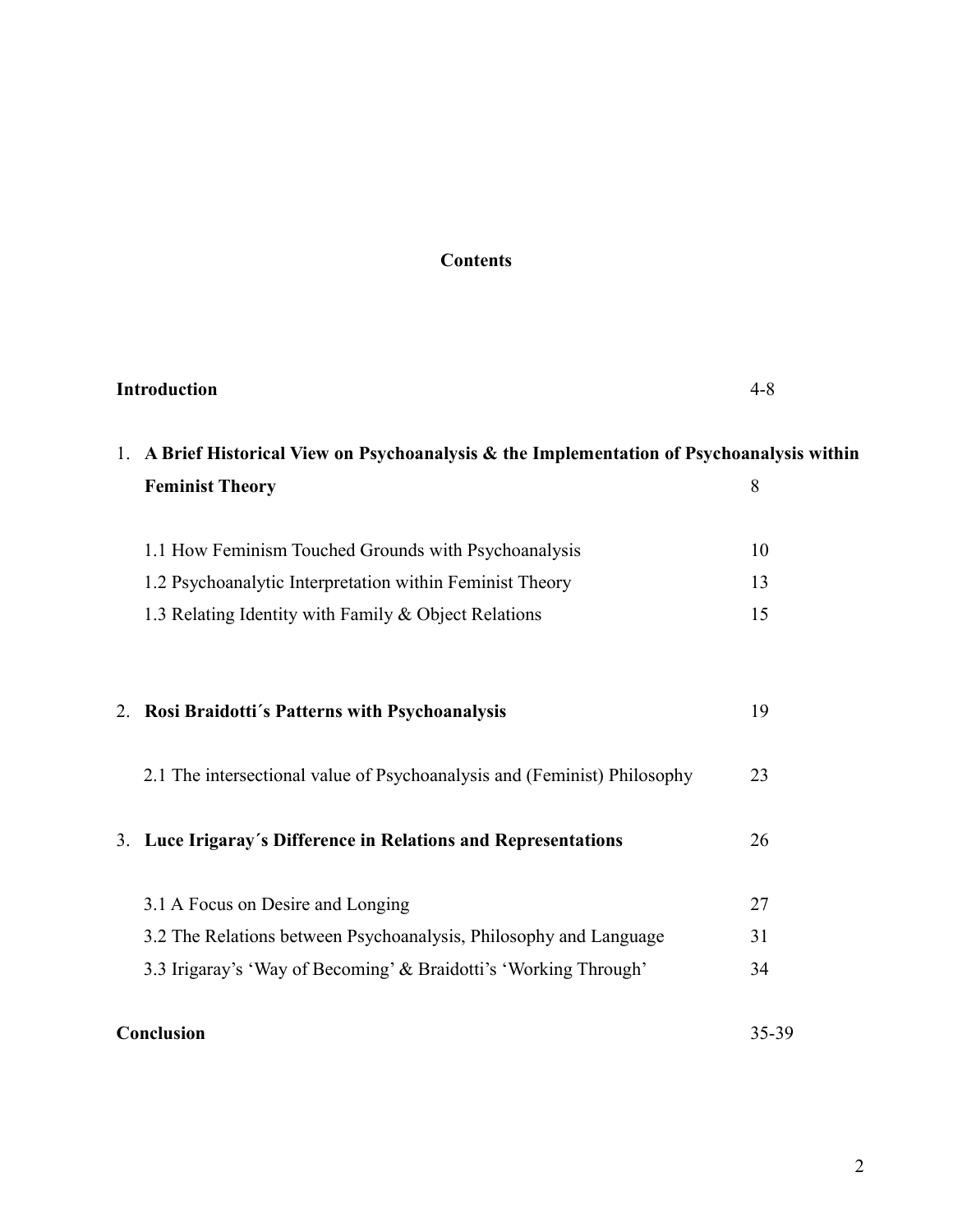# **Contents**

| Introduction |                                                                                            | $4 - 8$ |  |
|--------------|--------------------------------------------------------------------------------------------|---------|--|
|              | 1. A Brief Historical View on Psychoanalysis & the Implementation of Psychoanalysis within |         |  |
|              | <b>Feminist Theory</b>                                                                     | 8       |  |
|              | 1.1 How Feminism Touched Grounds with Psychoanalysis                                       | 10      |  |
|              | 1.2 Psychoanalytic Interpretation within Feminist Theory                                   | 13      |  |
|              | 1.3 Relating Identity with Family & Object Relations                                       | 15      |  |
|              | 2. Rosi Braidotti's Patterns with Psychoanalysis                                           | 19      |  |
|              | 2.1 The intersectional value of Psychoanalysis and (Feminist) Philosophy                   | 23      |  |
| 3.           | Luce Irigaray's Difference in Relations and Representations                                | 26      |  |
|              | 3.1 A Focus on Desire and Longing                                                          | 27      |  |
|              | 3.2 The Relations between Psychoanalysis, Philosophy and Language                          | 31      |  |
|              | 3.3 Irigaray's 'Way of Becoming' & Braidotti's 'Working Through'                           | 34      |  |
| Conclusion   |                                                                                            | 35-39   |  |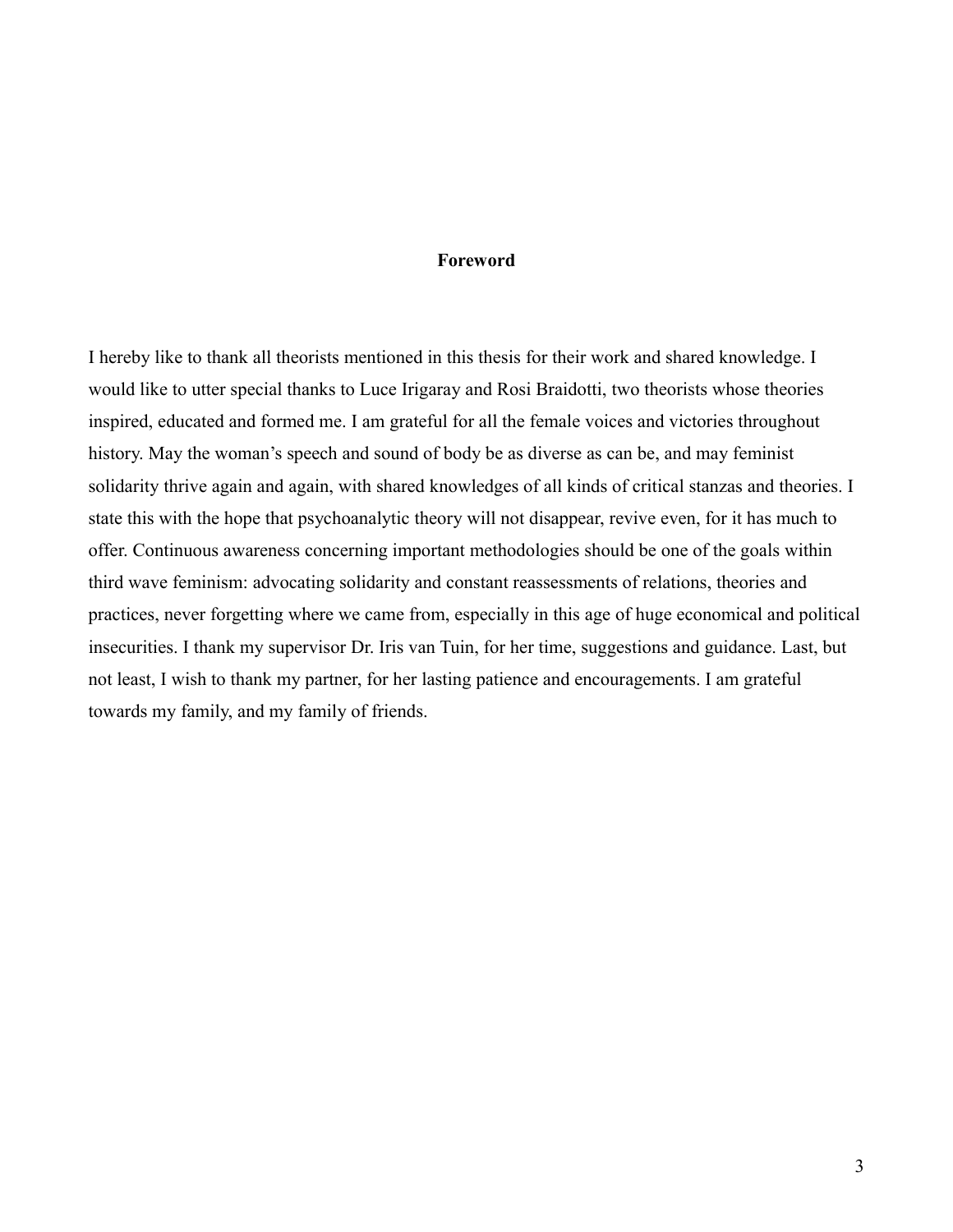## **Foreword**

I hereby like to thank all theorists mentioned in this thesis for their work and shared knowledge. I would like to utter special thanks to Luce Irigaray and Rosi Braidotti, two theorists whose theories inspired, educated and formed me. I am grateful for all the female voices and victories throughout history. May the woman's speech and sound of body be as diverse as can be, and may feminist solidarity thrive again and again, with shared knowledges of all kinds of critical stanzas and theories. I state this with the hope that psychoanalytic theory will not disappear, revive even, for it has much to offer. Continuous awareness concerning important methodologies should be one of the goals within third wave feminism: advocating solidarity and constant reassessments of relations, theories and practices, never forgetting where we came from, especially in this age of huge economical and political insecurities. I thank my supervisor Dr. Iris van Tuin, for her time, suggestions and guidance. Last, but not least, I wish to thank my partner, for her lasting patience and encouragements. I am grateful towards my family, and my family of friends.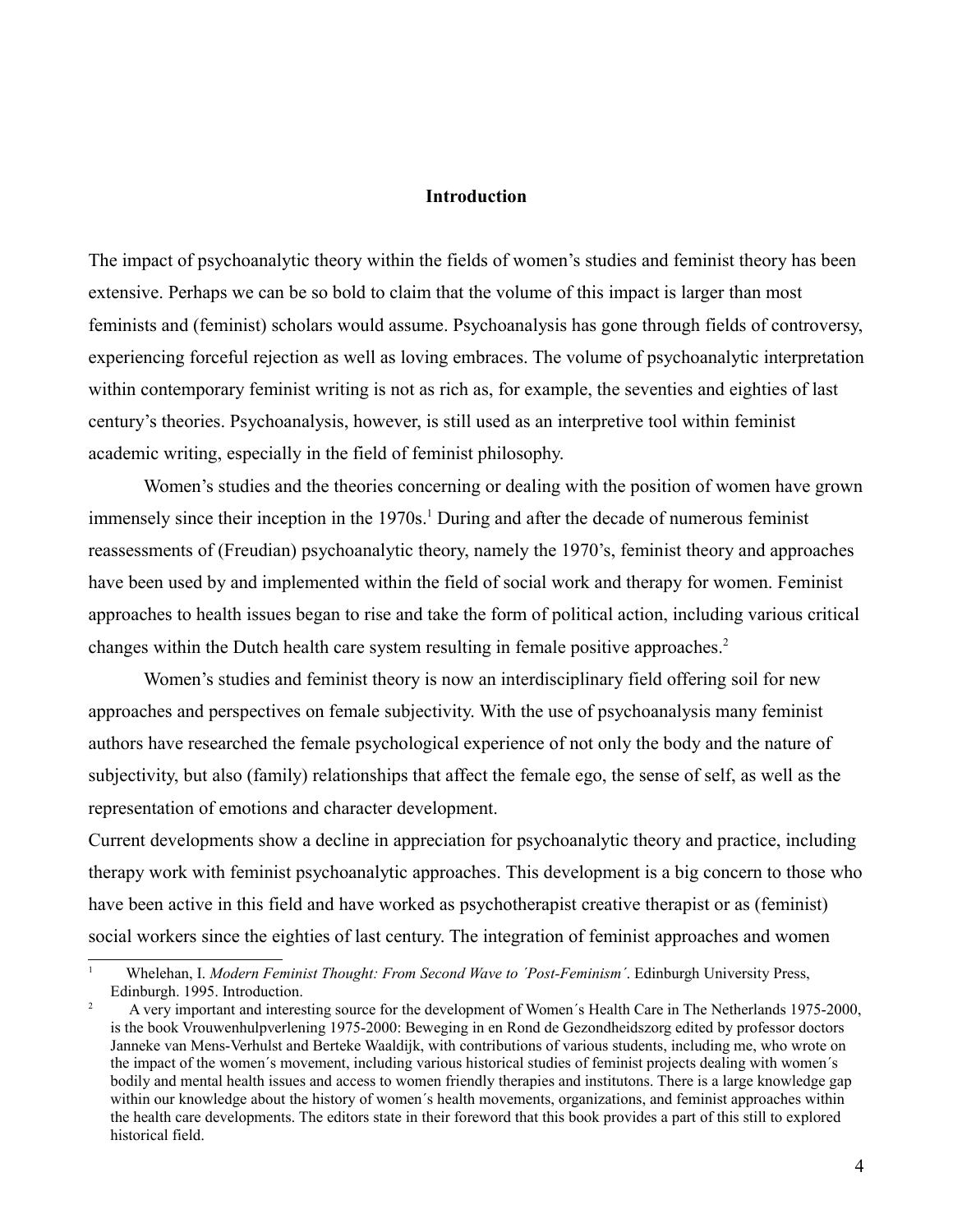### **Introduction**

The impact of psychoanalytic theory within the fields of women's studies and feminist theory has been extensive. Perhaps we can be so bold to claim that the volume of this impact is larger than most feminists and (feminist) scholars would assume. Psychoanalysis has gone through fields of controversy, experiencing forceful rejection as well as loving embraces. The volume of psychoanalytic interpretation within contemporary feminist writing is not as rich as, for example, the seventies and eighties of last century's theories. Psychoanalysis, however, is still used as an interpretive tool within feminist academic writing, especially in the field of feminist philosophy.

Women's studies and the theories concerning or dealing with the position of women have grown immensely since their inception in the [1](#page-3-0)970s.<sup>1</sup> During and after the decade of numerous feminist reassessments of (Freudian) psychoanalytic theory, namely the 1970's, feminist theory and approaches have been used by and implemented within the field of social work and therapy for women. Feminist approaches to health issues began to rise and take the form of political action, including various critical changes within the Dutch health care system resulting in female positive approaches.<sup>[2](#page-3-1)</sup>

Women's studies and feminist theory is now an interdisciplinary field offering soil for new approaches and perspectives on female subjectivity. With the use of psychoanalysis many feminist authors have researched the female psychological experience of not only the body and the nature of subjectivity, but also (family) relationships that affect the female ego, the sense of self, as well as the representation of emotions and character development.

Current developments show a decline in appreciation for psychoanalytic theory and practice, including therapy work with feminist psychoanalytic approaches. This development is a big concern to those who have been active in this field and have worked as psychotherapist creative therapist or as (feminist) social workers since the eighties of last century. The integration of feminist approaches and women

<span id="page-3-0"></span><sup>1</sup> Whelehan, I. *Modern Feminist Thought: From Second Wave to ´Post-Feminism´*. Edinburgh University Press, Edinburgh. 1995. Introduction.

<span id="page-3-1"></span><sup>2</sup> A very important and interesting source for the development of Women´s Health Care in The Netherlands 1975-2000, is the book Vrouwenhulpverlening 1975-2000: Beweging in en Rond de Gezondheidszorg edited by professor doctors Janneke van Mens-Verhulst and Berteke Waaldijk, with contributions of various students, including me, who wrote on the impact of the women´s movement, including various historical studies of feminist projects dealing with women´s bodily and mental health issues and access to women friendly therapies and institutons. There is a large knowledge gap within our knowledge about the history of women's health movements, organizations, and feminist approaches within the health care developments. The editors state in their foreword that this book provides a part of this still to explored historical field.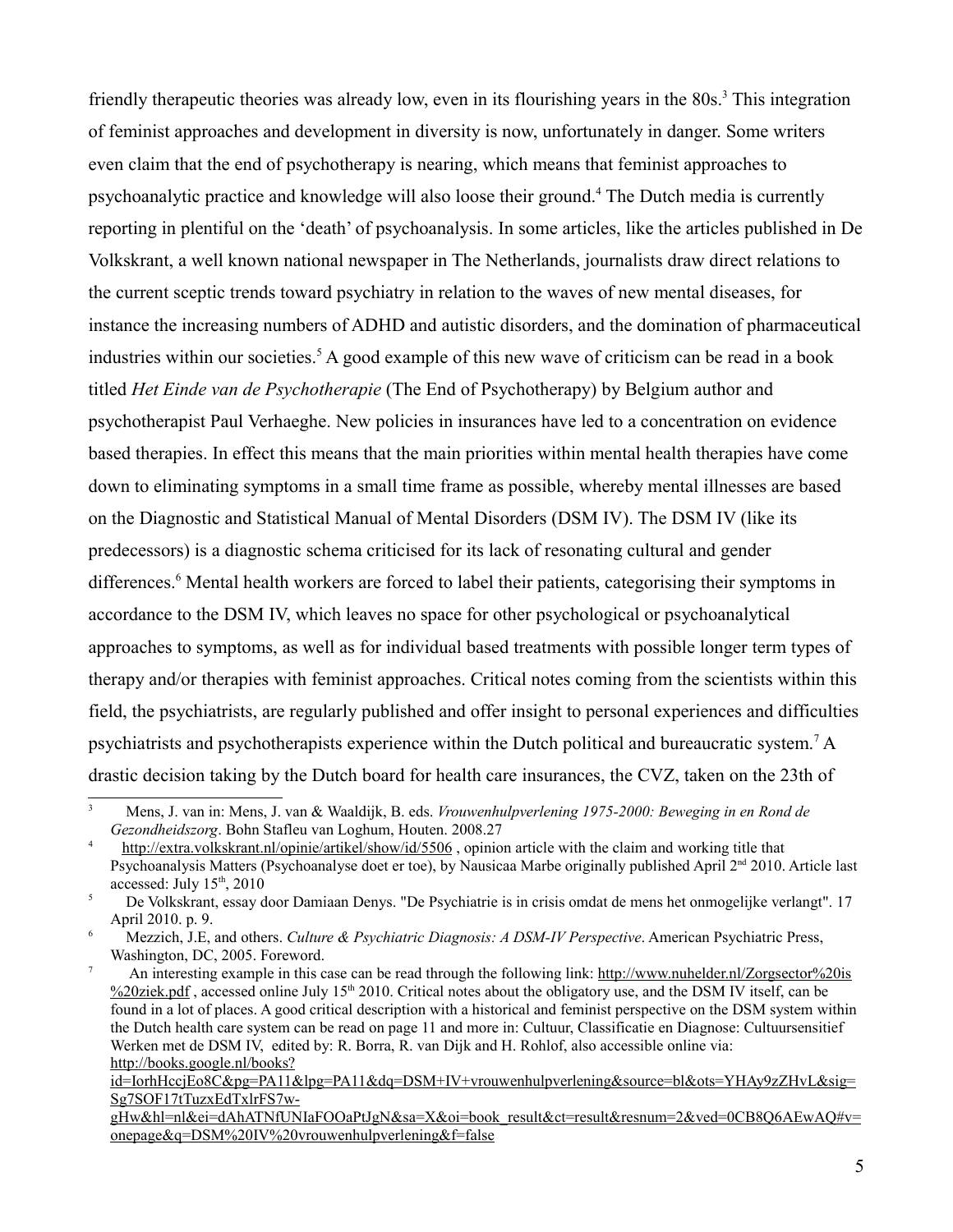friendly therapeutic theories was already low, even in its flourishing years in the 80s.<sup>[3](#page-4-0)</sup> This integration of feminist approaches and development in diversity is now, unfortunately in danger. Some writers even claim that the end of psychotherapy is nearing, which means that feminist approaches to psychoanalytic practice and knowledge will also loose their ground.<sup>[4](#page-4-1)</sup> The Dutch media is currently reporting in plentiful on the 'death' of psychoanalysis. In some articles, like the articles published in De Volkskrant, a well known national newspaper in The Netherlands, journalists draw direct relations to the current sceptic trends toward psychiatry in relation to the waves of new mental diseases, for instance the increasing numbers of ADHD and autistic disorders, and the domination of pharmaceutical industries within our societies.<sup>[5](#page-4-2)</sup> A good example of this new wave of criticism can be read in a book titled *Het Einde van de Psychotherapie* (The End of Psychotherapy) by Belgium author and psychotherapist Paul Verhaeghe. New policies in insurances have led to a concentration on evidence based therapies. In effect this means that the main priorities within mental health therapies have come down to eliminating symptoms in a small time frame as possible, whereby mental illnesses are based on the Diagnostic and Statistical Manual of Mental Disorders (DSM IV). The DSM IV (like its predecessors) is a diagnostic schema criticised for its lack of resonating cultural and gender differences.<sup>[6](#page-4-3)</sup> Mental health workers are forced to label their patients, categorising their symptoms in accordance to the DSM IV, which leaves no space for other psychological or psychoanalytical approaches to symptoms, as well as for individual based treatments with possible longer term types of therapy and/or therapies with feminist approaches. Critical notes coming from the scientists within this field, the psychiatrists, are regularly published and offer insight to personal experiences and difficulties psychiatrists and psychotherapists experience within the Dutch political and bureaucratic system.<sup>[7](#page-4-4)</sup> A drastic decision taking by the Dutch board for health care insurances, the CVZ, taken on the 23th of

<span id="page-4-0"></span><sup>3</sup> Mens, J. van in: Mens, J. van & Waaldijk, B. eds. *Vrouwenhulpverlening 1975-2000: Beweging in en Rond de Gezondheidszorg*. Bohn Stafleu van Loghum, Houten. 2008.27

<span id="page-4-1"></span><sup>4</sup> http://extra.volkskrant.nl/opinie/artikel/show/id/5506, opinion article with the claim and working title that Psychoanalysis Matters (Psychoanalyse doet er toe), by Nausicaa Marbe originally published April 2<sup>nd</sup> 2010. Article last accessed: July  $15<sup>th</sup>$ , 2010

<span id="page-4-2"></span><sup>5</sup> De Volkskrant, essay door Damiaan Denys. "De Psychiatrie is in crisis omdat de mens het onmogelijke verlangt". 17 April 2010. p. 9.

<span id="page-4-3"></span><sup>6</sup> Mezzich, J.E, and others. *Culture & Psychiatric Diagnosis: A DSM-IV Perspective*. American Psychiatric Press, Washington, DC, 2005. Foreword.

<span id="page-4-4"></span><sup>7</sup> An interesting example in this case can be read through the following link: [http://www.nuhelder.nl/Zorgsector%20is](http://www.nuhelder.nl/Zorgsector%20is%20ziek.pdf)  $\frac{\%20}{\%20}$  , accessed online July 15<sup>th</sup> 2010. Critical notes about the obligatory use, and the DSM IV itself, can be found in a lot of places. A good critical description with a historical and feminist perspective on the DSM system within the Dutch health care system can be read on page 11 and more in: Cultuur, Classificatie en Diagnose: Cultuursensitief Werken met de DSM IV, edited by: R. Borra, R. van Dijk and H. Rohlof, also accessible online via: [http://books.google.nl/books?](http://books.google.nl/books?id=IorhHccjEo8C&pg=PA11&lpg=PA11&dq=DSM+IV+vrouwenhulpverlening&source=bl&ots=YHAy9zZHvL&sig=Sg7SOF17tTuzxEdTxlrFS7w-gHw&hl=nl&ei=dAhATNfUNIaFOOaPtJgN&sa=X&oi=book_result&ct=result&resnum=2&ved=0CB8Q6AEwAQ#v=onepage&q=DSM%20IV%20vrouwenhulpverlening&f=false)

id=IorhHccjEo8C&pg=PA11&lpg=PA11&dq=DSM+IV+vrouwenhulpverlening&source=bl&ots=YHAy9zZHvL&sig= Sg7SOF17tTuzxEdTxlrFS7w-

[gHw&hl=nl&ei=dAhATNfUNIaFOOaPtJgN&sa=X&oi=book\\_result&ct=result&resnum=2&ved=0CB8Q6AEwAQ#v=](http://books.google.nl/books?id=IorhHccjEo8C&pg=PA11&lpg=PA11&dq=DSM+IV+vrouwenhulpverlening&source=bl&ots=YHAy9zZHvL&sig=Sg7SOF17tTuzxEdTxlrFS7w-gHw&hl=nl&ei=dAhATNfUNIaFOOaPtJgN&sa=X&oi=book_result&ct=result&resnum=2&ved=0CB8Q6AEwAQ#v=onepage&q=DSM%20IV%20vrouwenhulpverlening&f=false) [onepage&q=DSM%20IV%20vrouwenhulpverlening&f=false](http://books.google.nl/books?id=IorhHccjEo8C&pg=PA11&lpg=PA11&dq=DSM+IV+vrouwenhulpverlening&source=bl&ots=YHAy9zZHvL&sig=Sg7SOF17tTuzxEdTxlrFS7w-gHw&hl=nl&ei=dAhATNfUNIaFOOaPtJgN&sa=X&oi=book_result&ct=result&resnum=2&ved=0CB8Q6AEwAQ#v=onepage&q=DSM%20IV%20vrouwenhulpverlening&f=false)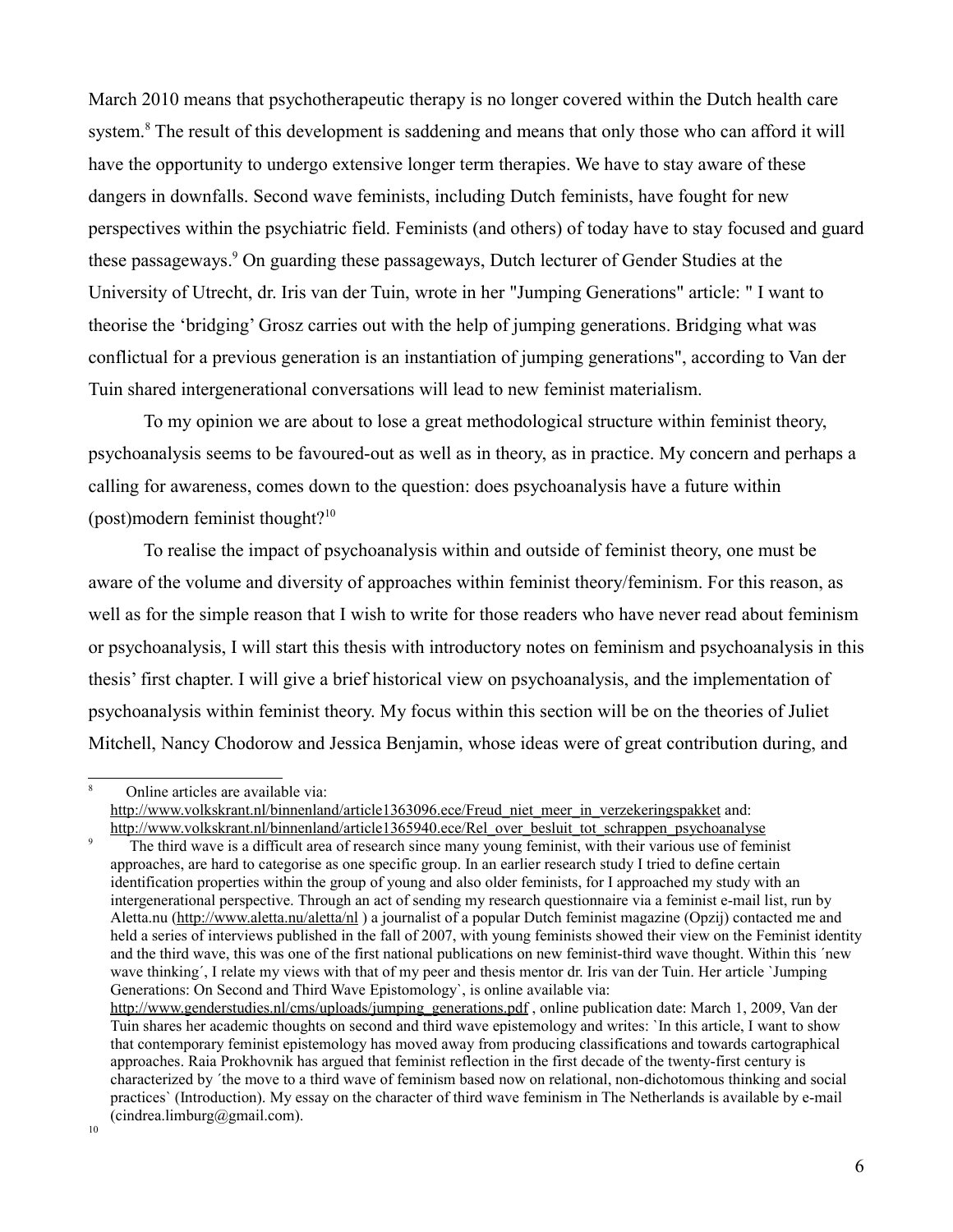March 2010 means that psychotherapeutic therapy is no longer covered within the Dutch health care system.<sup>[8](#page-5-0)</sup> The result of this development is saddening and means that only those who can afford it will have the opportunity to undergo extensive longer term therapies. We have to stay aware of these dangers in downfalls. Second wave feminists, including Dutch feminists, have fought for new perspectives within the psychiatric field. Feminists (and others) of today have to stay focused and guard these passageways.<sup>[9](#page-5-1)</sup> On guarding these passageways, Dutch lecturer of Gender Studies at the University of Utrecht, dr. Iris van der Tuin, wrote in her "Jumping Generations" article: " I want to theorise the 'bridging' Grosz carries out with the help of jumping generations. Bridging what was conflictual for a previous generation is an instantiation of jumping generations", according to Van der Tuin shared intergenerational conversations will lead to new feminist materialism.

To my opinion we are about to lose a great methodological structure within feminist theory, psychoanalysis seems to be favoured-out as well as in theory, as in practice. My concern and perhaps a calling for awareness, comes down to the question: does psychoanalysis have a future within (post)modern feminist thought? $10$ 

To realise the impact of psychoanalysis within and outside of feminist theory, one must be aware of the volume and diversity of approaches within feminist theory/feminism. For this reason, as well as for the simple reason that I wish to write for those readers who have never read about feminism or psychoanalysis, I will start this thesis with introductory notes on feminism and psychoanalysis in this thesis' first chapter. I will give a brief historical view on psychoanalysis, and the implementation of psychoanalysis within feminist theory. My focus within this section will be on the theories of Juliet Mitchell, Nancy Chodorow and Jessica Benjamin, whose ideas were of great contribution during, and

<span id="page-5-0"></span>8 Online articles are available via: [http://www.volkskrant.nl/binnenland/article1363096.ece/Freud\\_niet\\_meer\\_in\\_verzekeringspakket](http://www.volkskrant.nl/binnenland/article1363096.ece/Freud_niet_meer_in_verzekeringspakket) and: [http://www.volkskrant.nl/binnenland/article1365940.ece/Rel\\_over\\_besluit\\_tot\\_schrappen\\_psychoanalyse](http://www.volkskrant.nl/binnenland/article1365940.ece/Rel_over_besluit_tot_schrappen_psychoanalyse)

<span id="page-5-1"></span>9 The third wave is a difficult area of research since many young feminist, with their various use of feminist approaches, are hard to categorise as one specific group. In an earlier research study I tried to define certain identification properties within the group of young and also older feminists, for I approached my study with an intergenerational perspective. Through an act of sending my research questionnaire via a feminist e-mail list, run by Aletta.nu [\(http://www.aletta.nu/aletta/nl](http://www.aletta.nu/aletta/nl) ) a journalist of a popular Dutch feminist magazine (Opzij) contacted me and held a series of interviews published in the fall of 2007, with young feminists showed their view on the Feminist identity and the third wave, this was one of the first national publications on new feminist-third wave thought. Within this ´new wave thinking´, I relate my views with that of my peer and thesis mentor dr. Iris van der Tuin. Her article `Jumping Generations: On Second and Third Wave Epistomology`, is online available via: http://www.genderstudies.nl/cms/uploads/jumping\_generations.pdf, online publication date: March 1, 2009, Van der

Tuin shares her academic thoughts on second and third wave epistemology and writes: `In this article, I want to show that contemporary feminist epistemology has moved away from producing classifications and towards cartographical approaches. Raia Prokhovnik has argued that feminist reflection in the first decade of the twenty-first century is characterized by ´the move to a third wave of feminism based now on relational, non-dichotomous thinking and social practices` (Introduction). My essay on the character of third wave feminism in The Netherlands is available by e-mail  $(cindrea.limburg@gmail.com)$ .

<span id="page-5-2"></span>10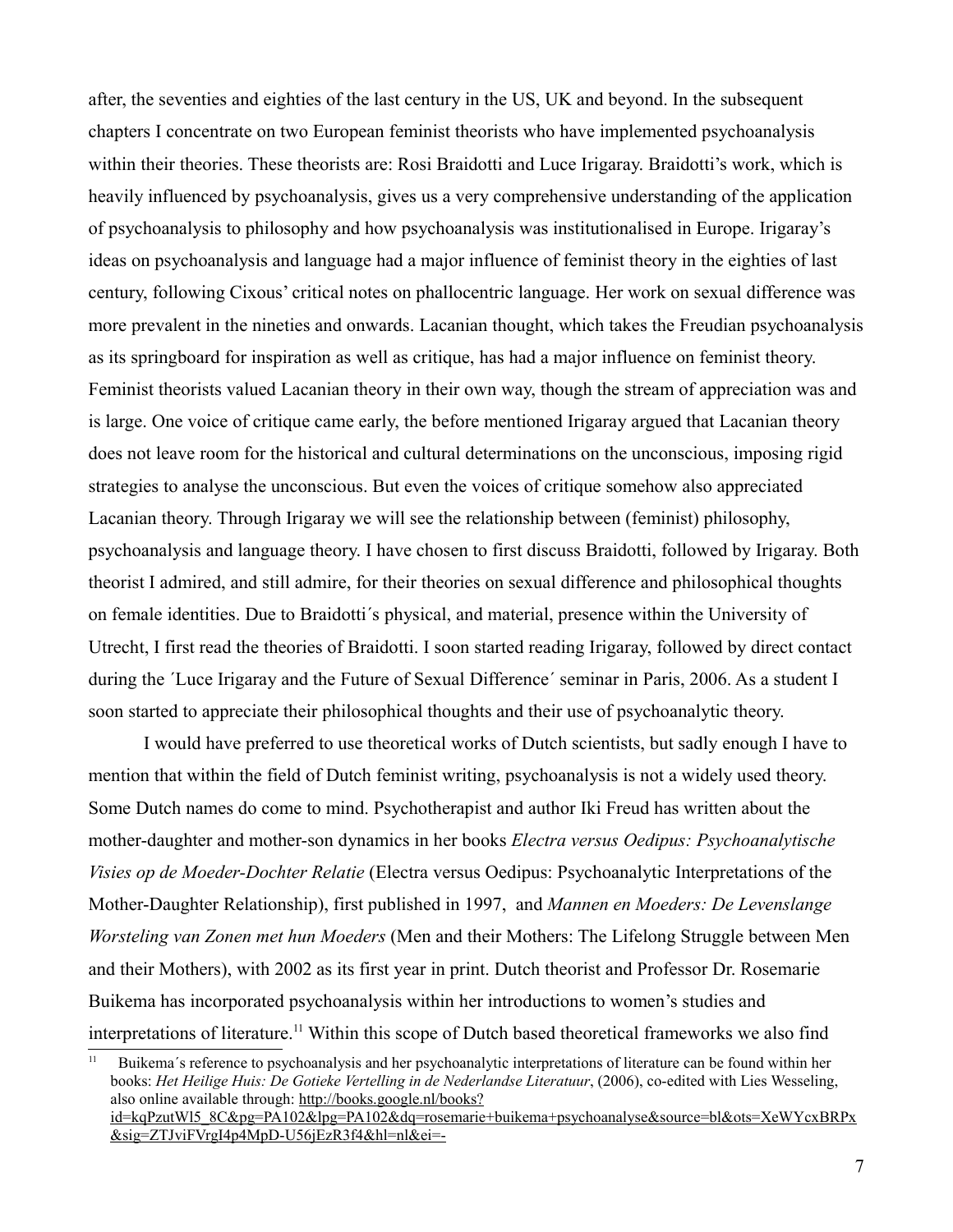after, the seventies and eighties of the last century in the US, UK and beyond. In the subsequent chapters I concentrate on two European feminist theorists who have implemented psychoanalysis within their theories. These theorists are: Rosi Braidotti and Luce Irigaray. Braidotti's work, which is heavily influenced by psychoanalysis, gives us a very comprehensive understanding of the application of psychoanalysis to philosophy and how psychoanalysis was institutionalised in Europe. Irigaray's ideas on psychoanalysis and language had a major influence of feminist theory in the eighties of last century, following Cixous' critical notes on phallocentric language. Her work on sexual difference was more prevalent in the nineties and onwards. Lacanian thought, which takes the Freudian psychoanalysis as its springboard for inspiration as well as critique, has had a major influence on feminist theory. Feminist theorists valued Lacanian theory in their own way, though the stream of appreciation was and is large. One voice of critique came early, the before mentioned Irigaray argued that Lacanian theory does not leave room for the historical and cultural determinations on the unconscious, imposing rigid strategies to analyse the unconscious. But even the voices of critique somehow also appreciated Lacanian theory. Through Irigaray we will see the relationship between (feminist) philosophy, psychoanalysis and language theory. I have chosen to first discuss Braidotti, followed by Irigaray. Both theorist I admired, and still admire, for their theories on sexual difference and philosophical thoughts on female identities. Due to Braidotti´s physical, and material, presence within the University of Utrecht, I first read the theories of Braidotti. I soon started reading Irigaray, followed by direct contact during the ´Luce Irigaray and the Future of Sexual Difference´ seminar in Paris, 2006. As a student I soon started to appreciate their philosophical thoughts and their use of psychoanalytic theory.

I would have preferred to use theoretical works of Dutch scientists, but sadly enough I have to mention that within the field of Dutch feminist writing, psychoanalysis is not a widely used theory. Some Dutch names do come to mind. Psychotherapist and author Iki Freud has written about the mother-daughter and mother-son dynamics in her books *Electra versus Oedipus: Psychoanalytische Visies op de Moeder-Dochter Relatie* (Electra versus Oedipus: Psychoanalytic Interpretations of the Mother-Daughter Relationship), first published in 1997, and *Mannen en Moeders: De Levenslange Worsteling van Zonen met hun Moeders* (Men and their Mothers: The Lifelong Struggle between Men and their Mothers), with 2002 as its first year in print. Dutch theorist and Professor Dr. Rosemarie Buikema has incorporated psychoanalysis within her introductions to women's studies and interpretations of literature.<sup>[11](#page-6-0)</sup> Within this scope of Dutch based theoretical frameworks we also find

<span id="page-6-0"></span><sup>11</sup> Buikema´s reference to psychoanalysis and her psychoanalytic interpretations of literature can be found within her books: *Het Heilige Huis: De Gotieke Vertelling in de Nederlandse Literatuur*, (2006), co-edited with Lies Wesseling, also online available through: [http://books.google.nl/books?](http://books.google.nl/books?id=kqPzutWl5_8C&pg=PA102&lpg=PA102&dq=rosemarie+buikema+psychoanalyse&source=bl&ots=XeWYcxBRPx&sig=ZTJviFVrgI4p4MpD-U56jEzR3f4&hl=nl&ei=-g1ATKehAYrvOere1N0M&sa=X&oi=book_result&ct=result&resnum=6&ved=0CDIQ6AEwBQ#v=onepage&q&f=false) [id=kqPzutWl5\\_8C&pg=PA102&lpg=PA102&dq=rosemarie+buikema+psychoanalyse&source=bl&ots=XeWYcxBRPx](http://books.google.nl/books?id=kqPzutWl5_8C&pg=PA102&lpg=PA102&dq=rosemarie+buikema+psychoanalyse&source=bl&ots=XeWYcxBRPx&sig=ZTJviFVrgI4p4MpD-U56jEzR3f4&hl=nl&ei=-g1ATKehAYrvOere1N0M&sa=X&oi=book_result&ct=result&resnum=6&ved=0CDIQ6AEwBQ#v=onepage&q&f=false) &sig=ZTJviFVrgI4p4MpD-U56jEzR3f4&hl=nl&ei=-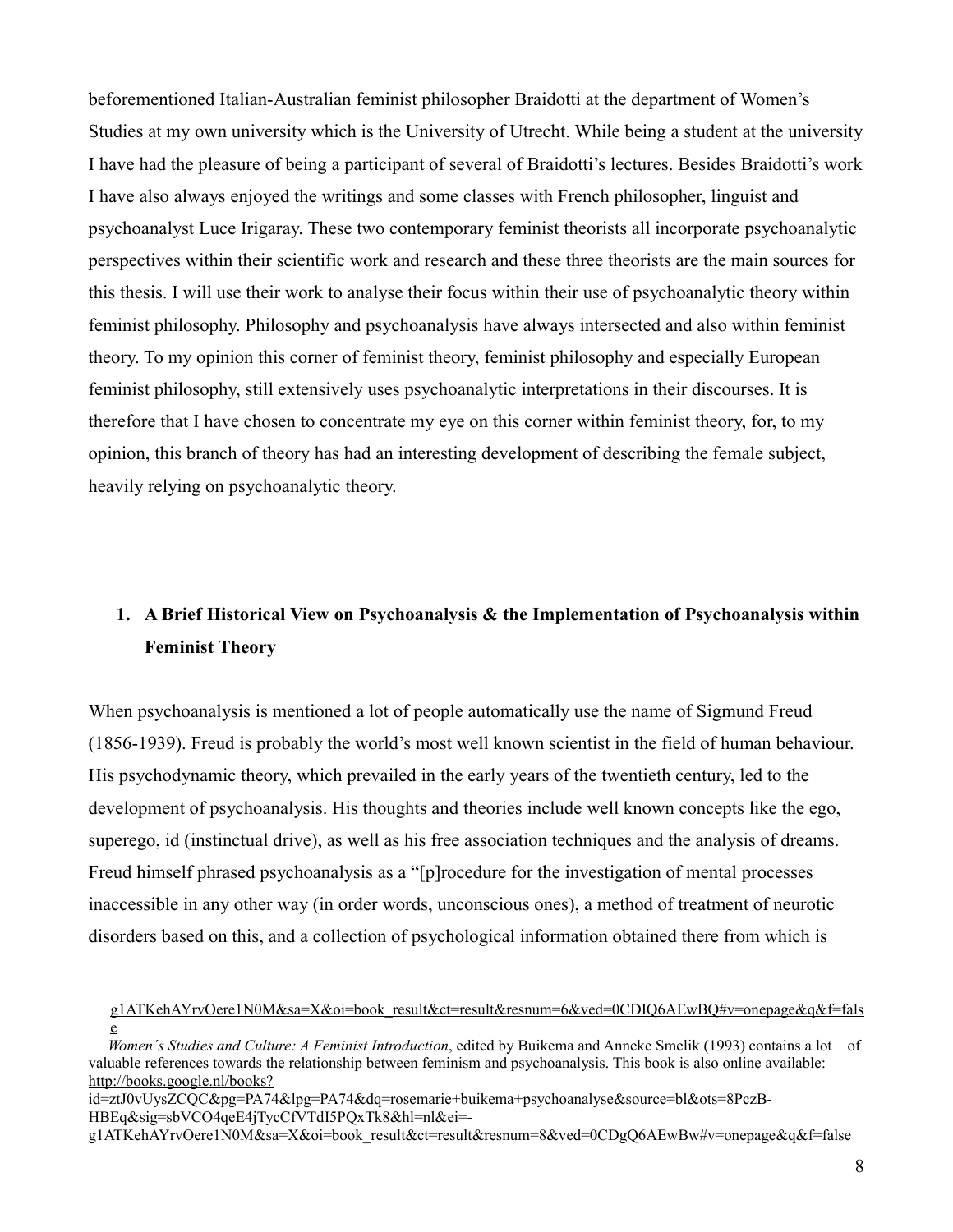beforementioned Italian-Australian feminist philosopher Braidotti at the department of Women's Studies at my own university which is the University of Utrecht. While being a student at the university I have had the pleasure of being a participant of several of Braidotti's lectures. Besides Braidotti's work I have also always enjoyed the writings and some classes with French philosopher, linguist and psychoanalyst Luce Irigaray. These two contemporary feminist theorists all incorporate psychoanalytic perspectives within their scientific work and research and these three theorists are the main sources for this thesis. I will use their work to analyse their focus within their use of psychoanalytic theory within feminist philosophy. Philosophy and psychoanalysis have always intersected and also within feminist theory. To my opinion this corner of feminist theory, feminist philosophy and especially European feminist philosophy, still extensively uses psychoanalytic interpretations in their discourses. It is therefore that I have chosen to concentrate my eye on this corner within feminist theory, for, to my opinion, this branch of theory has had an interesting development of describing the female subject, heavily relying on psychoanalytic theory.

# **1. A Brief Historical View on Psychoanalysis & the Implementation of Psychoanalysis within Feminist Theory**

When psychoanalysis is mentioned a lot of people automatically use the name of Sigmund Freud (1856-1939). Freud is probably the world's most well known scientist in the field of human behaviour. His psychodynamic theory, which prevailed in the early years of the twentieth century, led to the development of psychoanalysis. His thoughts and theories include well known concepts like the ego, superego, id (instinctual drive), as well as his free association techniques and the analysis of dreams. Freud himself phrased psychoanalysis as a "[p]rocedure for the investigation of mental processes inaccessible in any other way (in order words, unconscious ones), a method of treatment of neurotic disorders based on this, and a collection of psychological information obtained there from which is

[g1ATKehAYrvOere1N0M&sa=X&oi=book\\_result&ct=result&resnum=6&ved=0CDIQ6AEwBQ#v=onepage&q&f=fals](http://books.google.nl/books?id=kqPzutWl5_8C&pg=PA102&lpg=PA102&dq=rosemarie+buikema+psychoanalyse&source=bl&ots=XeWYcxBRPx&sig=ZTJviFVrgI4p4MpD-U56jEzR3f4&hl=nl&ei=-g1ATKehAYrvOere1N0M&sa=X&oi=book_result&ct=result&resnum=6&ved=0CDIQ6AEwBQ#v=onepage&q&f=false) [e](http://books.google.nl/books?id=kqPzutWl5_8C&pg=PA102&lpg=PA102&dq=rosemarie+buikema+psychoanalyse&source=bl&ots=XeWYcxBRPx&sig=ZTJviFVrgI4p4MpD-U56jEzR3f4&hl=nl&ei=-g1ATKehAYrvOere1N0M&sa=X&oi=book_result&ct=result&resnum=6&ved=0CDIQ6AEwBQ#v=onepage&q&f=false)

*Women´s Studies and Culture: A Feminist Introduction*, edited by Buikema and Anneke Smelik (1993) contains a lot of valuable references towards the relationship between feminism and psychoanalysis. This book is also online available: [http://books.google.nl/books?](http://books.google.nl/books?id=ztJ0vUysZCQC&pg=PA74&lpg=PA74&dq=rosemarie+buikema+psychoanalyse&source=bl&ots=8PczB-HBEq&sig=sbVCO4qeE4jTycCfVTdI5PQxTk8&hl=nl&ei=-g1ATKehAYrvOere1N0M&sa=X&oi=book_result&ct=result&resnum=8&ved=0CDgQ6AEwBw#v=onepage&q&f=false)

[id=ztJ0vUysZCQC&pg=PA74&lpg=PA74&dq=rosemarie+buikema+psychoanalyse&source=bl&ots=8PczB-](http://books.google.nl/books?id=ztJ0vUysZCQC&pg=PA74&lpg=PA74&dq=rosemarie+buikema+psychoanalyse&source=bl&ots=8PczB-HBEq&sig=sbVCO4qeE4jTycCfVTdI5PQxTk8&hl=nl&ei=-g1ATKehAYrvOere1N0M&sa=X&oi=book_result&ct=result&resnum=8&ved=0CDgQ6AEwBw#v=onepage&q&f=false)HBEq&sig=sbVCO4qeE4jTycCfVTdI5PQxTk8&hl=nl&ei=-

[g1ATKehAYrvOere1N0M&sa=X&oi=book\\_result&ct=result&resnum=8&ved=0CDgQ6AEwBw#v=onepage&q&f=false](http://books.google.nl/books?id=ztJ0vUysZCQC&pg=PA74&lpg=PA74&dq=rosemarie+buikema+psychoanalyse&source=bl&ots=8PczB-HBEq&sig=sbVCO4qeE4jTycCfVTdI5PQxTk8&hl=nl&ei=-g1ATKehAYrvOere1N0M&sa=X&oi=book_result&ct=result&resnum=8&ved=0CDgQ6AEwBw#v=onepage&q&f=false)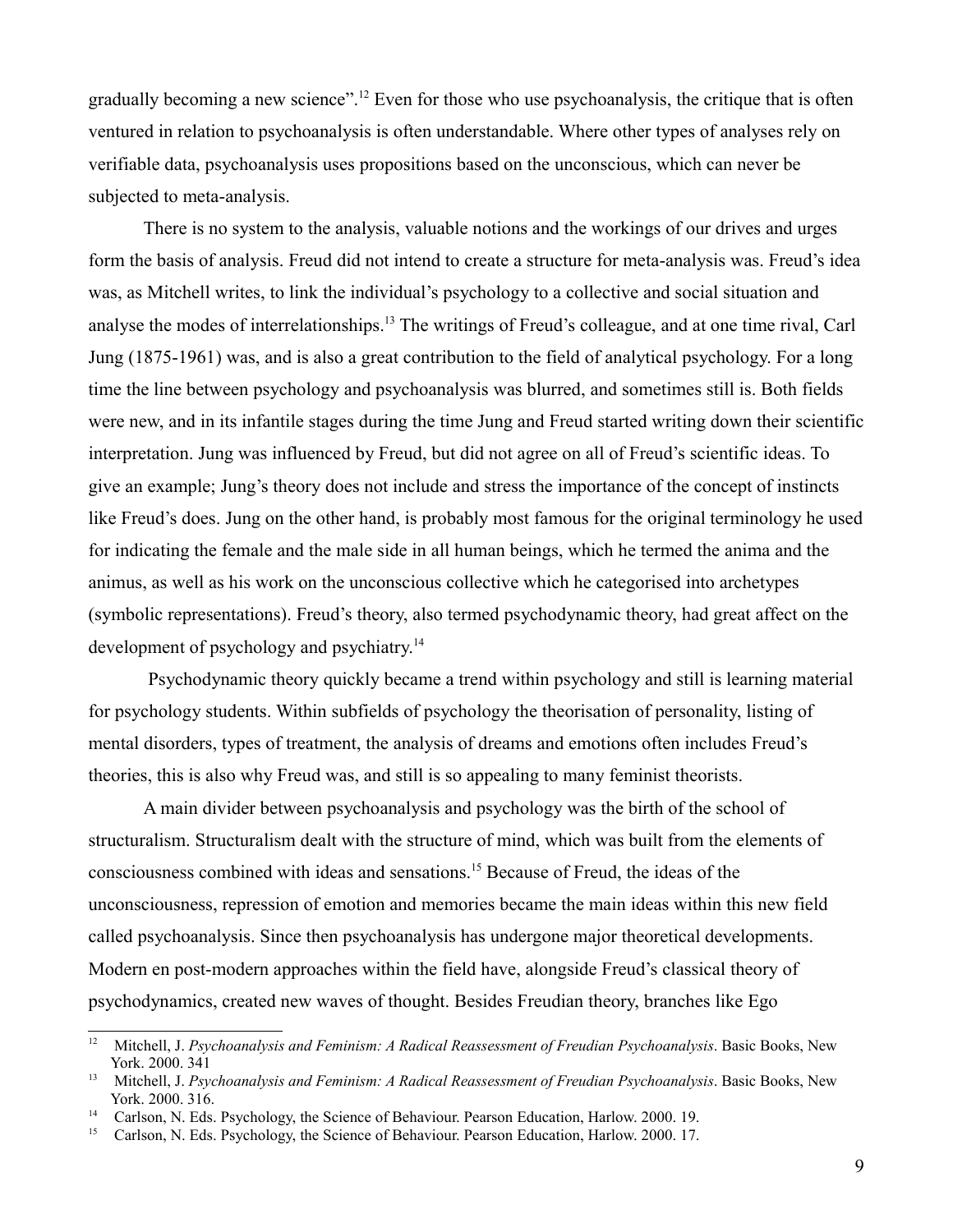gradually becoming a new science".[12](#page-8-0) Even for those who use psychoanalysis, the critique that is often ventured in relation to psychoanalysis is often understandable. Where other types of analyses rely on verifiable data, psychoanalysis uses propositions based on the unconscious, which can never be subjected to meta-analysis.

There is no system to the analysis, valuable notions and the workings of our drives and urges form the basis of analysis. Freud did not intend to create a structure for meta-analysis was. Freud's idea was, as Mitchell writes, to link the individual's psychology to a collective and social situation and analyse the modes of interrelationships.[13](#page-8-1) The writings of Freud's colleague, and at one time rival, Carl Jung (1875-1961) was, and is also a great contribution to the field of analytical psychology. For a long time the line between psychology and psychoanalysis was blurred, and sometimes still is. Both fields were new, and in its infantile stages during the time Jung and Freud started writing down their scientific interpretation. Jung was influenced by Freud, but did not agree on all of Freud's scientific ideas. To give an example; Jung's theory does not include and stress the importance of the concept of instincts like Freud's does. Jung on the other hand, is probably most famous for the original terminology he used for indicating the female and the male side in all human beings, which he termed the anima and the animus, as well as his work on the unconscious collective which he categorised into archetypes (symbolic representations). Freud's theory, also termed psychodynamic theory, had great affect on the development of psychology and psychiatry.<sup>[14](#page-8-2)</sup>

 Psychodynamic theory quickly became a trend within psychology and still is learning material for psychology students. Within subfields of psychology the theorisation of personality, listing of mental disorders, types of treatment, the analysis of dreams and emotions often includes Freud's theories, this is also why Freud was, and still is so appealing to many feminist theorists.

A main divider between psychoanalysis and psychology was the birth of the school of structuralism. Structuralism dealt with the structure of mind, which was built from the elements of consciousness combined with ideas and sensations.[15](#page-8-3) Because of Freud, the ideas of the unconsciousness, repression of emotion and memories became the main ideas within this new field called psychoanalysis. Since then psychoanalysis has undergone major theoretical developments. Modern en post-modern approaches within the field have, alongside Freud's classical theory of psychodynamics, created new waves of thought. Besides Freudian theory, branches like Ego

<span id="page-8-0"></span><sup>&</sup>lt;sup>12</sup> Mitchell, J. *Psychoanalysis and Feminism: A Radical Reassessment of Freudian Psychoanalysis*. Basic Books, New York. 2000. 341

<span id="page-8-1"></span><sup>&</sup>lt;sup>13</sup> Mitchell, J. *Psychoanalysis and Feminism: A Radical Reassessment of Freudian Psychoanalysis*. Basic Books, New York. 2000. 316.

<span id="page-8-2"></span><sup>&</sup>lt;sup>14</sup> Carlson, N. Eds. Psychology, the Science of Behaviour. Pearson Education, Harlow. 2000, 19.

<span id="page-8-3"></span><sup>&</sup>lt;sup>15</sup> Carlson, N. Eds. Psychology, the Science of Behaviour. Pearson Education, Harlow. 2000. 17.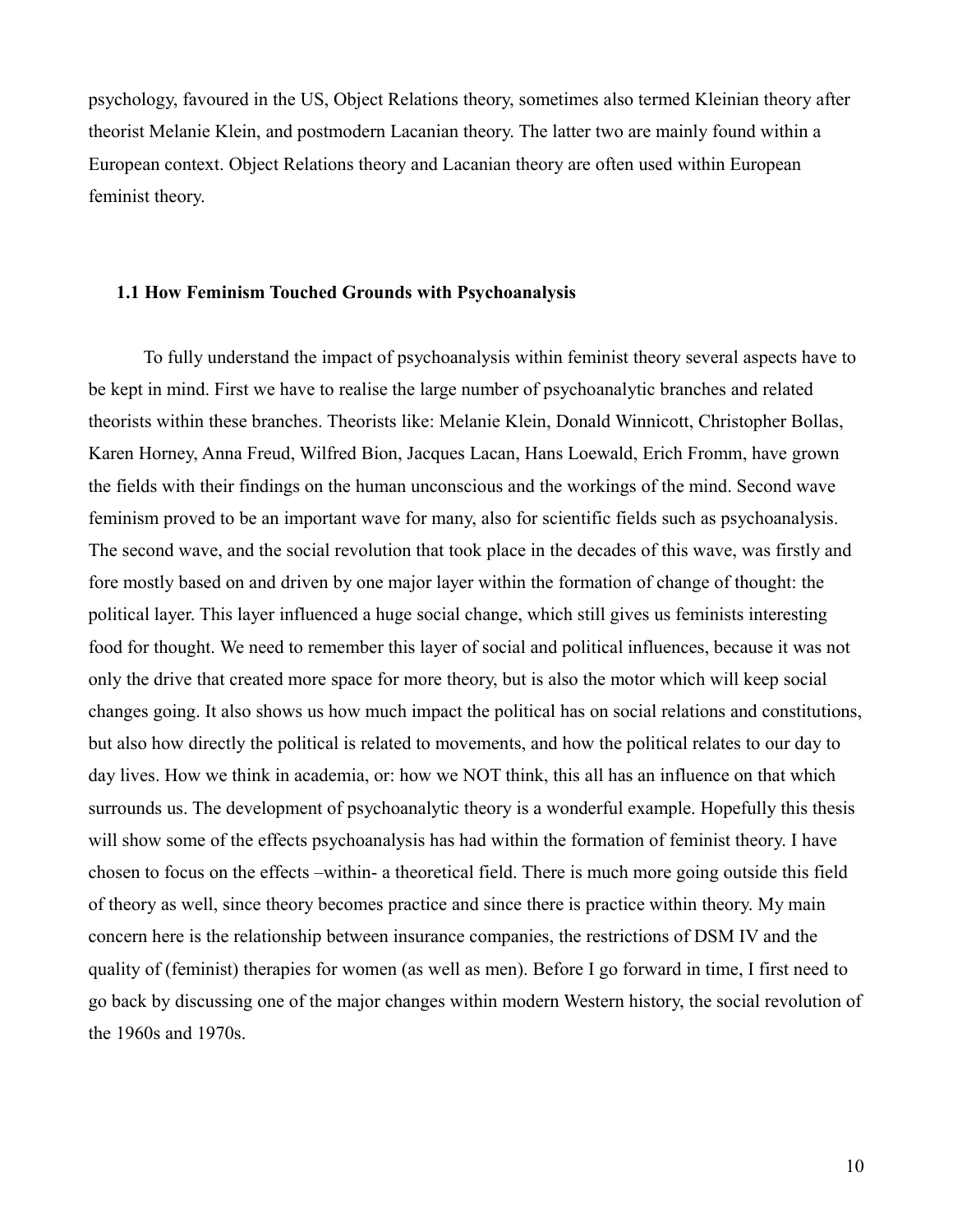psychology, favoured in the US, Object Relations theory, sometimes also termed Kleinian theory after theorist Melanie Klein, and postmodern Lacanian theory. The latter two are mainly found within a European context. Object Relations theory and Lacanian theory are often used within European feminist theory.

#### **1.1 How Feminism Touched Grounds with Psychoanalysis**

To fully understand the impact of psychoanalysis within feminist theory several aspects have to be kept in mind. First we have to realise the large number of psychoanalytic branches and related theorists within these branches. Theorists like: Melanie Klein, Donald Winnicott, Christopher Bollas, Karen Horney, Anna Freud, Wilfred Bion, Jacques Lacan, Hans Loewald, Erich Fromm, have grown the fields with their findings on the human unconscious and the workings of the mind. Second wave feminism proved to be an important wave for many, also for scientific fields such as psychoanalysis. The second wave, and the social revolution that took place in the decades of this wave, was firstly and fore mostly based on and driven by one major layer within the formation of change of thought: the political layer. This layer influenced a huge social change, which still gives us feminists interesting food for thought. We need to remember this layer of social and political influences, because it was not only the drive that created more space for more theory, but is also the motor which will keep social changes going. It also shows us how much impact the political has on social relations and constitutions, but also how directly the political is related to movements, and how the political relates to our day to day lives. How we think in academia, or: how we NOT think, this all has an influence on that which surrounds us. The development of psychoanalytic theory is a wonderful example. Hopefully this thesis will show some of the effects psychoanalysis has had within the formation of feminist theory. I have chosen to focus on the effects –within- a theoretical field. There is much more going outside this field of theory as well, since theory becomes practice and since there is practice within theory. My main concern here is the relationship between insurance companies, the restrictions of DSM IV and the quality of (feminist) therapies for women (as well as men). Before I go forward in time, I first need to go back by discussing one of the major changes within modern Western history, the social revolution of the 1960s and 1970s.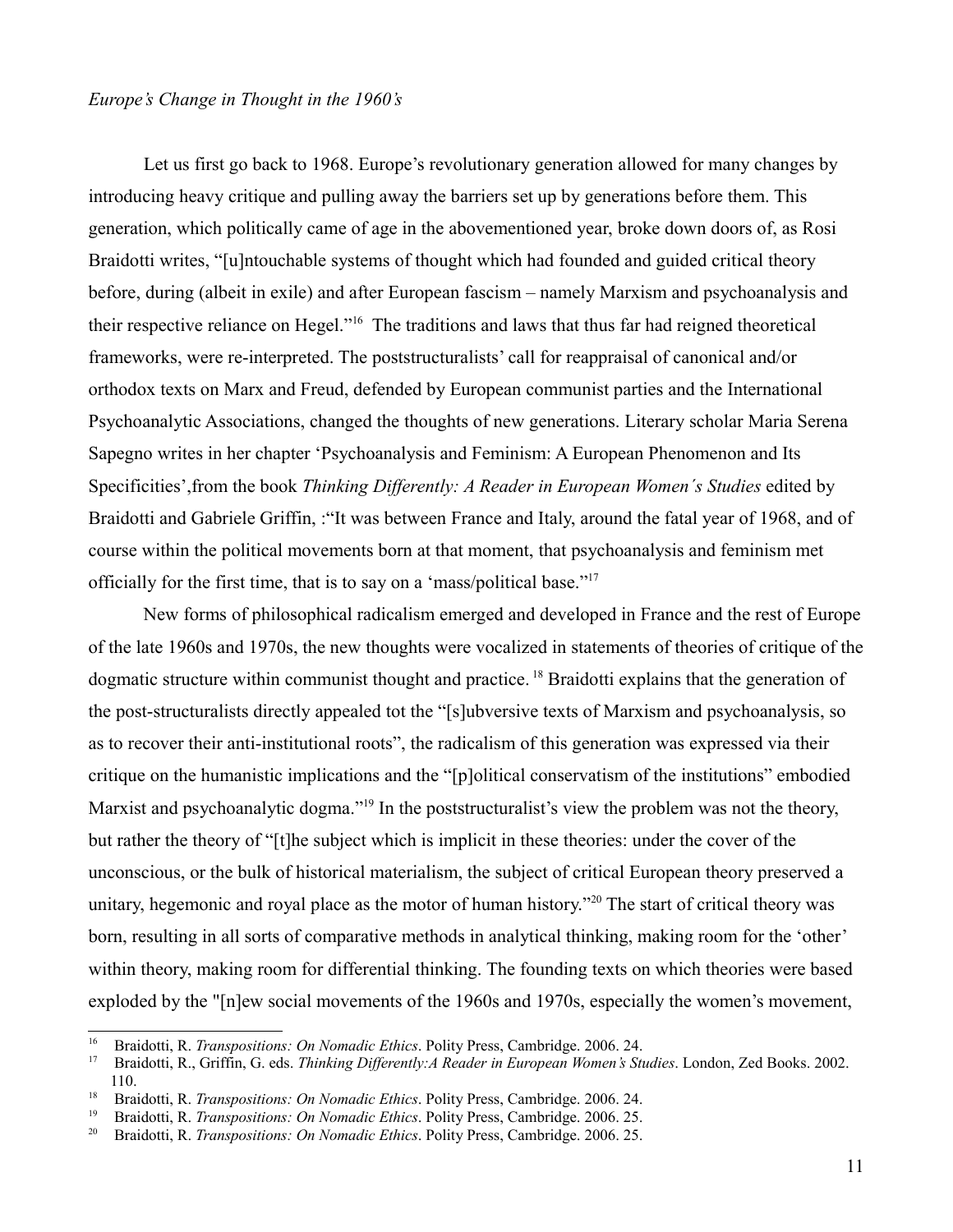#### *Europe's Change in Thought in the 1960's*

Let us first go back to 1968. Europe's revolutionary generation allowed for many changes by introducing heavy critique and pulling away the barriers set up by generations before them. This generation, which politically came of age in the abovementioned year, broke down doors of, as Rosi Braidotti writes, "[u]ntouchable systems of thought which had founded and guided critical theory before, during (albeit in exile) and after European fascism – namely Marxism and psychoanalysis and their respective reliance on Hegel."[16](#page-10-0) The traditions and laws that thus far had reigned theoretical frameworks, were re-interpreted. The poststructuralists' call for reappraisal of canonical and/or orthodox texts on Marx and Freud, defended by European communist parties and the International Psychoanalytic Associations, changed the thoughts of new generations. Literary scholar Maria Serena Sapegno writes in her chapter 'Psychoanalysis and Feminism: A European Phenomenon and Its Specificities',from the book *Thinking Differently: A Reader in European Women´s Studies* edited by Braidotti and Gabriele Griffin, :"It was between France and Italy, around the fatal year of 1968, and of course within the political movements born at that moment, that psychoanalysis and feminism met officially for the first time, that is to say on a 'mass/political base."[17](#page-10-1)

New forms of philosophical radicalism emerged and developed in France and the rest of Europe of the late 1960s and 1970s, the new thoughts were vocalized in statements of theories of critique of the dogmatic structure within communist thought and practice. [18](#page-10-2) Braidotti explains that the generation of the post-structuralists directly appealed tot the "[s]ubversive texts of Marxism and psychoanalysis, so as to recover their anti-institutional roots", the radicalism of this generation was expressed via their critique on the humanistic implications and the "[p]olitical conservatism of the institutions" embodied Marxist and psychoanalytic dogma."<sup>[19](#page-10-3)</sup> In the poststructuralist's view the problem was not the theory, but rather the theory of "[t]he subject which is implicit in these theories: under the cover of the unconscious, or the bulk of historical materialism, the subject of critical European theory preserved a unitary, hegemonic and royal place as the motor of human history."<sup>[20](#page-10-4)</sup> The start of critical theory was born, resulting in all sorts of comparative methods in analytical thinking, making room for the 'other' within theory, making room for differential thinking. The founding texts on which theories were based exploded by the "[n]ew social movements of the 1960s and 1970s, especially the women's movement,

<span id="page-10-0"></span><sup>&</sup>lt;sup>16</sup> Braidotti, R. *Transpositions: On Nomadic Ethics*. Polity Press, Cambridge. 2006. 24.<br><sup>17</sup> Braidotti, R. Griffin G. eds. *Thinking Differenthy A Reader in European Women's Sti* 

<span id="page-10-1"></span><sup>17</sup> Braidotti, R., Griffin, G. eds. *Thinking Differently:A Reader in European Women's Studies*. London, Zed Books. 2002. 110.

<span id="page-10-2"></span><sup>&</sup>lt;sup>18</sup> Braidotti, R. *Transpositions: On Nomadic Ethics*. Polity Press, Cambridge. 2006. 24.<br><sup>19</sup> Proidotti, P. *Transpositions: On Nomadic Ethics*. Polity Press, Cambridge. 2006. 25.

<span id="page-10-3"></span><sup>&</sup>lt;sup>19</sup> Braidotti, R. *Transpositions: On Nomadic Ethics*. Polity Press, Cambridge. 2006. 25.<br><sup>20</sup> Braidotti, R. *Transpositions: On Nomadic Ethics*. Polity Press, Cambridge. 2006. 25.

<span id="page-10-4"></span><sup>20</sup> Braidotti, R. *Transpositions: On Nomadic Ethics*. Polity Press, Cambridge. 2006. 25.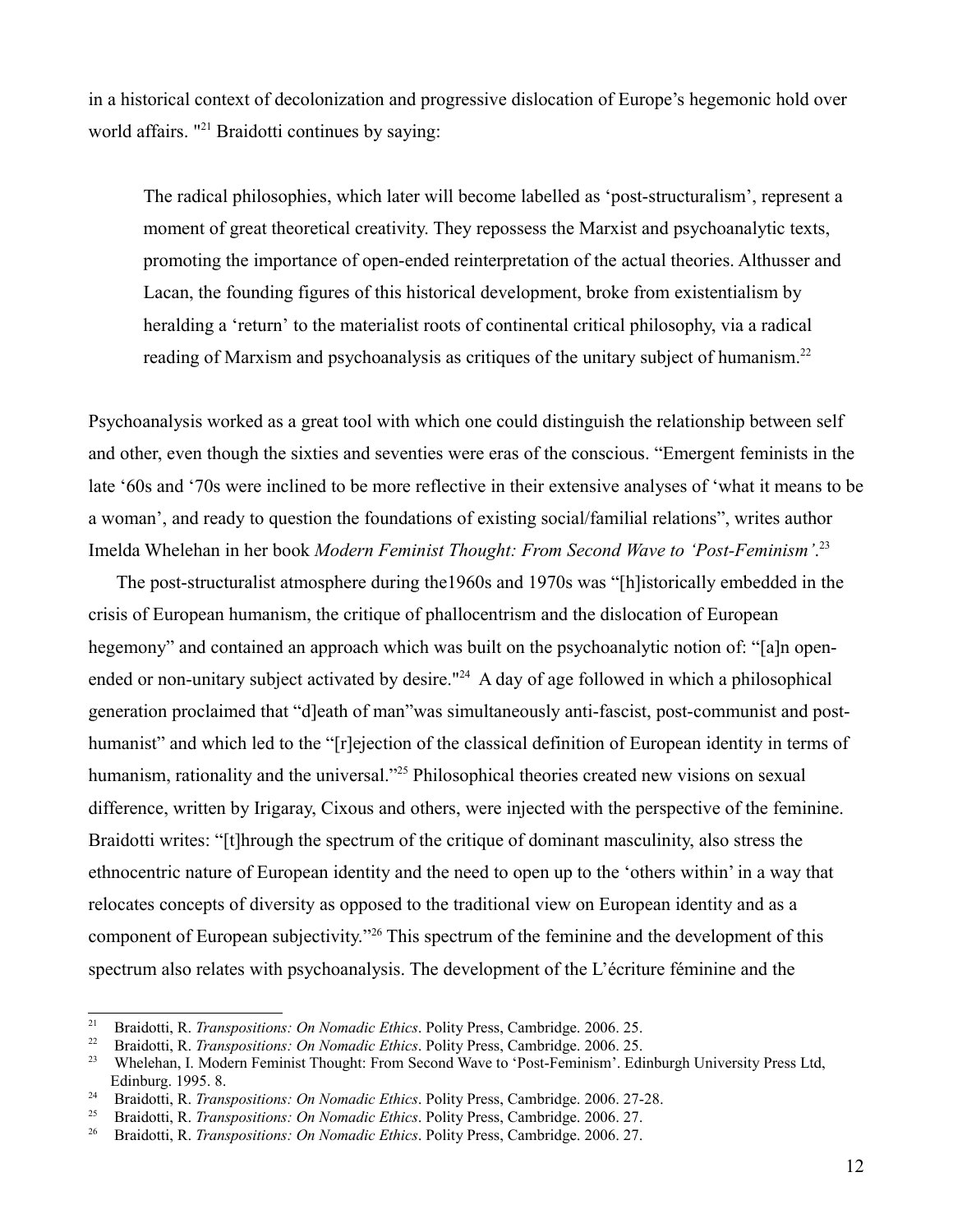in a historical context of decolonization and progressive dislocation of Europe's hegemonic hold over world affairs. "<sup>[21](#page-11-0)</sup> Braidotti continues by saying:

The radical philosophies, which later will become labelled as 'post-structuralism', represent a moment of great theoretical creativity. They repossess the Marxist and psychoanalytic texts, promoting the importance of open-ended reinterpretation of the actual theories. Althusser and Lacan, the founding figures of this historical development, broke from existentialism by heralding a 'return' to the materialist roots of continental critical philosophy, via a radical reading of Marxism and psychoanalysis as critiques of the unitary subject of humanism.<sup>[22](#page-11-1)</sup>

Psychoanalysis worked as a great tool with which one could distinguish the relationship between self and other, even though the sixties and seventies were eras of the conscious. "Emergent feminists in the late '60s and '70s were inclined to be more reflective in their extensive analyses of 'what it means to be a woman', and ready to question the foundations of existing social/familial relations", writes author Imelda Whelehan in her book *Modern Feminist Thought: From Second Wave to 'Post-Feminism'*. [23](#page-11-2)

The post-structuralist atmosphere during the1960s and 1970s was "[h]istorically embedded in the crisis of European humanism, the critique of phallocentrism and the dislocation of European hegemony" and contained an approach which was built on the psychoanalytic notion of: "[a]n open-ended or non-unitary subject activated by desire."<sup>[24](#page-11-3)</sup> A day of age followed in which a philosophical generation proclaimed that "d]eath of man"was simultaneously anti-fascist, post-communist and posthumanist" and which led to the "[r]ejection of the classical definition of European identity in terms of humanism, rationality and the universal."<sup>[25](#page-11-4)</sup> Philosophical theories created new visions on sexual difference, written by Irigaray, Cixous and others, were injected with the perspective of the feminine. Braidotti writes: "[t]hrough the spectrum of the critique of dominant masculinity, also stress the ethnocentric nature of European identity and the need to open up to the 'others within' in a way that relocates concepts of diversity as opposed to the traditional view on European identity and as a component of European subjectivity."[26](#page-11-5) This spectrum of the feminine and the development of this spectrum also relates with psychoanalysis. The development of the L'écriture féminine and the

<span id="page-11-0"></span><sup>&</sup>lt;sup>21</sup> Braidotti, R. *Transpositions: On Nomadic Ethics*. Polity Press, Cambridge. 2006. 25.<br><sup>22</sup> Braidotti, R. *Transpositions: On Nomadic Ethics*. Polity Press, Cambridge. 2006. 25.

<span id="page-11-1"></span><sup>&</sup>lt;sup>22</sup> Braidotti, R. *Transpositions: On Nomadic Ethics*. Polity Press, Cambridge. 2006. 25.<br><sup>23</sup> Wheleban J. Modern Feminist Thought: From Second Wave to 'Post-Feminism'. Edi

<span id="page-11-2"></span><sup>23</sup> Whelehan, I. Modern Feminist Thought: From Second Wave to 'Post-Feminism'. Edinburgh University Press Ltd, Edinburg. 1995. 8.

<span id="page-11-3"></span><sup>&</sup>lt;sup>24</sup> Braidotti, R. *Transpositions: On Nomadic Ethics*. Polity Press, Cambridge. 2006. 27-28.<br><sup>25</sup> Braidotti R. *Transpositions: On Nomadic Ethics*. Polity Press. Cambridge. 2006. 27.

<span id="page-11-4"></span><sup>&</sup>lt;sup>25</sup> Braidotti, R. *Transpositions: On Nomadic Ethics*. Polity Press, Cambridge. 2006. 27.<br><sup>26</sup> Braidotti, R. *Transpositions: On Nomadic Ethics*. Polity Press, Cambridge. 2006. 27.

<span id="page-11-5"></span><sup>26</sup> Braidotti, R. *Transpositions: On Nomadic Ethics*. Polity Press, Cambridge. 2006. 27.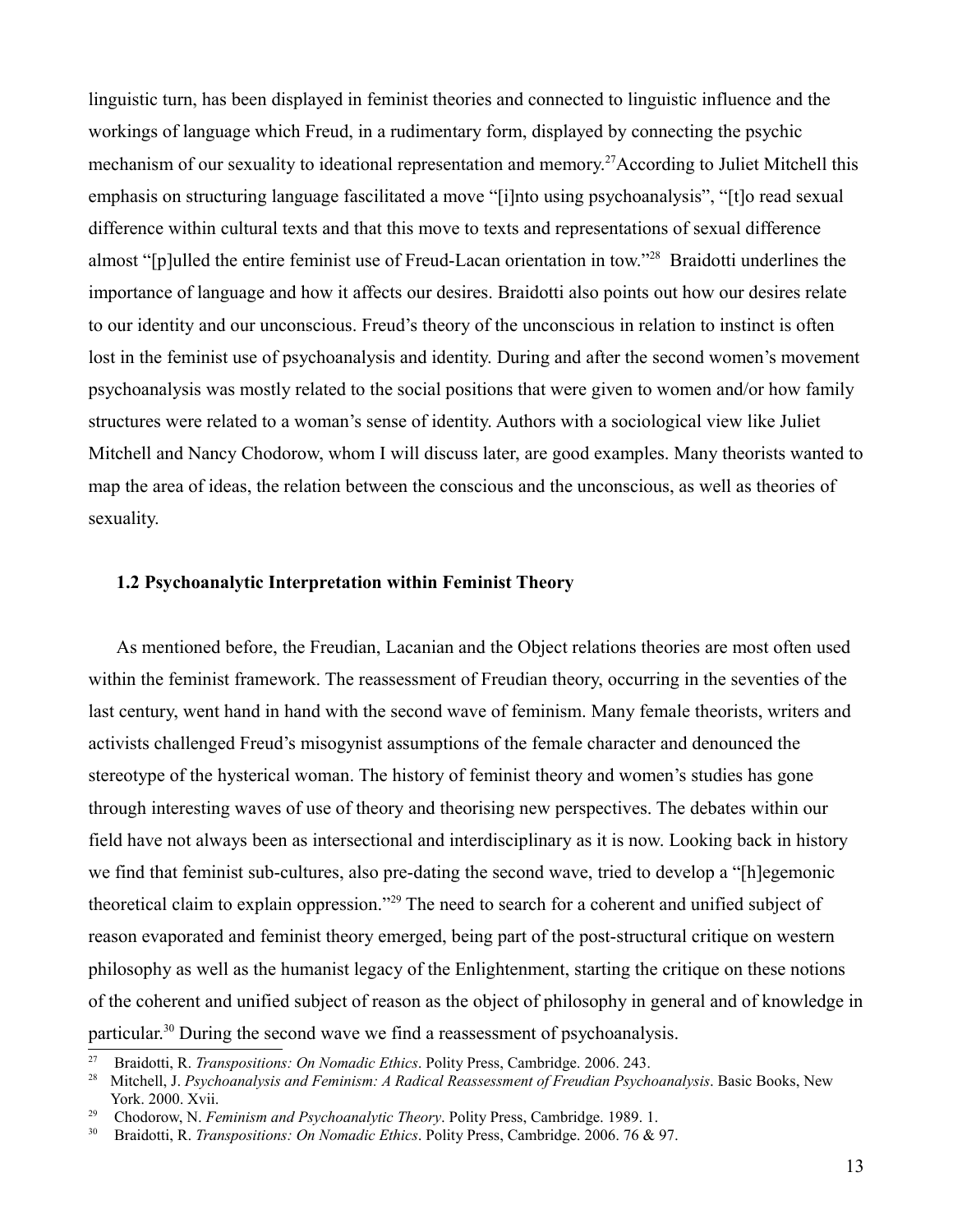linguistic turn, has been displayed in feminist theories and connected to linguistic influence and the workings of language which Freud, in a rudimentary form, displayed by connecting the psychic mechanism of our sexuality to ideational representation and memory.<sup>[27](#page-12-0)</sup>According to Juliet Mitchell this emphasis on structuring language fascilitated a move "[i]nto using psychoanalysis", "[t]o read sexual difference within cultural texts and that this move to texts and representations of sexual difference almost "[p]ulled the entire feminist use of Freud-Lacan orientation in tow."[28](#page-12-1) Braidotti underlines the importance of language and how it affects our desires. Braidotti also points out how our desires relate to our identity and our unconscious. Freud's theory of the unconscious in relation to instinct is often lost in the feminist use of psychoanalysis and identity. During and after the second women's movement psychoanalysis was mostly related to the social positions that were given to women and/or how family structures were related to a woman's sense of identity. Authors with a sociological view like Juliet Mitchell and Nancy Chodorow, whom I will discuss later, are good examples. Many theorists wanted to map the area of ideas, the relation between the conscious and the unconscious, as well as theories of sexuality.

## **1.2 Psychoanalytic Interpretation within Feminist Theory**

As mentioned before, the Freudian, Lacanian and the Object relations theories are most often used within the feminist framework. The reassessment of Freudian theory, occurring in the seventies of the last century, went hand in hand with the second wave of feminism. Many female theorists, writers and activists challenged Freud's misogynist assumptions of the female character and denounced the stereotype of the hysterical woman. The history of feminist theory and women's studies has gone through interesting waves of use of theory and theorising new perspectives. The debates within our field have not always been as intersectional and interdisciplinary as it is now. Looking back in history we find that feminist sub-cultures, also pre-dating the second wave, tried to develop a "[h]egemonic theoretical claim to explain oppression."[29](#page-12-2) The need to search for a coherent and unified subject of reason evaporated and feminist theory emerged, being part of the post-structural critique on western philosophy as well as the humanist legacy of the Enlightenment, starting the critique on these notions of the coherent and unified subject of reason as the object of philosophy in general and of knowledge in particular.[30](#page-12-3) During the second wave we find a reassessment of psychoanalysis.

<span id="page-12-0"></span><sup>&</sup>lt;sup>27</sup> Braidotti, R. *Transpositions: On Nomadic Ethics*. Polity Press, Cambridge. 2006. 243.<br><sup>28</sup> Mitchell J. *Psychoanalysis and Feminism: A Radical Reassessment of Freudian Psychoanalysis and Feminism: A Radical Reassessm* 

<span id="page-12-1"></span><sup>28</sup> Mitchell, J. *Psychoanalysis and Feminism: A Radical Reassessment of Freudian Psychoanalysis*. Basic Books, New York. 2000. Xvii.

<span id="page-12-2"></span><sup>29</sup> Chodorow, N. *Feminism and Psychoanalytic Theory*. Polity Press, Cambridge. 1989. 1.

<span id="page-12-3"></span><sup>30</sup> Braidotti, R. *Transpositions: On Nomadic Ethics*. Polity Press, Cambridge. 2006. 76 & 97.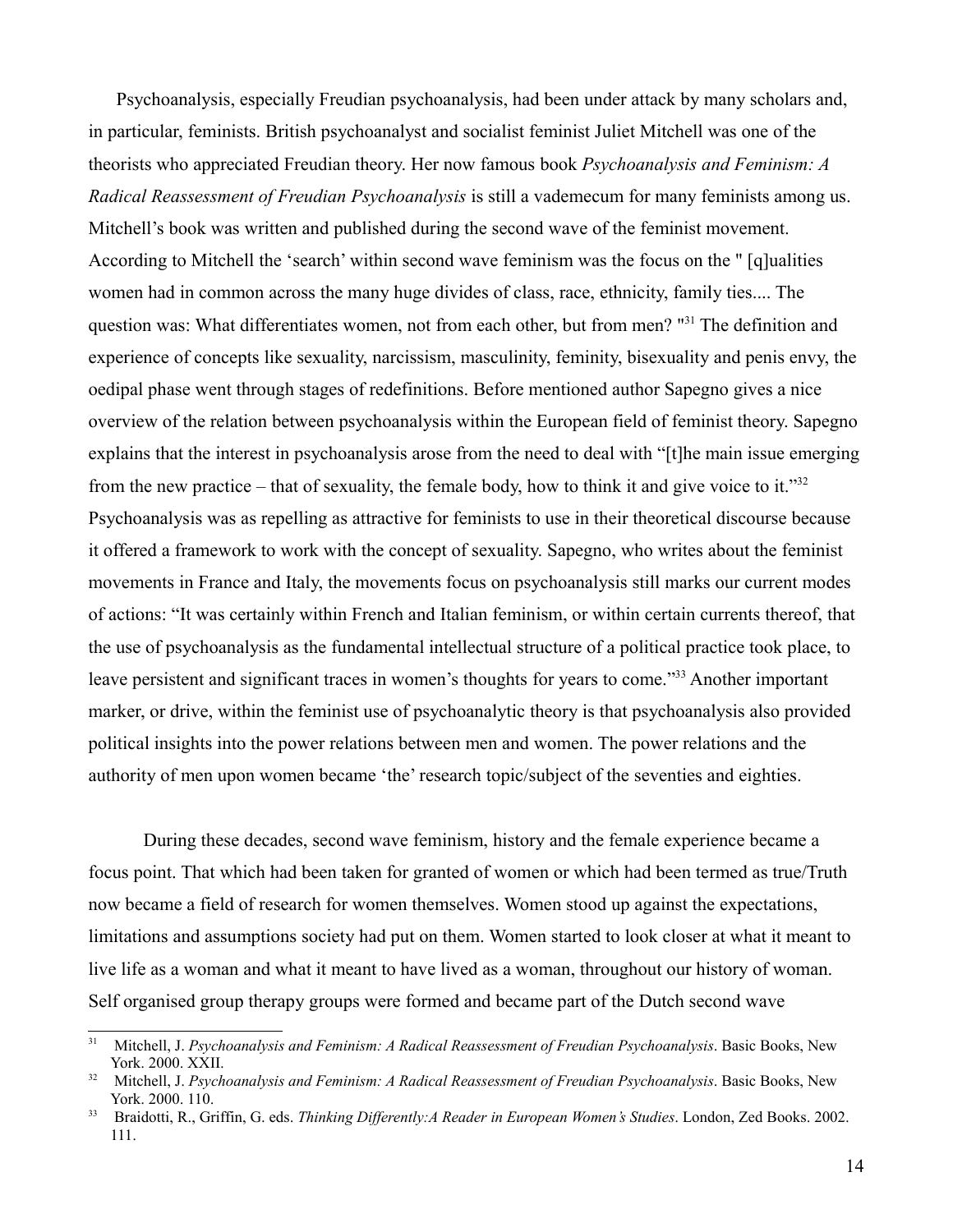Psychoanalysis, especially Freudian psychoanalysis, had been under attack by many scholars and, in particular, feminists. British psychoanalyst and socialist feminist Juliet Mitchell was one of the theorists who appreciated Freudian theory. Her now famous book *Psychoanalysis and Feminism: A Radical Reassessment of Freudian Psychoanalysis* is still a vademecum for many feminists among us. Mitchell's book was written and published during the second wave of the feminist movement. According to Mitchell the 'search' within second wave feminism was the focus on the " [q]ualities women had in common across the many huge divides of class, race, ethnicity, family ties.... The question was: What differentiates women, not from each other, but from men? "<sup>[31](#page-13-0)</sup> The definition and experience of concepts like sexuality, narcissism, masculinity, feminity, bisexuality and penis envy, the oedipal phase went through stages of redefinitions. Before mentioned author Sapegno gives a nice overview of the relation between psychoanalysis within the European field of feminist theory. Sapegno explains that the interest in psychoanalysis arose from the need to deal with "[t]he main issue emerging from the new practice – that of sexuality, the female body, how to think it and give voice to it." $32$ Psychoanalysis was as repelling as attractive for feminists to use in their theoretical discourse because it offered a framework to work with the concept of sexuality. Sapegno, who writes about the feminist movements in France and Italy, the movements focus on psychoanalysis still marks our current modes of actions: "It was certainly within French and Italian feminism, or within certain currents thereof, that the use of psychoanalysis as the fundamental intellectual structure of a political practice took place, to leave persistent and significant traces in women's thoughts for years to come."<sup>[33](#page-13-2)</sup> Another important marker, or drive, within the feminist use of psychoanalytic theory is that psychoanalysis also provided political insights into the power relations between men and women. The power relations and the authority of men upon women became 'the' research topic/subject of the seventies and eighties.

During these decades, second wave feminism, history and the female experience became a focus point. That which had been taken for granted of women or which had been termed as true/Truth now became a field of research for women themselves. Women stood up against the expectations, limitations and assumptions society had put on them. Women started to look closer at what it meant to live life as a woman and what it meant to have lived as a woman, throughout our history of woman. Self organised group therapy groups were formed and became part of the Dutch second wave

<span id="page-13-0"></span><sup>&</sup>lt;sup>31</sup> Mitchell, J. *Psychoanalysis and Feminism: A Radical Reassessment of Freudian Psychoanalysis*. Basic Books, New York. 2000. XXII.

<span id="page-13-1"></span><sup>&</sup>lt;sup>32</sup> Mitchell, J. *Psychoanalysis and Feminism: A Radical Reassessment of Freudian Psychoanalysis*. Basic Books, New York. 2000. 110.

<span id="page-13-2"></span><sup>33</sup> Braidotti, R., Griffin, G. eds. *Thinking Differently:A Reader in European Women's Studies*. London, Zed Books. 2002. 111.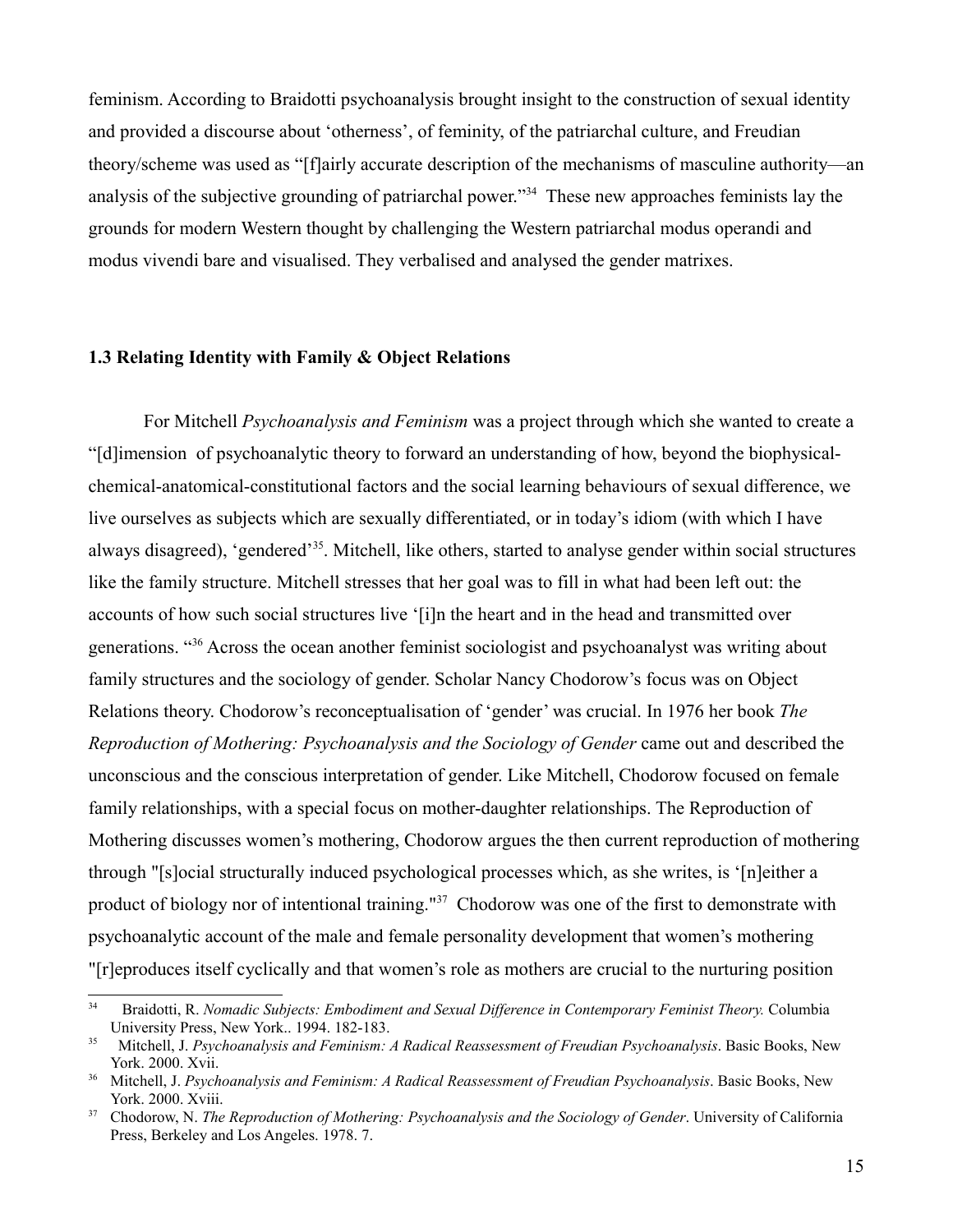feminism. According to Braidotti psychoanalysis brought insight to the construction of sexual identity and provided a discourse about 'otherness', of feminity, of the patriarchal culture, and Freudian theory/scheme was used as "[f]airly accurate description of the mechanisms of masculine authority—an analysis of the subjective grounding of patriarchal power."[34](#page-14-0) These new approaches feminists lay the grounds for modern Western thought by challenging the Western patriarchal modus operandi and modus vivendi bare and visualised. They verbalised and analysed the gender matrixes.

#### **1.3 Relating Identity with Family & Object Relations**

For Mitchell *Psychoanalysis and Feminism* was a project through which she wanted to create a "[d]imension of psychoanalytic theory to forward an understanding of how, beyond the biophysicalchemical-anatomical-constitutional factors and the social learning behaviours of sexual difference, we live ourselves as subjects which are sexually differentiated, or in today's idiom (with which I have always disagreed), 'gendered'[35](#page-14-1). Mitchell, like others, started to analyse gender within social structures like the family structure. Mitchell stresses that her goal was to fill in what had been left out: the accounts of how such social structures live '[i]n the heart and in the head and transmitted over generations. "[36](#page-14-2) Across the ocean another feminist sociologist and psychoanalyst was writing about family structures and the sociology of gender. Scholar Nancy Chodorow's focus was on Object Relations theory. Chodorow's reconceptualisation of 'gender' was crucial. In 1976 her book *The Reproduction of Mothering: Psychoanalysis and the Sociology of Gender* came out and described the unconscious and the conscious interpretation of gender. Like Mitchell, Chodorow focused on female family relationships, with a special focus on mother-daughter relationships. The Reproduction of Mothering discusses women's mothering, Chodorow argues the then current reproduction of mothering through "[s]ocial structurally induced psychological processes which, as she writes, is '[n]either a product of biology nor of intentional training."<sup>[37](#page-14-3)</sup> Chodorow was one of the first to demonstrate with psychoanalytic account of the male and female personality development that women's mothering "[r]eproduces itself cyclically and that women's role as mothers are crucial to the nurturing position

<span id="page-14-0"></span><sup>34</sup> Braidotti, R. *Nomadic Subjects: Embodiment and Sexual Difference in Contemporary Feminist Theory.* Columbia University Press, New York.. 1994. 182-183.

<span id="page-14-1"></span><sup>&</sup>lt;sup>35</sup> Mitchell, J. *Psychoanalysis and Feminism: A Radical Reassessment of Freudian Psychoanalysis*. Basic Books, New York. 2000. Xvii.

<span id="page-14-2"></span><sup>&</sup>lt;sup>36</sup> Mitchell, J. *Psychoanalysis and Feminism: A Radical Reassessment of Freudian Psychoanalysis*. Basic Books, New York. 2000. Xviii.

<span id="page-14-3"></span><sup>37</sup> Chodorow, N. *The Reproduction of Mothering: Psychoanalysis and the Sociology of Gender*. University of California Press, Berkeley and Los Angeles. 1978. 7.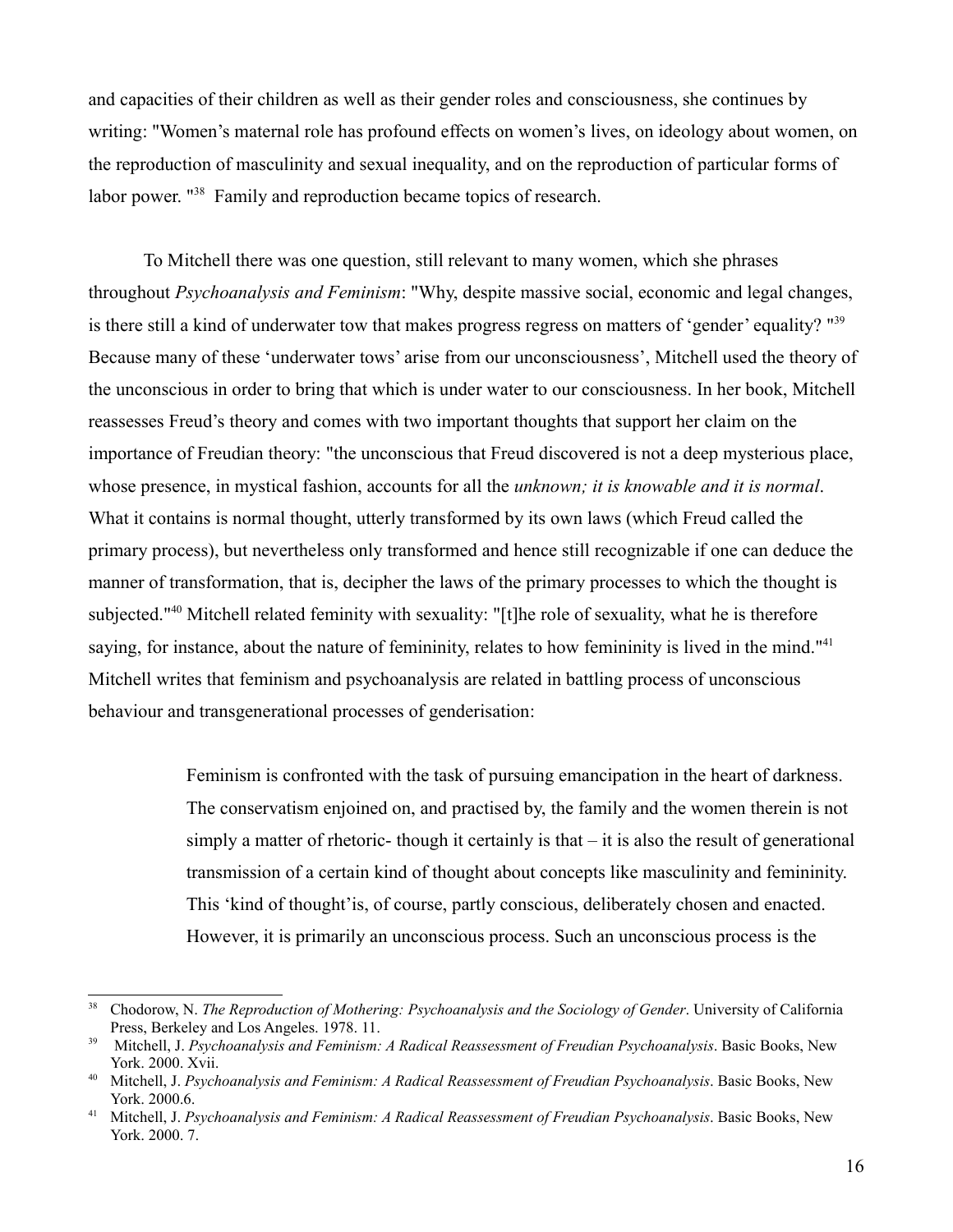and capacities of their children as well as their gender roles and consciousness, she continues by writing: "Women's maternal role has profound effects on women's lives, on ideology about women, on the reproduction of masculinity and sexual inequality, and on the reproduction of particular forms of labor power. "[38](#page-15-0) Family and reproduction became topics of research.

To Mitchell there was one question, still relevant to many women, which she phrases throughout *Psychoanalysis and Feminism*: "Why, despite massive social, economic and legal changes, is there still a kind of underwater tow that makes progress regress on matters of 'gender' equality? "<sup>[39](#page-15-1)</sup> Because many of these 'underwater tows' arise from our unconsciousness', Mitchell used the theory of the unconscious in order to bring that which is under water to our consciousness. In her book, Mitchell reassesses Freud's theory and comes with two important thoughts that support her claim on the importance of Freudian theory: "the unconscious that Freud discovered is not a deep mysterious place, whose presence, in mystical fashion, accounts for all the *unknown; it is knowable and it is normal*. What it contains is normal thought, utterly transformed by its own laws (which Freud called the primary process), but nevertheless only transformed and hence still recognizable if one can deduce the manner of transformation, that is, decipher the laws of the primary processes to which the thought is subjected."[40](#page-15-2) Mitchell related feminity with sexuality: "[t]he role of sexuality, what he is therefore saying, for instance, about the nature of femininity, relates to how femininity is lived in the mind."<sup>[41](#page-15-3)</sup> Mitchell writes that feminism and psychoanalysis are related in battling process of unconscious behaviour and transgenerational processes of genderisation:

> Feminism is confronted with the task of pursuing emancipation in the heart of darkness. The conservatism enjoined on, and practised by, the family and the women therein is not simply a matter of rhetoric- though it certainly is that – it is also the result of generational transmission of a certain kind of thought about concepts like masculinity and femininity. This 'kind of thought'is, of course, partly conscious, deliberately chosen and enacted. However, it is primarily an unconscious process. Such an unconscious process is the

<span id="page-15-0"></span><sup>38</sup> Chodorow, N. *The Reproduction of Mothering: Psychoanalysis and the Sociology of Gender*. University of California Press, Berkeley and Los Angeles. 1978. 11.

<span id="page-15-1"></span><sup>&</sup>lt;sup>39</sup> Mitchell, J. Psychoanalysis and Feminism: A Radical Reassessment of Freudian Psychoanalysis. Basic Books, New York. 2000. Xvii.

<span id="page-15-2"></span><sup>&</sup>lt;sup>40</sup> Mitchell, J. *Psychoanalysis and Feminism: A Radical Reassessment of Freudian Psychoanalysis. Basic Books, New* York. 2000.6.

<span id="page-15-3"></span><sup>41</sup> Mitchell, J. *Psychoanalysis and Feminism: A Radical Reassessment of Freudian Psychoanalysis*. Basic Books, New York. 2000. 7.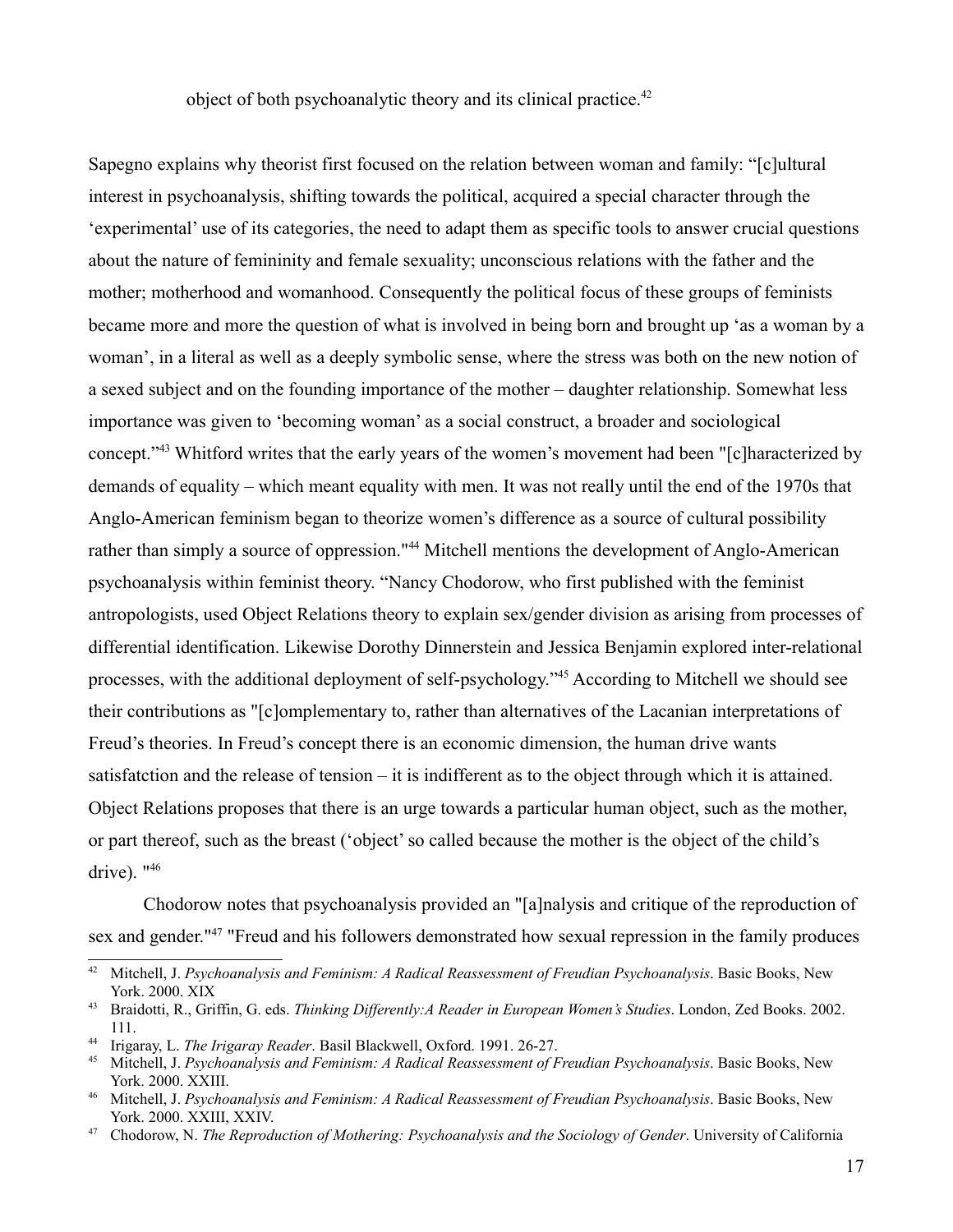object of both psychoanalytic theory and its clinical practice.<sup>[42](#page-16-0)</sup>

Sapegno explains why theorist first focused on the relation between woman and family: "[c]ultural interest in psychoanalysis, shifting towards the political, acquired a special character through the 'experimental' use of its categories, the need to adapt them as specific tools to answer crucial questions about the nature of femininity and female sexuality; unconscious relations with the father and the mother; motherhood and womanhood. Consequently the political focus of these groups of feminists became more and more the question of what is involved in being born and brought up 'as a woman by a woman', in a literal as well as a deeply symbolic sense, where the stress was both on the new notion of a sexed subject and on the founding importance of the mother – daughter relationship. Somewhat less importance was given to 'becoming woman' as a social construct, a broader and sociological concept."[43](#page-16-1) Whitford writes that the early years of the women's movement had been "[c]haracterized by demands of equality – which meant equality with men. It was not really until the end of the 1970s that Anglo-American feminism began to theorize women's difference as a source of cultural possibility rather than simply a source of oppression."<sup>[44](#page-16-2)</sup> Mitchell mentions the development of Anglo-American psychoanalysis within feminist theory. "Nancy Chodorow, who first published with the feminist antropologists, used Object Relations theory to explain sex/gender division as arising from processes of differential identification. Likewise Dorothy Dinnerstein and Jessica Benjamin explored inter-relational processes, with the additional deployment of self-psychology."[45](#page-16-3) According to Mitchell we should see their contributions as "[c]omplementary to, rather than alternatives of the Lacanian interpretations of Freud's theories. In Freud's concept there is an economic dimension, the human drive wants satisfatction and the release of tension – it is indifferent as to the object through which it is attained. Object Relations proposes that there is an urge towards a particular human object, such as the mother, or part thereof, such as the breast ('object' so called because the mother is the object of the child's drive).  $146$  $146$ 

Chodorow notes that psychoanalysis provided an "[a]nalysis and critique of the reproduction of sex and gender."[47](#page-16-5) "Freud and his followers demonstrated how sexual repression in the family produces

<span id="page-16-0"></span><sup>42</sup> Mitchell, J. *Psychoanalysis and Feminism: A Radical Reassessment of Freudian Psychoanalysis*. Basic Books, New York. 2000. XIX

<span id="page-16-1"></span><sup>43</sup> Braidotti, R., Griffin, G. eds. *Thinking Differently:A Reader in European Women's Studies*. London, Zed Books. 2002. 111.

<span id="page-16-2"></span><sup>44</sup> Irigaray, L. *The Irigaray Reader*. Basil Blackwell, Oxford. 1991. 26-27.

<span id="page-16-3"></span><sup>45</sup> Mitchell, J. *Psychoanalysis and Feminism: A Radical Reassessment of Freudian Psychoanalysis*. Basic Books, New York. 2000. XXIII.

<span id="page-16-4"></span><sup>46</sup> Mitchell, J. *Psychoanalysis and Feminism: A Radical Reassessment of Freudian Psychoanalysis*. Basic Books, New York. 2000. XXIII, XXIV.

<span id="page-16-5"></span><sup>47</sup> Chodorow, N. *The Reproduction of Mothering: Psychoanalysis and the Sociology of Gender*. University of California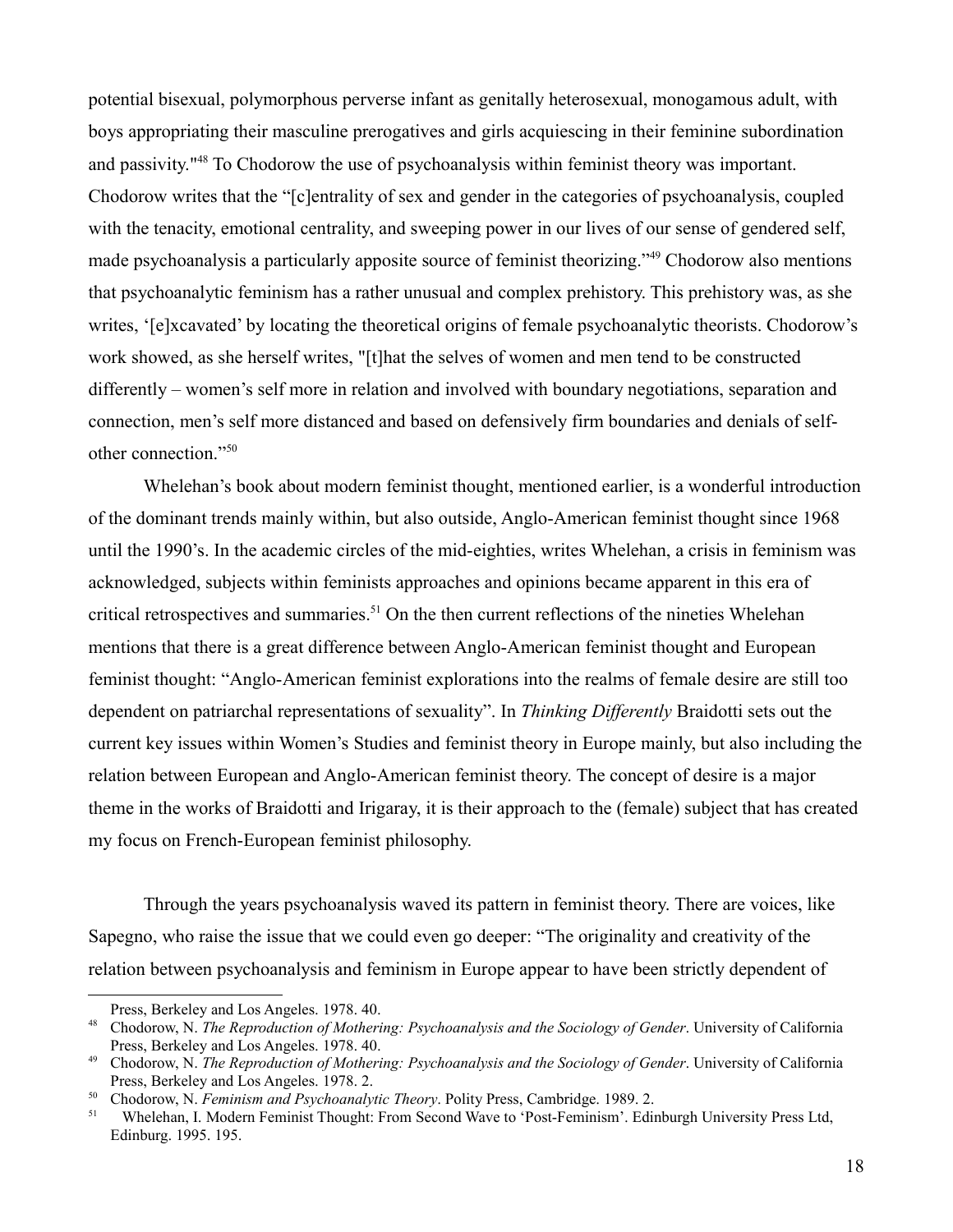potential bisexual, polymorphous perverse infant as genitally heterosexual, monogamous adult, with boys appropriating their masculine prerogatives and girls acquiescing in their feminine subordination and passivity."[48](#page-17-0) To Chodorow the use of psychoanalysis within feminist theory was important. Chodorow writes that the "[c]entrality of sex and gender in the categories of psychoanalysis, coupled with the tenacity, emotional centrality, and sweeping power in our lives of our sense of gendered self, made psychoanalysis a particularly apposite source of feminist theorizing."[49](#page-17-1) Chodorow also mentions that psychoanalytic feminism has a rather unusual and complex prehistory. This prehistory was, as she writes, '[e]xcavated' by locating the theoretical origins of female psychoanalytic theorists. Chodorow's work showed, as she herself writes, "[t]hat the selves of women and men tend to be constructed differently – women's self more in relation and involved with boundary negotiations, separation and connection, men's self more distanced and based on defensively firm boundaries and denials of selfother connection."[50](#page-17-2)

Whelehan's book about modern feminist thought, mentioned earlier, is a wonderful introduction of the dominant trends mainly within, but also outside, Anglo-American feminist thought since 1968 until the 1990's. In the academic circles of the mid-eighties, writes Whelehan, a crisis in feminism was acknowledged, subjects within feminists approaches and opinions became apparent in this era of critical retrospectives and summaries.<sup>[51](#page-17-3)</sup> On the then current reflections of the nineties Whelehan mentions that there is a great difference between Anglo-American feminist thought and European feminist thought: "Anglo-American feminist explorations into the realms of female desire are still too dependent on patriarchal representations of sexuality". In *Thinking Differently* Braidotti sets out the current key issues within Women's Studies and feminist theory in Europe mainly, but also including the relation between European and Anglo-American feminist theory. The concept of desire is a major theme in the works of Braidotti and Irigaray, it is their approach to the (female) subject that has created my focus on French-European feminist philosophy.

Through the years psychoanalysis waved its pattern in feminist theory. There are voices, like Sapegno, who raise the issue that we could even go deeper: "The originality and creativity of the relation between psychoanalysis and feminism in Europe appear to have been strictly dependent of

<span id="page-17-0"></span>Press, Berkeley and Los Angeles. 1978. 40.

<sup>48</sup> Chodorow, N. *The Reproduction of Mothering: Psychoanalysis and the Sociology of Gender*. University of California Press, Berkeley and Los Angeles. 1978. 40.

<span id="page-17-1"></span><sup>49</sup> Chodorow, N. *The Reproduction of Mothering: Psychoanalysis and the Sociology of Gender*. University of California Press, Berkeley and Los Angeles. 1978. 2.

<span id="page-17-2"></span><sup>50</sup> Chodorow, N. *Feminism and Psychoanalytic Theory*. Polity Press, Cambridge. 1989. 2.

<span id="page-17-3"></span><sup>51</sup> Whelehan, I. Modern Feminist Thought: From Second Wave to 'Post-Feminism'. Edinburgh University Press Ltd, Edinburg. 1995. 195.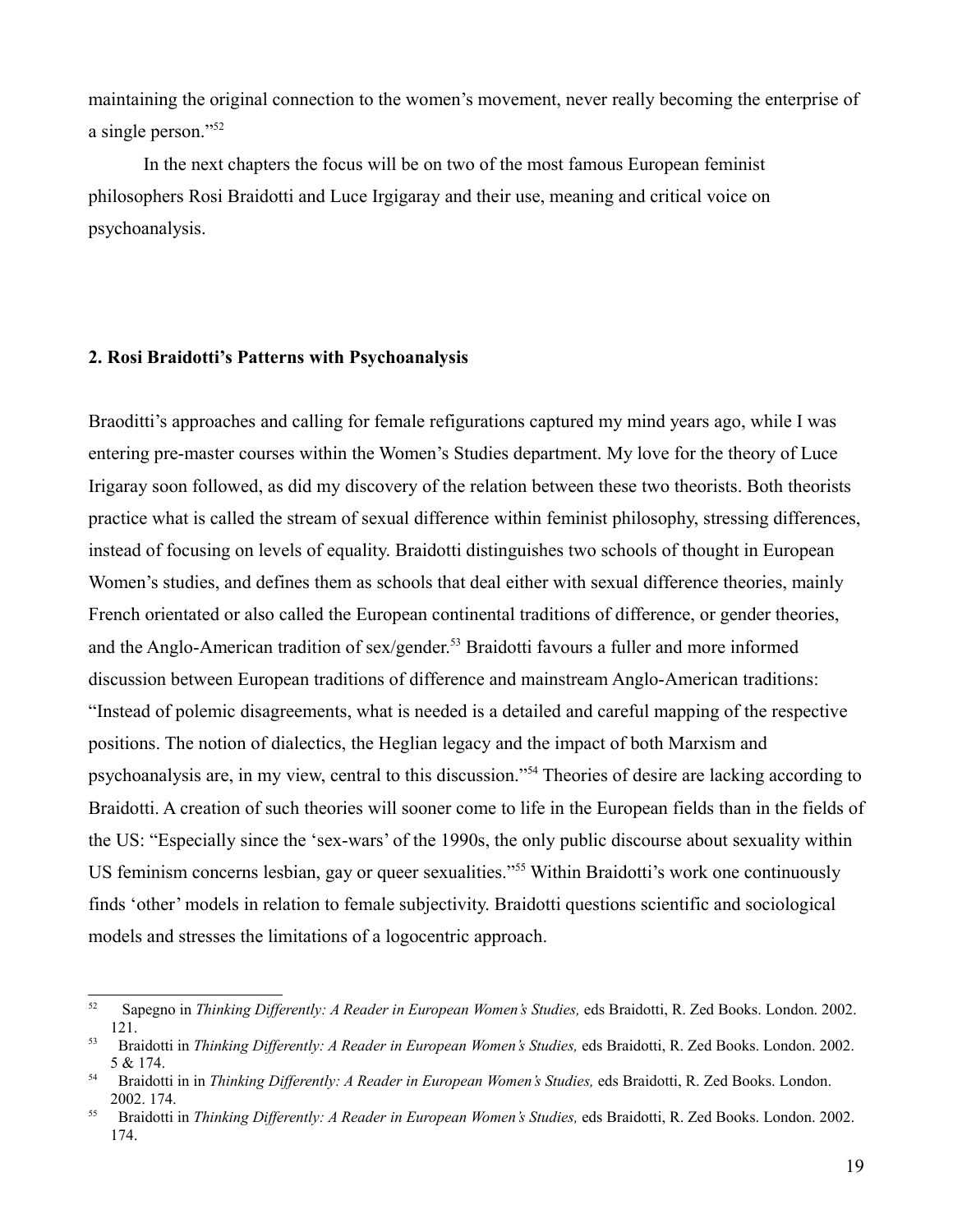maintaining the original connection to the women's movement, never really becoming the enterprise of a single person."[52](#page-18-0)

In the next chapters the focus will be on two of the most famous European feminist philosophers Rosi Braidotti and Luce Irgigaray and their use, meaning and critical voice on psychoanalysis.

### **2. Rosi Braidotti's Patterns with Psychoanalysis**

Braoditti's approaches and calling for female refigurations captured my mind years ago, while I was entering pre-master courses within the Women's Studies department. My love for the theory of Luce Irigaray soon followed, as did my discovery of the relation between these two theorists. Both theorists practice what is called the stream of sexual difference within feminist philosophy, stressing differences, instead of focusing on levels of equality. Braidotti distinguishes two schools of thought in European Women's studies, and defines them as schools that deal either with sexual difference theories, mainly French orientated or also called the European continental traditions of difference, or gender theories, and the Anglo-American tradition of sex/gender.<sup>[53](#page-18-1)</sup> Braidotti favours a fuller and more informed discussion between European traditions of difference and mainstream Anglo-American traditions: "Instead of polemic disagreements, what is needed is a detailed and careful mapping of the respective positions. The notion of dialectics, the Heglian legacy and the impact of both Marxism and psychoanalysis are, in my view, central to this discussion."[54](#page-18-2) Theories of desire are lacking according to Braidotti. A creation of such theories will sooner come to life in the European fields than in the fields of the US: "Especially since the 'sex-wars' of the 1990s, the only public discourse about sexuality within US feminism concerns lesbian, gay or queer sexualities."<sup>[55](#page-18-3)</sup> Within Braidotti's work one continuously finds 'other' models in relation to female subjectivity. Braidotti questions scientific and sociological models and stresses the limitations of a logocentric approach.

<span id="page-18-0"></span><sup>52</sup> Sapegno in *Thinking Differently: A Reader in European Women's Studies,* eds Braidotti, R. Zed Books. London. 2002. 121.

<span id="page-18-1"></span><sup>53</sup> Braidotti in *Thinking Differently: A Reader in European Women's Studies,* eds Braidotti, R. Zed Books. London. 2002. 5 & 174.

<span id="page-18-2"></span><sup>54</sup> Braidotti in in *Thinking Differently: A Reader in European Women's Studies,* eds Braidotti, R. Zed Books. London. 2002. 174.

<span id="page-18-3"></span><sup>55</sup> Braidotti in *Thinking Differently: A Reader in European Women's Studies,* eds Braidotti, R. Zed Books. London. 2002. 174.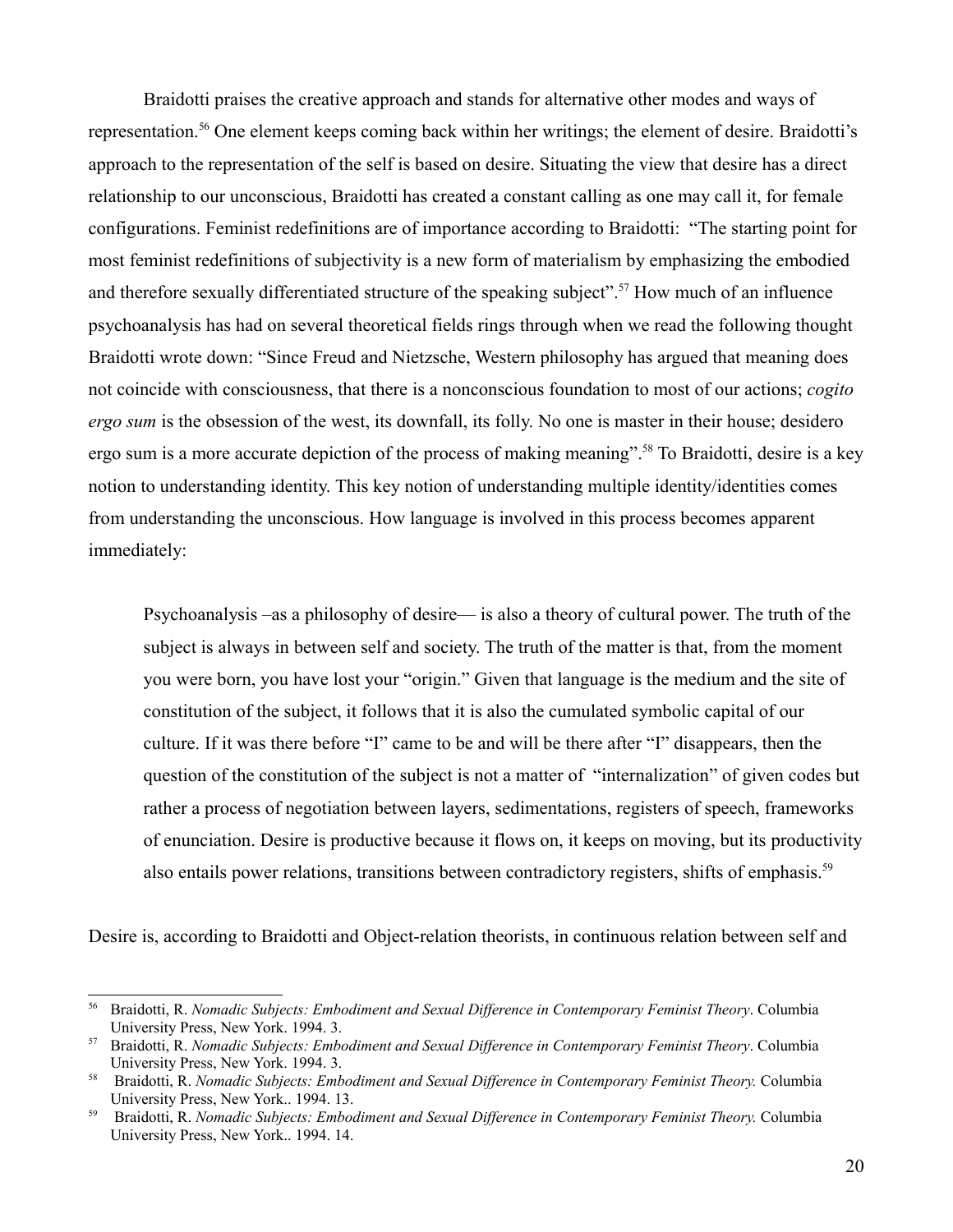Braidotti praises the creative approach and stands for alternative other modes and ways of representation.[56](#page-19-0) One element keeps coming back within her writings; the element of desire. Braidotti's approach to the representation of the self is based on desire. Situating the view that desire has a direct relationship to our unconscious, Braidotti has created a constant calling as one may call it, for female configurations. Feminist redefinitions are of importance according to Braidotti: "The starting point for most feminist redefinitions of subjectivity is a new form of materialism by emphasizing the embodied and therefore sexually differentiated structure of the speaking subject".<sup>[57](#page-19-1)</sup> How much of an influence psychoanalysis has had on several theoretical fields rings through when we read the following thought Braidotti wrote down: "Since Freud and Nietzsche, Western philosophy has argued that meaning does not coincide with consciousness, that there is a nonconscious foundation to most of our actions; *cogito ergo sum* is the obsession of the west, its downfall, its folly. No one is master in their house; desidero ergo sum is a more accurate depiction of the process of making meaning".<sup>[58](#page-19-2)</sup> To Braidotti, desire is a key notion to understanding identity. This key notion of understanding multiple identity/identities comes from understanding the unconscious. How language is involved in this process becomes apparent immediately:

Psychoanalysis –as a philosophy of desire— is also a theory of cultural power. The truth of the subject is always in between self and society. The truth of the matter is that, from the moment you were born, you have lost your "origin." Given that language is the medium and the site of constitution of the subject, it follows that it is also the cumulated symbolic capital of our culture. If it was there before "I" came to be and will be there after "I" disappears, then the question of the constitution of the subject is not a matter of "internalization" of given codes but rather a process of negotiation between layers, sedimentations, registers of speech, frameworks of enunciation. Desire is productive because it flows on, it keeps on moving, but its productivity also entails power relations, transitions between contradictory registers, shifts of emphasis.<sup>[59](#page-19-3)</sup>

Desire is, according to Braidotti and Object-relation theorists, in continuous relation between self and

<span id="page-19-0"></span><sup>56</sup> Braidotti, R. *Nomadic Subjects: Embodiment and Sexual Difference in Contemporary Feminist Theory*. Columbia University Press, New York. 1994. 3.

<span id="page-19-1"></span><sup>57</sup> Braidotti, R. *Nomadic Subjects: Embodiment and Sexual Difference in Contemporary Feminist Theory*. Columbia University Press, New York. 1994. 3.

<span id="page-19-2"></span><sup>58</sup> Braidotti, R. *Nomadic Subjects: Embodiment and Sexual Difference in Contemporary Feminist Theory.* Columbia University Press, New York.. 1994. 13.

<span id="page-19-3"></span><sup>59</sup> Braidotti, R. *Nomadic Subjects: Embodiment and Sexual Difference in Contemporary Feminist Theory.* Columbia University Press, New York.. 1994. 14.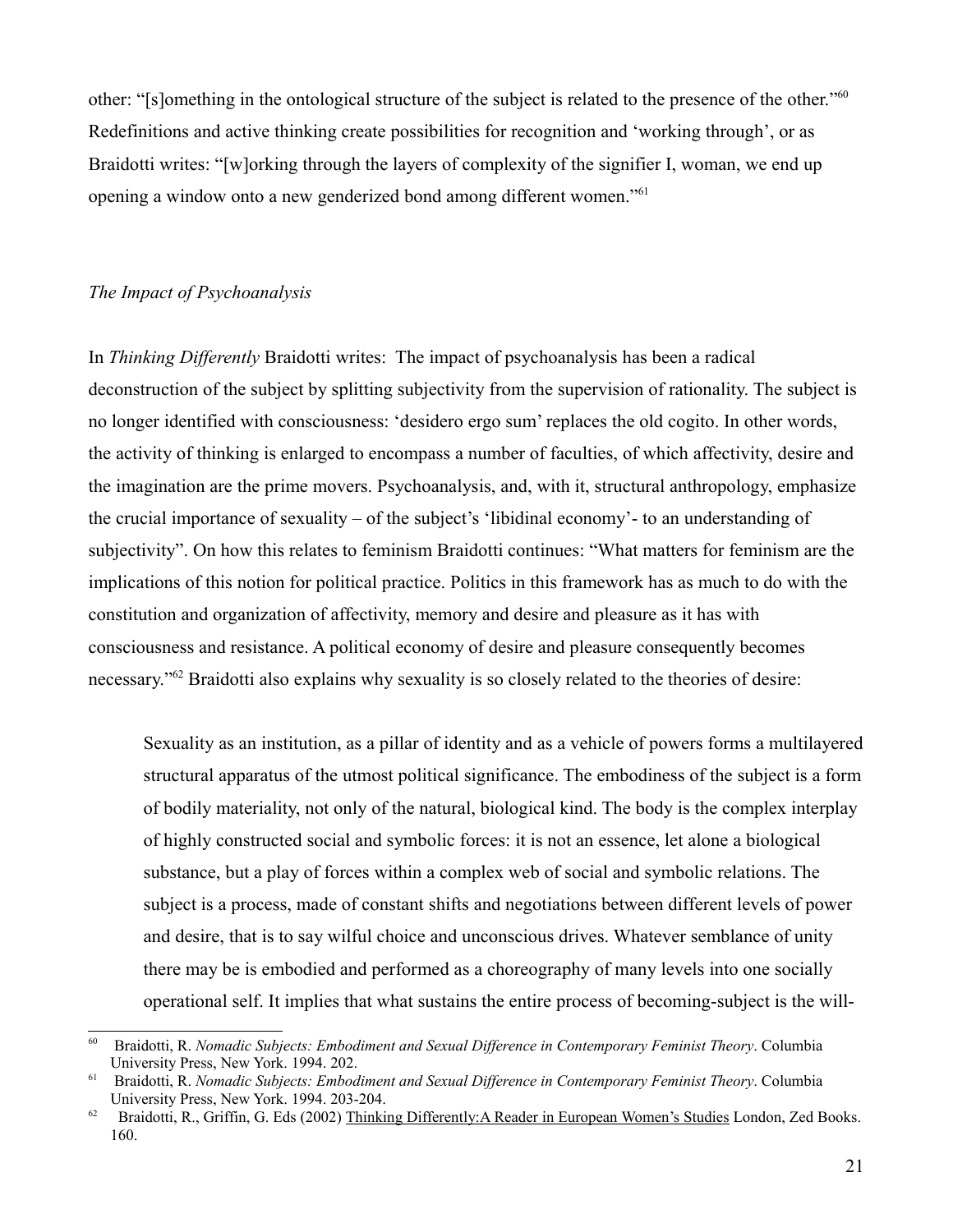other: "[s]omething in the ontological structure of the subject is related to the presence of the other."[60](#page-20-0) Redefinitions and active thinking create possibilities for recognition and 'working through', or as Braidotti writes: "[w]orking through the layers of complexity of the signifier I, woman, we end up opening a window onto a new genderized bond among different women."[61](#page-20-1)

## *The Impact of Psychoanalysis*

In *Thinking Differently* Braidotti writes: The impact of psychoanalysis has been a radical deconstruction of the subject by splitting subjectivity from the supervision of rationality. The subject is no longer identified with consciousness: 'desidero ergo sum' replaces the old cogito. In other words, the activity of thinking is enlarged to encompass a number of faculties, of which affectivity, desire and the imagination are the prime movers. Psychoanalysis, and, with it, structural anthropology, emphasize the crucial importance of sexuality – of the subject's 'libidinal economy'- to an understanding of subjectivity". On how this relates to feminism Braidotti continues: "What matters for feminism are the implications of this notion for political practice. Politics in this framework has as much to do with the constitution and organization of affectivity, memory and desire and pleasure as it has with consciousness and resistance. A political economy of desire and pleasure consequently becomes necessary."<sup>[62](#page-20-2)</sup> Braidotti also explains why sexuality is so closely related to the theories of desire:

Sexuality as an institution, as a pillar of identity and as a vehicle of powers forms a multilayered structural apparatus of the utmost political significance. The embodiness of the subject is a form of bodily materiality, not only of the natural, biological kind. The body is the complex interplay of highly constructed social and symbolic forces: it is not an essence, let alone a biological substance, but a play of forces within a complex web of social and symbolic relations. The subject is a process, made of constant shifts and negotiations between different levels of power and desire, that is to say wilful choice and unconscious drives. Whatever semblance of unity there may be is embodied and performed as a choreography of many levels into one socially operational self. It implies that what sustains the entire process of becoming-subject is the will-

<span id="page-20-0"></span><sup>60</sup> Braidotti, R. *Nomadic Subjects: Embodiment and Sexual Difference in Contemporary Feminist Theory*. Columbia University Press, New York. 1994. 202.

<span id="page-20-1"></span><sup>61</sup> Braidotti, R. *Nomadic Subjects: Embodiment and Sexual Difference in Contemporary Feminist Theory*. Columbia University Press, New York. 1994. 203-204.

<span id="page-20-2"></span><sup>62</sup> Braidotti, R., Griffin, G. Eds (2002) Thinking Differently:A Reader in European Women's Studies London, Zed Books. 160.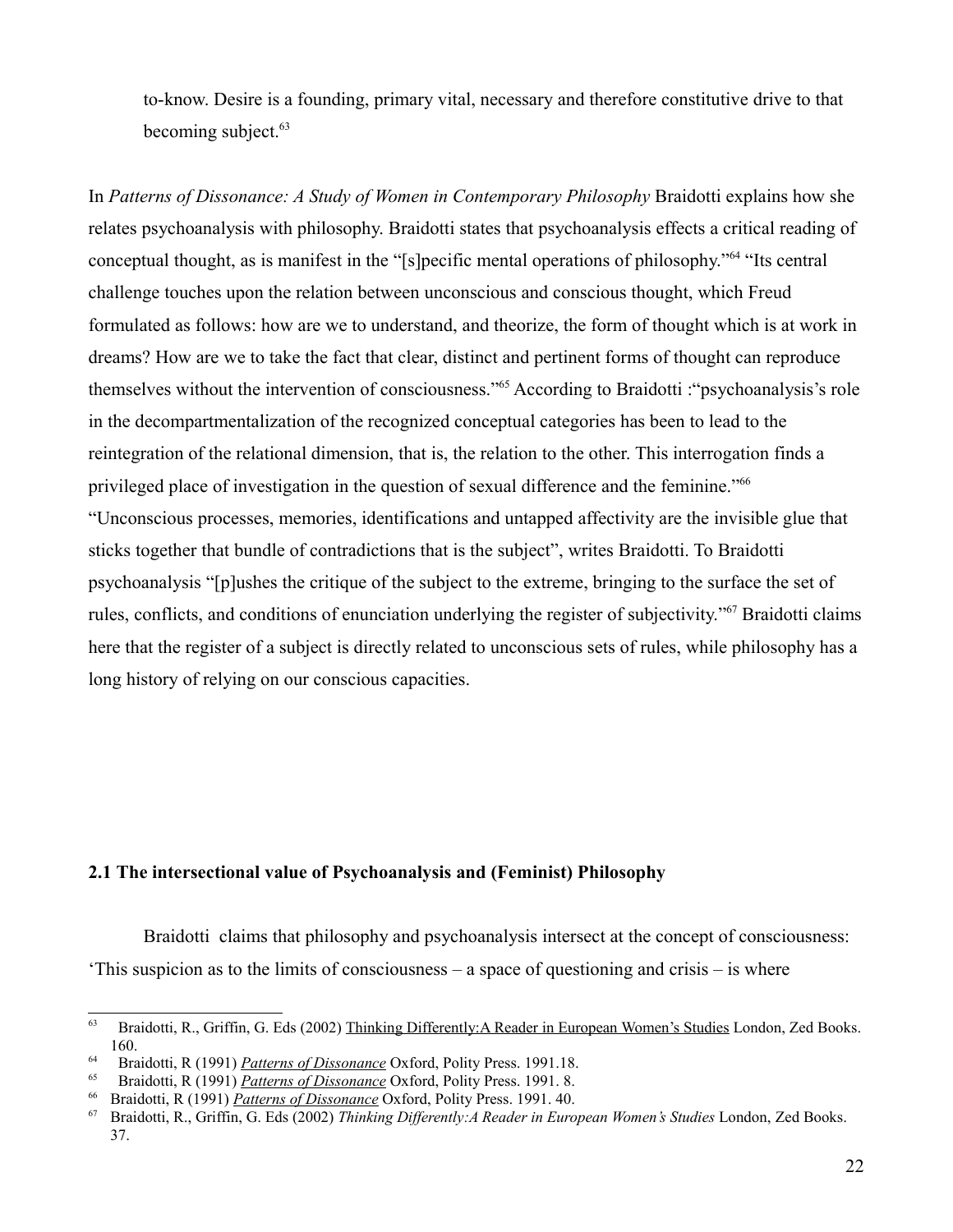to-know. Desire is a founding, primary vital, necessary and therefore constitutive drive to that becoming subject.<sup>[63](#page-21-0)</sup>

In *Patterns of Dissonance: A Study of Women in Contemporary Philosophy* Braidotti explains how she relates psychoanalysis with philosophy. Braidotti states that psychoanalysis effects a critical reading of conceptual thought, as is manifest in the "[s]pecific mental operations of philosophy."[64](#page-21-1) "Its central challenge touches upon the relation between unconscious and conscious thought, which Freud formulated as follows: how are we to understand, and theorize, the form of thought which is at work in dreams? How are we to take the fact that clear, distinct and pertinent forms of thought can reproduce themselves without the intervention of consciousness."[65](#page-21-2) According to Braidotti :"psychoanalysis's role in the decompartmentalization of the recognized conceptual categories has been to lead to the reintegration of the relational dimension, that is, the relation to the other. This interrogation finds a privileged place of investigation in the question of sexual difference and the feminine."<sup>[66](#page-21-3)</sup> "Unconscious processes, memories, identifications and untapped affectivity are the invisible glue that sticks together that bundle of contradictions that is the subject", writes Braidotti. To Braidotti psychoanalysis "[p]ushes the critique of the subject to the extreme, bringing to the surface the set of rules, conflicts, and conditions of enunciation underlying the register of subjectivity."[67](#page-21-4) Braidotti claims here that the register of a subject is directly related to unconscious sets of rules, while philosophy has a long history of relying on our conscious capacities.

## **2.1 The intersectional value of Psychoanalysis and (Feminist) Philosophy**

Braidotti claims that philosophy and psychoanalysis intersect at the concept of consciousness: 'This suspicion as to the limits of consciousness – a space of questioning and crisis – is where

<span id="page-21-0"></span><sup>63</sup> Braidotti, R., Griffin, G. Eds (2002) Thinking Differently:A Reader in European Women's Studies London, Zed Books. 160.

<span id="page-21-1"></span><sup>64</sup> Braidotti, R (1991) *Patterns of Dissonance* Oxford, Polity Press. 1991.18.

<span id="page-21-2"></span><sup>65</sup> Braidotti, R (1991) *Patterns of Dissonance* Oxford, Polity Press. 1991. 8.

<span id="page-21-3"></span><sup>66</sup> Braidotti, R (1991) *Patterns of Dissonance* Oxford, Polity Press. 1991. 40.

<span id="page-21-4"></span><sup>67</sup> Braidotti, R., Griffin, G. Eds (2002) *Thinking Differently:A Reader in European Women's Studies* London, Zed Books. 37.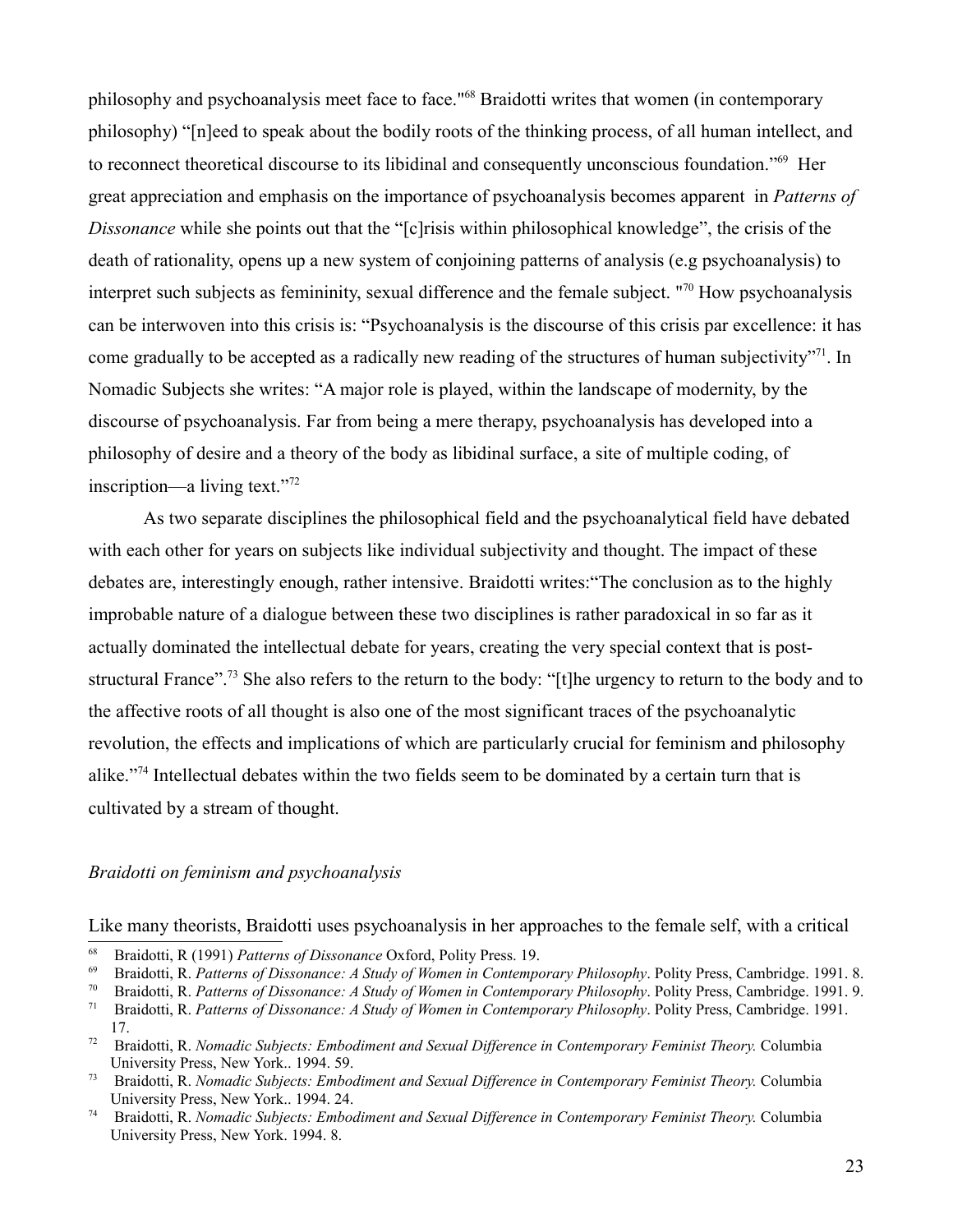philosophy and psychoanalysis meet face to face."[68](#page-22-0) Braidotti writes that women (in contemporary philosophy) "[n]eed to speak about the bodily roots of the thinking process, of all human intellect, and to reconnect theoretical discourse to its libidinal and consequently unconscious foundation."<sup>[69](#page-22-1)</sup> Her great appreciation and emphasis on the importance of psychoanalysis becomes apparent in *Patterns of Dissonance* while she points out that the "[c]risis within philosophical knowledge", the crisis of the death of rationality, opens up a new system of conjoining patterns of analysis (e.g psychoanalysis) to interpret such subjects as femininity, sexual difference and the female subject. "[70](#page-22-2) How psychoanalysis can be interwoven into this crisis is: "Psychoanalysis is the discourse of this crisis par excellence: it has come gradually to be accepted as a radically new reading of the structures of human subjectivity"[71](#page-22-3). In Nomadic Subjects she writes: "A major role is played, within the landscape of modernity, by the discourse of psychoanalysis. Far from being a mere therapy, psychoanalysis has developed into a philosophy of desire and a theory of the body as libidinal surface, a site of multiple coding, of inscription—a living text."[72](#page-22-4)

As two separate disciplines the philosophical field and the psychoanalytical field have debated with each other for years on subjects like individual subjectivity and thought. The impact of these debates are, interestingly enough, rather intensive. Braidotti writes:"The conclusion as to the highly improbable nature of a dialogue between these two disciplines is rather paradoxical in so far as it actually dominated the intellectual debate for years, creating the very special context that is post-structural France".<sup>[73](#page-22-5)</sup> She also refers to the return to the body: "[t]he urgency to return to the body and to the affective roots of all thought is also one of the most significant traces of the psychoanalytic revolution, the effects and implications of which are particularly crucial for feminism and philosophy alike."[74](#page-22-6) Intellectual debates within the two fields seem to be dominated by a certain turn that is cultivated by a stream of thought.

## *Braidotti on feminism and psychoanalysis*

Like many theorists, Braidotti uses psychoanalysis in her approaches to the female self, with a critical

<span id="page-22-0"></span><sup>68</sup> Braidotti, R (1991) *Patterns of Dissonance* Oxford, Polity Press. 19.

<span id="page-22-1"></span><sup>69</sup> Braidotti, R. *Patterns of Dissonance: A Study of Women in Contemporary Philosophy*. Polity Press, Cambridge. 1991. 8.

<span id="page-22-2"></span><sup>70</sup> Braidotti, R. *Patterns of Dissonance: A Study of Women in Contemporary Philosophy*. Polity Press, Cambridge. 1991. 9.

<span id="page-22-3"></span><sup>71</sup> Braidotti, R. *Patterns of Dissonance: A Study of Women in Contemporary Philosophy*. Polity Press, Cambridge. 1991. 17.

<span id="page-22-4"></span><sup>72</sup> Braidotti, R. *Nomadic Subjects: Embodiment and Sexual Difference in Contemporary Feminist Theory.* Columbia University Press, New York.. 1994. 59.

<span id="page-22-5"></span><sup>73</sup> Braidotti, R. *Nomadic Subjects: Embodiment and Sexual Difference in Contemporary Feminist Theory.* Columbia University Press, New York.. 1994. 24.

<span id="page-22-6"></span><sup>74</sup> Braidotti, R. *Nomadic Subjects: Embodiment and Sexual Difference in Contemporary Feminist Theory.* Columbia University Press, New York. 1994. 8.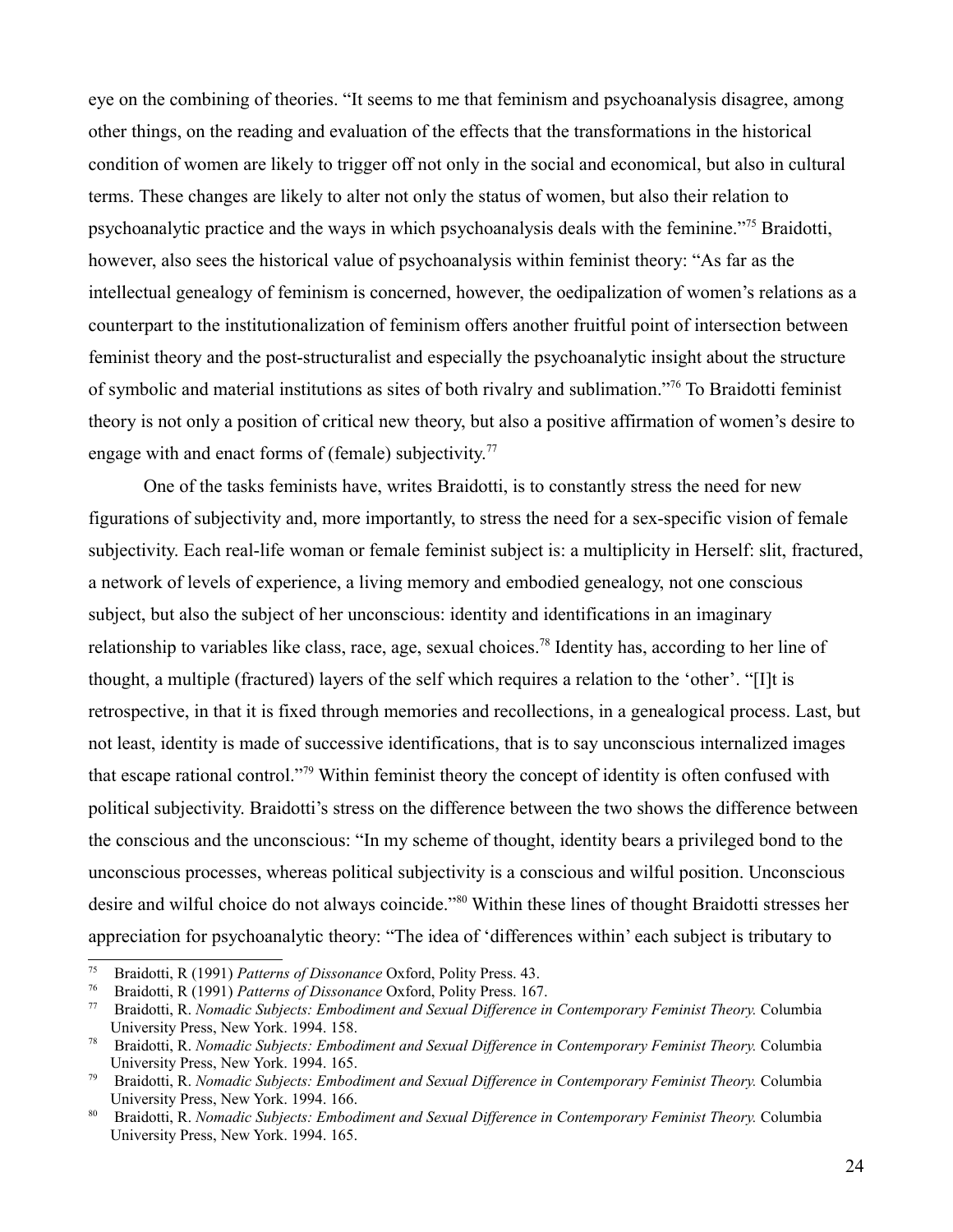eye on the combining of theories. "It seems to me that feminism and psychoanalysis disagree, among other things, on the reading and evaluation of the effects that the transformations in the historical condition of women are likely to trigger off not only in the social and economical, but also in cultural terms. These changes are likely to alter not only the status of women, but also their relation to psychoanalytic practice and the ways in which psychoanalysis deals with the feminine."[75](#page-23-0) Braidotti, however, also sees the historical value of psychoanalysis within feminist theory: "As far as the intellectual genealogy of feminism is concerned, however, the oedipalization of women's relations as a counterpart to the institutionalization of feminism offers another fruitful point of intersection between feminist theory and the post-structuralist and especially the psychoanalytic insight about the structure of symbolic and material institutions as sites of both rivalry and sublimation."[76](#page-23-1) To Braidotti feminist theory is not only a position of critical new theory, but also a positive affirmation of women's desire to engage with and enact forms of (female) subjectivity.<sup>[77](#page-23-2)</sup>

One of the tasks feminists have, writes Braidotti, is to constantly stress the need for new figurations of subjectivity and, more importantly, to stress the need for a sex-specific vision of female subjectivity. Each real-life woman or female feminist subject is: a multiplicity in Herself: slit, fractured, a network of levels of experience, a living memory and embodied genealogy, not one conscious subject, but also the subject of her unconscious: identity and identifications in an imaginary relationship to variables like class, race, age, sexual choices.[78](#page-23-3) Identity has, according to her line of thought, a multiple (fractured) layers of the self which requires a relation to the 'other'. "[I]t is retrospective, in that it is fixed through memories and recollections, in a genealogical process. Last, but not least, identity is made of successive identifications, that is to say unconscious internalized images that escape rational control."[79](#page-23-4) Within feminist theory the concept of identity is often confused with political subjectivity. Braidotti's stress on the difference between the two shows the difference between the conscious and the unconscious: "In my scheme of thought, identity bears a privileged bond to the unconscious processes, whereas political subjectivity is a conscious and wilful position. Unconscious desire and wilful choice do not always coincide."[80](#page-23-5) Within these lines of thought Braidotti stresses her appreciation for psychoanalytic theory: "The idea of 'differences within' each subject is tributary to

<span id="page-23-0"></span><sup>75</sup> Braidotti, R (1991) *Patterns of Dissonance* Oxford, Polity Press. 43.

<span id="page-23-1"></span><sup>76</sup> Braidotti, R (1991) *Patterns of Dissonance* Oxford, Polity Press. 167.

<span id="page-23-2"></span><sup>77</sup> Braidotti, R. *Nomadic Subjects: Embodiment and Sexual Difference in Contemporary Feminist Theory.* Columbia University Press, New York. 1994. 158.

<span id="page-23-3"></span><sup>78</sup> Braidotti, R. *Nomadic Subjects: Embodiment and Sexual Difference in Contemporary Feminist Theory.* Columbia University Press, New York. 1994. 165.

<span id="page-23-4"></span><sup>79</sup> Braidotti, R. *Nomadic Subjects: Embodiment and Sexual Difference in Contemporary Feminist Theory.* Columbia University Press, New York. 1994. 166.

<span id="page-23-5"></span><sup>80</sup> Braidotti, R. *Nomadic Subjects: Embodiment and Sexual Difference in Contemporary Feminist Theory.* Columbia University Press, New York. 1994. 165.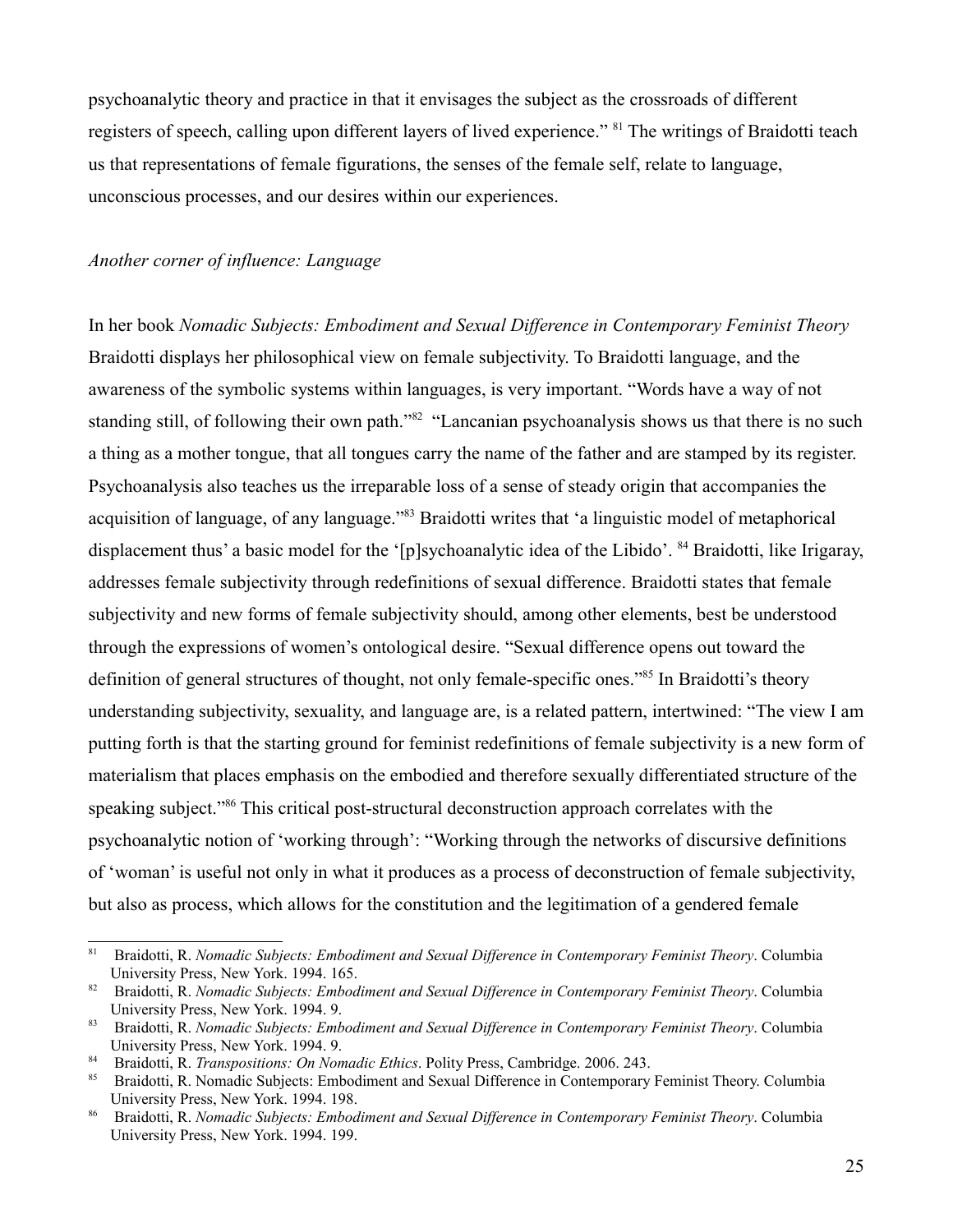psychoanalytic theory and practice in that it envisages the subject as the crossroads of different registers of speech, calling upon different layers of lived experience." [81](#page-24-0) The writings of Braidotti teach us that representations of female figurations, the senses of the female self, relate to language, unconscious processes, and our desires within our experiences.

## *Another corner of influence: Language*

In her book *Nomadic Subjects: Embodiment and Sexual Difference in Contemporary Feminist Theory* Braidotti displays her philosophical view on female subjectivity. To Braidotti language, and the awareness of the symbolic systems within languages, is very important. "Words have a way of not standing still, of following their own path.<sup>7[82](#page-24-1)</sup> "Lancanian psychoanalysis shows us that there is no such a thing as a mother tongue, that all tongues carry the name of the father and are stamped by its register. Psychoanalysis also teaches us the irreparable loss of a sense of steady origin that accompanies the acquisition of language, of any language."[83](#page-24-2) Braidotti writes that 'a linguistic model of metaphorical displacement thus' a basic model for the '[p]sychoanalytic idea of the Libido'. <sup>[84](#page-24-3)</sup> Braidotti, like Irigaray, addresses female subjectivity through redefinitions of sexual difference. Braidotti states that female subjectivity and new forms of female subjectivity should, among other elements, best be understood through the expressions of women's ontological desire. "Sexual difference opens out toward the definition of general structures of thought, not only female-specific ones."<sup>[85](#page-24-4)</sup> In Braidotti's theory understanding subjectivity, sexuality, and language are, is a related pattern, intertwined: "The view I am putting forth is that the starting ground for feminist redefinitions of female subjectivity is a new form of materialism that places emphasis on the embodied and therefore sexually differentiated structure of the speaking subject."<sup>[86](#page-24-5)</sup> This critical post-structural deconstruction approach correlates with the psychoanalytic notion of 'working through': "Working through the networks of discursive definitions of 'woman' is useful not only in what it produces as a process of deconstruction of female subjectivity, but also as process, which allows for the constitution and the legitimation of a gendered female

<span id="page-24-0"></span><sup>81</sup> Braidotti, R. *Nomadic Subjects: Embodiment and Sexual Difference in Contemporary Feminist Theory*. Columbia University Press, New York. 1994. 165.

<span id="page-24-1"></span><sup>82</sup> Braidotti, R. *Nomadic Subjects: Embodiment and Sexual Difference in Contemporary Feminist Theory*. Columbia University Press, New York. 1994. 9.

<span id="page-24-2"></span><sup>83</sup> Braidotti, R. *Nomadic Subjects: Embodiment and Sexual Difference in Contemporary Feminist Theory*. Columbia University Press, New York. 1994. 9.

<span id="page-24-3"></span><sup>84</sup> Braidotti, R. *Transpositions: On Nomadic Ethics*. Polity Press, Cambridge. 2006. 243.

<span id="page-24-4"></span><sup>85</sup> Braidotti, R. Nomadic Subjects: Embodiment and Sexual Difference in Contemporary Feminist Theory. Columbia University Press, New York. 1994. 198.

<span id="page-24-5"></span><sup>86</sup> Braidotti, R. *Nomadic Subjects: Embodiment and Sexual Difference in Contemporary Feminist Theory*. Columbia University Press, New York. 1994. 199.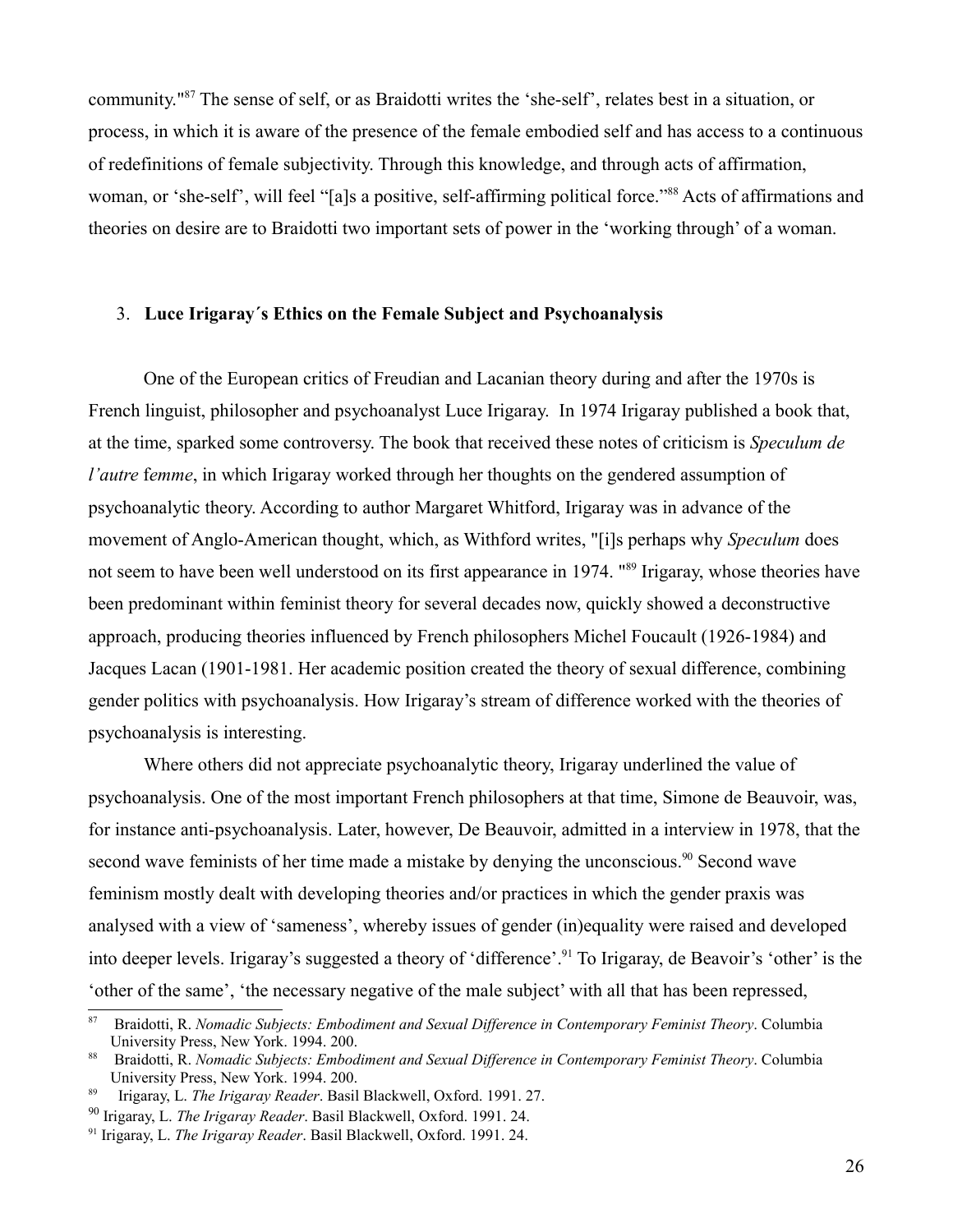community."[87](#page-25-0) The sense of self, or as Braidotti writes the 'she-self', relates best in a situation, or process, in which it is aware of the presence of the female embodied self and has access to a continuous of redefinitions of female subjectivity. Through this knowledge, and through acts of affirmation, woman, or 'she-self', will feel "[a]s a positive, self-affirming political force."[88](#page-25-1) Acts of affirmations and theories on desire are to Braidotti two important sets of power in the 'working through' of a woman.

#### 3. **Luce Irigaray´s Ethics on the Female Subject and Psychoanalysis**

One of the European critics of Freudian and Lacanian theory during and after the 1970s is French linguist, philosopher and psychoanalyst Luce Irigaray. In 1974 Irigaray published a book that, at the time, sparked some controversy. The book that received these notes of criticism is *Speculum de l'autre femme*, in which Irigaray worked through her thoughts on the gendered assumption of psychoanalytic theory. According to author Margaret Whitford, Irigaray was in advance of the movement of Anglo-American thought, which, as Withford writes, "[i]s perhaps why *Speculum* does not seem to have been well understood on its first appearance in 1974. "<sup>[89](#page-25-2)</sup> Irigaray, whose theories have been predominant within feminist theory for several decades now, quickly showed a deconstructive approach, producing theories influenced by French philosophers Michel Foucault (1926-1984) and Jacques Lacan (1901-1981. Her academic position created the theory of sexual difference, combining gender politics with psychoanalysis. How Irigaray's stream of difference worked with the theories of psychoanalysis is interesting.

Where others did not appreciate psychoanalytic theory, Irigaray underlined the value of psychoanalysis. One of the most important French philosophers at that time, Simone de Beauvoir, was, for instance anti-psychoanalysis. Later, however, De Beauvoir, admitted in a interview in 1978, that the second wave feminists of her time made a mistake by denying the unconscious.<sup>[90](#page-25-3)</sup> Second wave feminism mostly dealt with developing theories and/or practices in which the gender praxis was analysed with a view of 'sameness', whereby issues of gender (in)equality were raised and developed into deeper levels. Irigaray's suggested a theory of 'difference'.<sup>[91](#page-25-4)</sup> To Irigaray, de Beavoir's 'other' is the 'other of the same', 'the necessary negative of the male subject' with all that has been repressed,

<span id="page-25-0"></span><sup>87</sup> Braidotti, R. *Nomadic Subjects: Embodiment and Sexual Difference in Contemporary Feminist Theory*. Columbia University Press, New York. 1994. 200.

<span id="page-25-1"></span><sup>88</sup> Braidotti, R. *Nomadic Subjects: Embodiment and Sexual Difference in Contemporary Feminist Theory*. Columbia University Press, New York. 1994. 200.

<span id="page-25-2"></span><sup>89</sup> Irigaray, L. *The Irigaray Reader*. Basil Blackwell, Oxford. 1991. 27.

<span id="page-25-3"></span><sup>90</sup> Irigaray, L. *The Irigaray Reader*. Basil Blackwell, Oxford. 1991. 24.

<span id="page-25-4"></span><sup>91</sup> Irigaray, L. *The Irigaray Reader*. Basil Blackwell, Oxford. 1991. 24.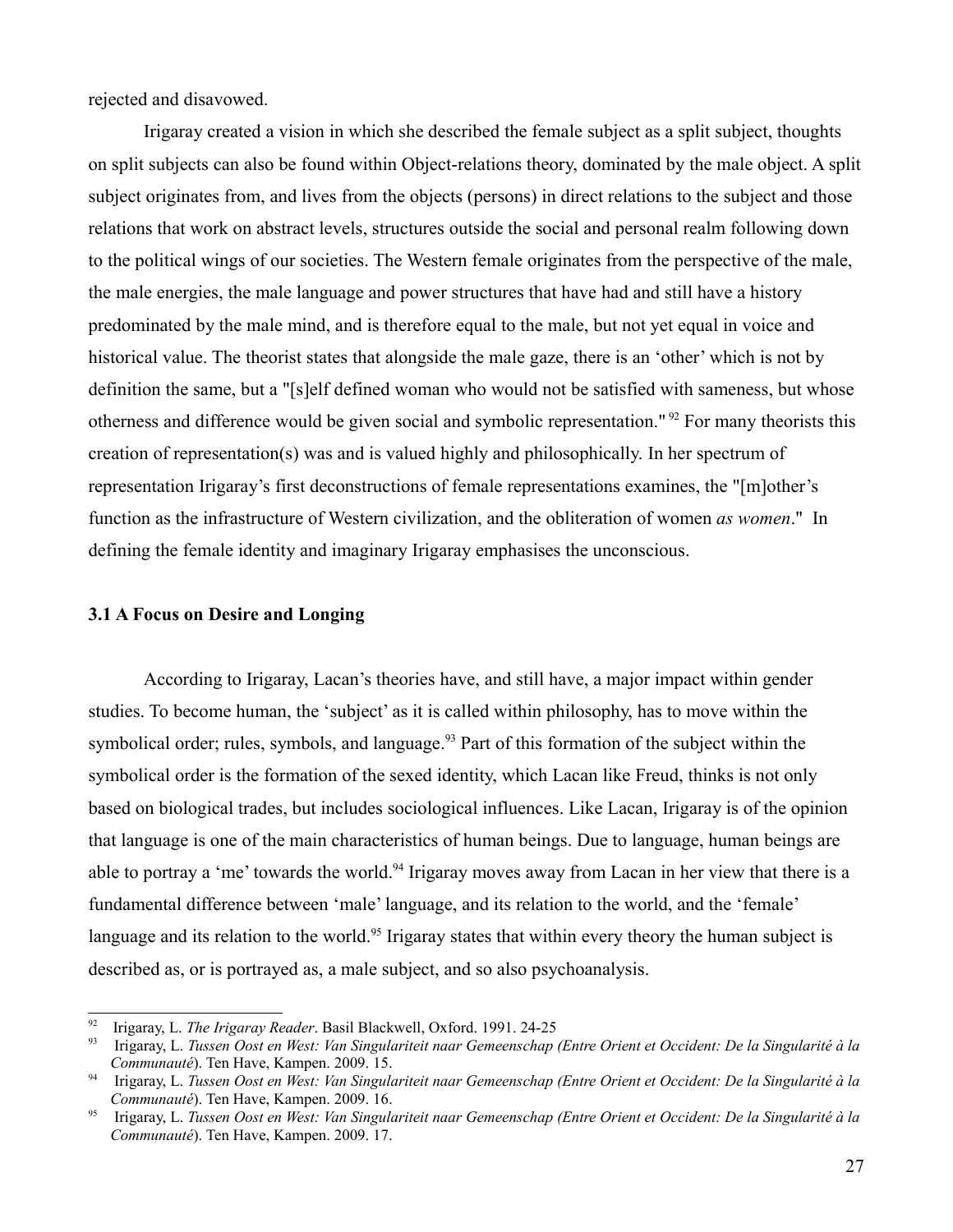rejected and disavowed.

Irigaray created a vision in which she described the female subject as a split subject, thoughts on split subjects can also be found within Object-relations theory, dominated by the male object. A split subject originates from, and lives from the objects (persons) in direct relations to the subject and those relations that work on abstract levels, structures outside the social and personal realm following down to the political wings of our societies. The Western female originates from the perspective of the male, the male energies, the male language and power structures that have had and still have a history predominated by the male mind, and is therefore equal to the male, but not yet equal in voice and historical value. The theorist states that alongside the male gaze, there is an 'other' which is not by definition the same, but a "[s]elf defined woman who would not be satisfied with sameness, but whose otherness and difference would be given social and symbolic representation." [92](#page-26-0) For many theorists this creation of representation(s) was and is valued highly and philosophically. In her spectrum of representation Irigaray's first deconstructions of female representations examines, the "[m]other's function as the infrastructure of Western civilization, and the obliteration of women *as women*." In defining the female identity and imaginary Irigaray emphasises the unconscious.

### **3.1 A Focus on Desire and Longing**

According to Irigaray, Lacan's theories have, and still have, a major impact within gender studies. To become human, the 'subject' as it is called within philosophy, has to move within the symbolical order; rules, symbols, and language.<sup>[93](#page-26-1)</sup> Part of this formation of the subject within the symbolical order is the formation of the sexed identity, which Lacan like Freud, thinks is not only based on biological trades, but includes sociological influences. Like Lacan, Irigaray is of the opinion that language is one of the main characteristics of human beings. Due to language, human beings are able to portray a 'me' towards the world.<sup>[94](#page-26-2)</sup> Irigaray moves away from Lacan in her view that there is a fundamental difference between 'male' language, and its relation to the world, and the 'female' language and its relation to the world.<sup>[95](#page-26-3)</sup> Irigaray states that within every theory the human subject is described as, or is portrayed as, a male subject, and so also psychoanalysis.

<span id="page-26-0"></span><sup>92</sup> Irigaray, L. *The Irigaray Reader*. Basil Blackwell, Oxford. 1991. 24-25

<span id="page-26-1"></span><sup>93</sup> Irigaray, L. *Tussen Oost en West: Van Singulariteit naar Gemeenschap (Entre Orient et Occident: De la Singularité à la Communauté*). Ten Have, Kampen. 2009. 15.

<span id="page-26-2"></span><sup>94</sup> Irigaray, L. *Tussen Oost en West: Van Singulariteit naar Gemeenschap (Entre Orient et Occident: De la Singularité à la Communauté*). Ten Have, Kampen. 2009. 16.

<span id="page-26-3"></span><sup>95</sup> Irigaray, L. *Tussen Oost en West: Van Singulariteit naar Gemeenschap (Entre Orient et Occident: De la Singularité à la Communauté*). Ten Have, Kampen. 2009. 17.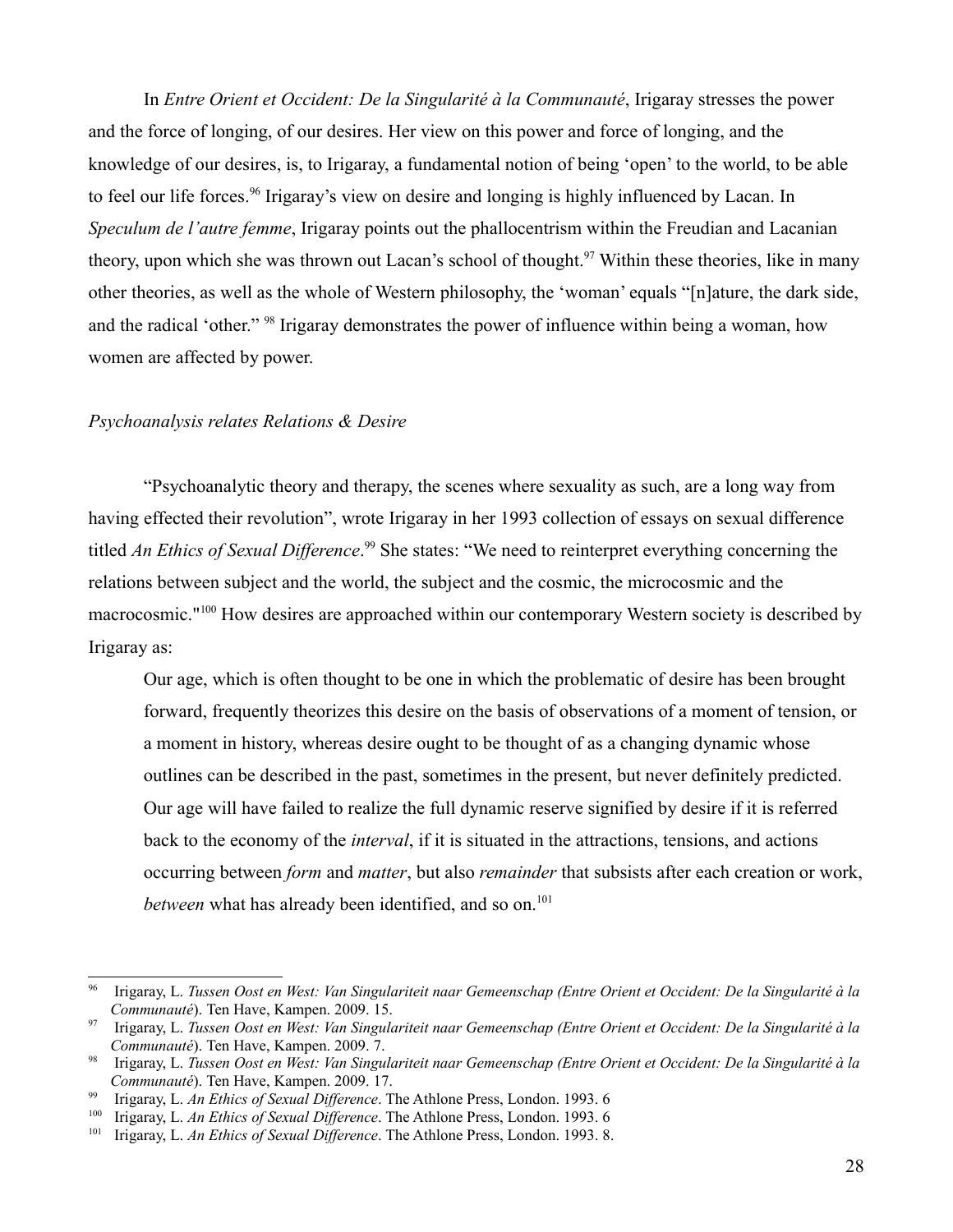In *Entre Orient et Occident: De la Singularité à la Communauté*, Irigaray stresses the power and the force of longing, of our desires. Her view on this power and force of longing, and the knowledge of our desires, is, to Irigaray, a fundamental notion of being 'open' to the world, to be able to feel our life forces.<sup>[96](#page-27-0)</sup> Irigaray's view on desire and longing is highly influenced by Lacan. In *Speculum de l'autre femme*, Irigaray points out the phallocentrism within the Freudian and Lacanian theory, upon which she was thrown out Lacan's school of thought.<sup>[97](#page-27-1)</sup> Within these theories, like in many other theories, as well as the whole of Western philosophy, the 'woman' equals "[n]ature, the dark side, and the radical 'other." <sup>[98](#page-27-2)</sup> Irigaray demonstrates the power of influence within being a woman, how women are affected by power.

#### *Psychoanalysis relates Relations & Desire*

"Psychoanalytic theory and therapy, the scenes where sexuality as such, are a long way from having effected their revolution", wrote Irigaray in her 1993 collection of essays on sexual difference titled *An Ethics of Sexual Difference*. [99](#page-27-3) She states: "We need to reinterpret everything concerning the relations between subject and the world, the subject and the cosmic, the microcosmic and the macrocosmic."[100](#page-27-4) How desires are approached within our contemporary Western society is described by Irigaray as:

Our age, which is often thought to be one in which the problematic of desire has been brought forward, frequently theorizes this desire on the basis of observations of a moment of tension, or a moment in history, whereas desire ought to be thought of as a changing dynamic whose outlines can be described in the past, sometimes in the present, but never definitely predicted. Our age will have failed to realize the full dynamic reserve signified by desire if it is referred back to the economy of the *interval*, if it is situated in the attractions, tensions, and actions occurring between *form* and *matter*, but also *remainder* that subsists after each creation or work, *between* what has already been identified, and so on.<sup>[101](#page-27-5)</sup>

<span id="page-27-0"></span><sup>96</sup> Irigaray, L. *Tussen Oost en West: Van Singulariteit naar Gemeenschap (Entre Orient et Occident: De la Singularité à la Communauté*). Ten Have, Kampen. 2009. 15.

<span id="page-27-1"></span><sup>97</sup> Irigaray, L. *Tussen Oost en West: Van Singulariteit naar Gemeenschap (Entre Orient et Occident: De la Singularité à la Communauté*). Ten Have, Kampen. 2009. 7.

<span id="page-27-2"></span><sup>98</sup> Irigaray, L. *Tussen Oost en West: Van Singulariteit naar Gemeenschap (Entre Orient et Occident: De la Singularité à la Communauté*). Ten Have, Kampen. 2009. 17.

<span id="page-27-3"></span><sup>&</sup>lt;sup>99</sup> Irigaray, L. *An Ethics of Sexual Difference*. The Athlone Press, London. 1993. 6<br><sup>100</sup> Irigaray, L. *An Ethics of Sexual Difference*. The Athlone Press, London. 1993. 6

<span id="page-27-4"></span><sup>&</sup>lt;sup>100</sup> Irigaray, L. *An Ethics of Sexual Difference*. The Athlone Press, London. 1993. 6<br><sup>101</sup> Irigaray, L. *An Ethics of Sexual Difference*. The Athlone Press, London. 1993. 8

<span id="page-27-5"></span><sup>101</sup> Irigaray, L. *An Ethics of Sexual Difference*. The Athlone Press, London. 1993. 8.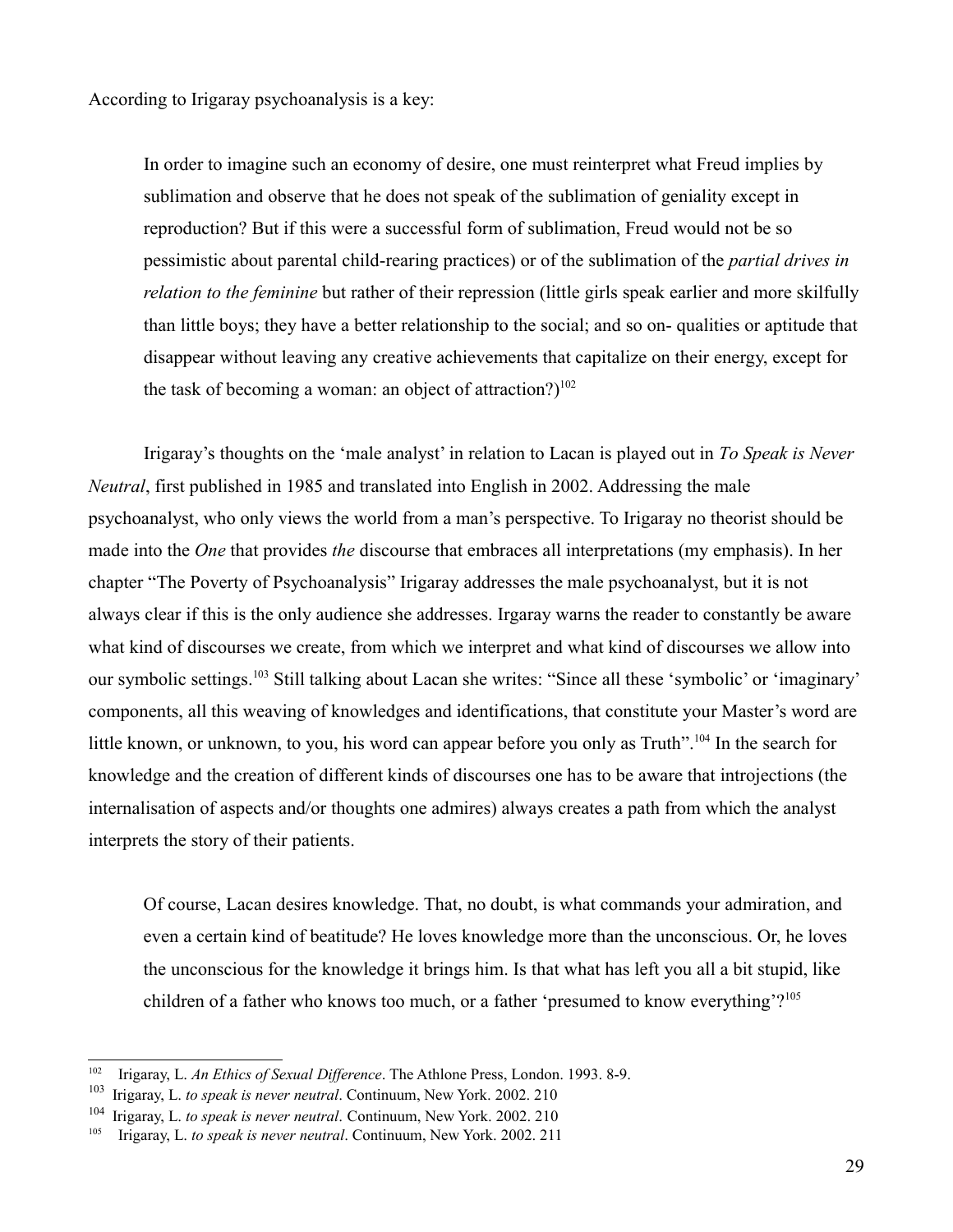According to Irigaray psychoanalysis is a key:

In order to imagine such an economy of desire, one must reinterpret what Freud implies by sublimation and observe that he does not speak of the sublimation of geniality except in reproduction? But if this were a successful form of sublimation, Freud would not be so pessimistic about parental child-rearing practices) or of the sublimation of the *partial drives in relation to the feminine* but rather of their repression (little girls speak earlier and more skilfully than little boys; they have a better relationship to the social; and so on- qualities or aptitude that disappear without leaving any creative achievements that capitalize on their energy, except for the task of becoming a woman: an object of attraction?)<sup>[102](#page-28-0)</sup>

Irigaray's thoughts on the 'male analyst' in relation to Lacan is played out in *To Speak is Never Neutral*, first published in 1985 and translated into English in 2002. Addressing the male psychoanalyst, who only views the world from a man's perspective. To Irigaray no theorist should be made into the *One* that provides *the* discourse that embraces all interpretations (my emphasis). In her chapter "The Poverty of Psychoanalysis" Irigaray addresses the male psychoanalyst, but it is not always clear if this is the only audience she addresses. Irgaray warns the reader to constantly be aware what kind of discourses we create, from which we interpret and what kind of discourses we allow into our symbolic settings.[103](#page-28-1) Still talking about Lacan she writes: "Since all these 'symbolic' or 'imaginary' components, all this weaving of knowledges and identifications, that constitute your Master's word are little known, or unknown, to you, his word can appear before you only as Truth".<sup>[104](#page-28-2)</sup> In the search for knowledge and the creation of different kinds of discourses one has to be aware that introjections (the internalisation of aspects and/or thoughts one admires) always creates a path from which the analyst interprets the story of their patients.

Of course, Lacan desires knowledge. That, no doubt, is what commands your admiration, and even a certain kind of beatitude? He loves knowledge more than the unconscious. Or, he loves the unconscious for the knowledge it brings him. Is that what has left you all a bit stupid, like children of a father who knows too much, or a father 'presumed to know everything'?<sup>[105](#page-28-3)</sup>

<span id="page-28-0"></span><sup>102</sup> Irigaray, L. *An Ethics of Sexual Difference*. The Athlone Press, London. 1993. 8-9.

<span id="page-28-1"></span><sup>103</sup> Irigaray, L. *to speak is never neutral*. Continuum, New York. 2002. 210

<span id="page-28-2"></span><sup>104</sup> Irigaray, L. *to speak is never neutral*. Continuum, New York. 2002. 210

<span id="page-28-3"></span><sup>105</sup> Irigaray, L. *to speak is never neutral*. Continuum, New York. 2002. 211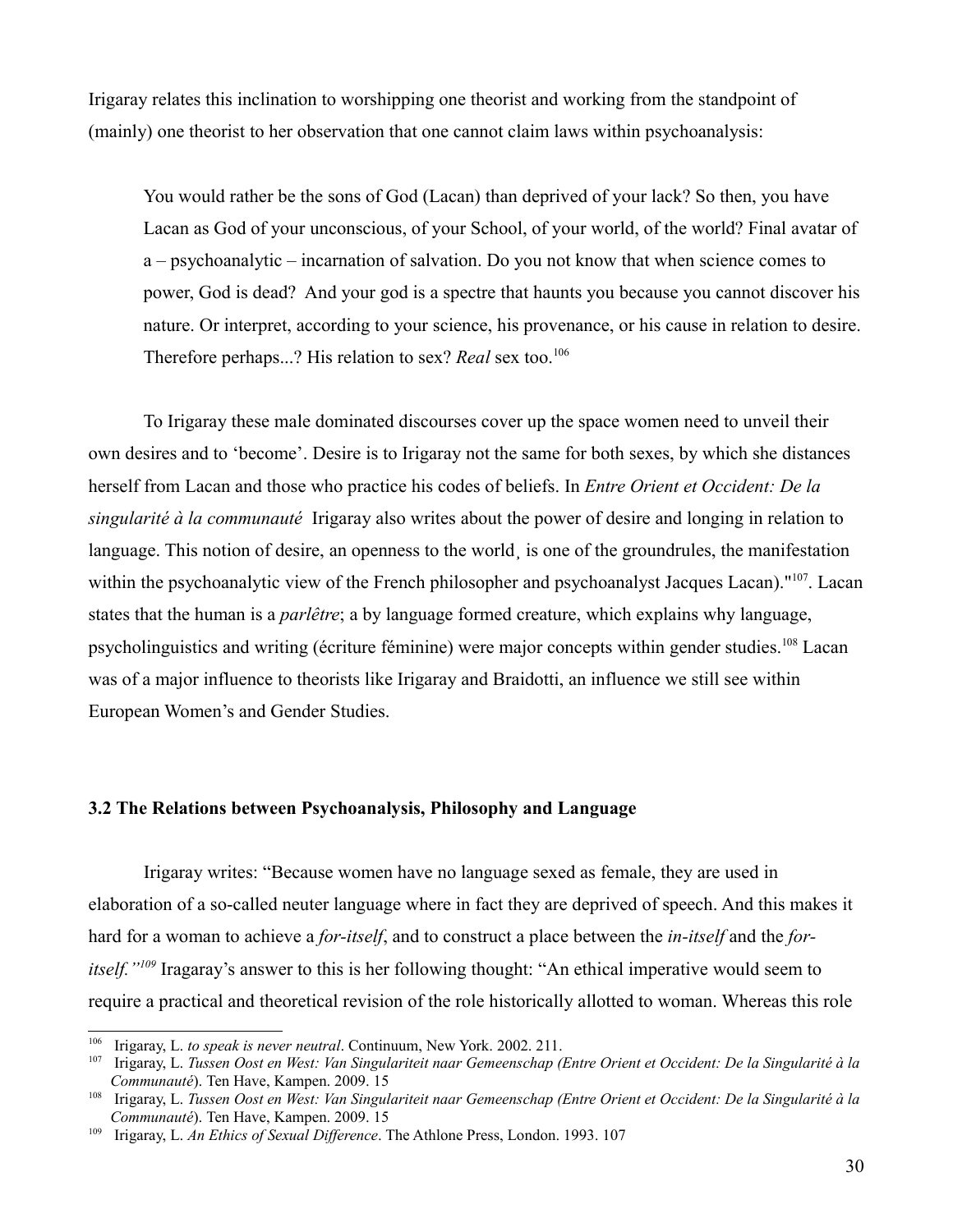Irigaray relates this inclination to worshipping one theorist and working from the standpoint of (mainly) one theorist to her observation that one cannot claim laws within psychoanalysis:

You would rather be the sons of God (Lacan) than deprived of your lack? So then, you have Lacan as God of your unconscious, of your School, of your world, of the world? Final avatar of a – psychoanalytic – incarnation of salvation. Do you not know that when science comes to power, God is dead? And your god is a spectre that haunts you because you cannot discover his nature. Or interpret, according to your science, his provenance, or his cause in relation to desire. Therefore perhaps...? His relation to sex? *Real* sex too.<sup>[106](#page-29-0)</sup>

To Irigaray these male dominated discourses cover up the space women need to unveil their own desires and to 'become'. Desire is to Irigaray not the same for both sexes, by which she distances herself from Lacan and those who practice his codes of beliefs. In *Entre Orient et Occident: De la singularité à la communauté* Irigaray also writes about the power of desire and longing in relation to language. This notion of desire, an openness to the world is one of the groundrules, the manifestation within the psychoanalytic view of the French philosopher and psychoanalyst Jacques Lacan)."<sup>[107](#page-29-1)</sup>. Lacan states that the human is a *parlêtre*; a by language formed creature, which explains why language, psycholinguistics and writing (écriture féminine) were major concepts within gender studies.[108](#page-29-2) Lacan was of a major influence to theorists like Irigaray and Braidotti, an influence we still see within European Women's and Gender Studies.

## **3.2 The Relations between Psychoanalysis, Philosophy and Language**

Irigaray writes: "Because women have no language sexed as female, they are used in elaboration of a so-called neuter language where in fact they are deprived of speech. And this makes it hard for a woman to achieve a *for-itself*, and to construct a place between the *in-itself* and the *foritself."[109](#page-29-3)* Iragaray's answer to this is her following thought: "An ethical imperative would seem to require a practical and theoretical revision of the role historically allotted to woman. Whereas this role

<span id="page-29-0"></span><sup>&</sup>lt;sup>106</sup> Irigaray, L. *to speak is never neutral*. Continuum, New York. 2002. 211.<br><sup>107</sup> Irigaray, L. *Tussen Oost en West: Van Singulariteit naar Gemeenschan (1*)

<span id="page-29-1"></span><sup>107</sup> Irigaray, L. *Tussen Oost en West: Van Singulariteit naar Gemeenschap (Entre Orient et Occident: De la Singularité à la Communauté*). Ten Have, Kampen. 2009. 15

<span id="page-29-2"></span><sup>108</sup> Irigaray, L. *Tussen Oost en West: Van Singulariteit naar Gemeenschap (Entre Orient et Occident: De la Singularité à la Communauté*). Ten Have, Kampen. 2009. 15

<span id="page-29-3"></span><sup>109</sup> Irigaray, L. *An Ethics of Sexual Difference*. The Athlone Press, London. 1993. 107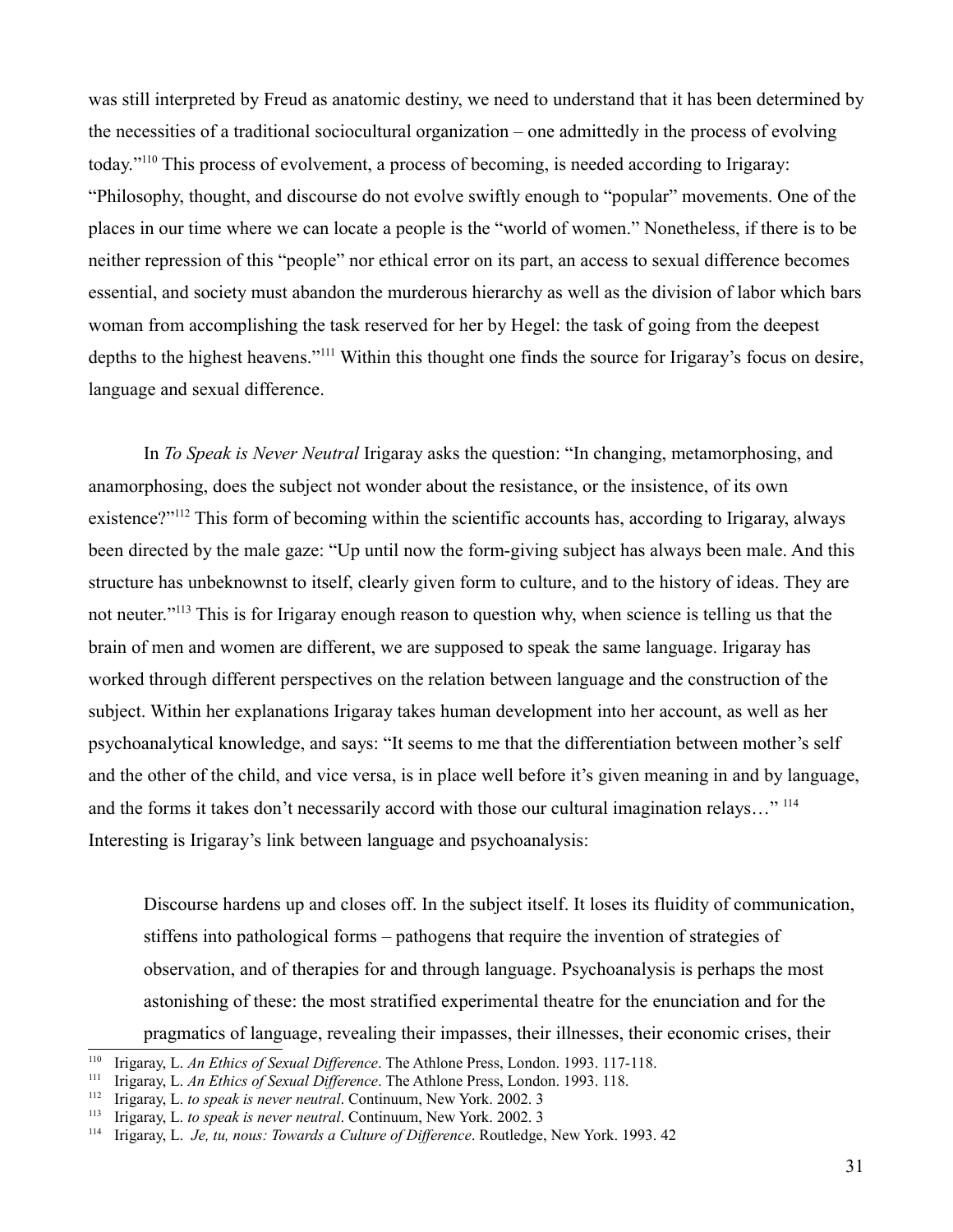was still interpreted by Freud as anatomic destiny, we need to understand that it has been determined by the necessities of a traditional sociocultural organization – one admittedly in the process of evolving today."[110](#page-30-0) This process of evolvement, a process of becoming, is needed according to Irigaray: "Philosophy, thought, and discourse do not evolve swiftly enough to "popular" movements. One of the places in our time where we can locate a people is the "world of women." Nonetheless, if there is to be neither repression of this "people" nor ethical error on its part, an access to sexual difference becomes essential, and society must abandon the murderous hierarchy as well as the division of labor which bars woman from accomplishing the task reserved for her by Hegel: the task of going from the deepest depths to the highest heavens."[111](#page-30-1) Within this thought one finds the source for Irigaray's focus on desire, language and sexual difference.

In *To Speak is Never Neutral* Irigaray asks the question: "In changing, metamorphosing, and anamorphosing, does the subject not wonder about the resistance, or the insistence, of its own existence?"[112](#page-30-2) This form of becoming within the scientific accounts has, according to Irigaray, always been directed by the male gaze: "Up until now the form-giving subject has always been male. And this structure has unbeknownst to itself, clearly given form to culture, and to the history of ideas. They are not neuter."[113](#page-30-3) This is for Irigaray enough reason to question why, when science is telling us that the brain of men and women are different, we are supposed to speak the same language. Irigaray has worked through different perspectives on the relation between language and the construction of the subject. Within her explanations Irigaray takes human development into her account, as well as her psychoanalytical knowledge, and says: "It seems to me that the differentiation between mother's self and the other of the child, and vice versa, is in place well before it's given meaning in and by language, and the forms it takes don't necessarily accord with those our cultural imagination relays..."<sup>[114](#page-30-4)</sup> Interesting is Irigaray's link between language and psychoanalysis:

Discourse hardens up and closes off. In the subject itself. It loses its fluidity of communication, stiffens into pathological forms – pathogens that require the invention of strategies of observation, and of therapies for and through language. Psychoanalysis is perhaps the most astonishing of these: the most stratified experimental theatre for the enunciation and for the pragmatics of language, revealing their impasses, their illnesses, their economic crises, their

<span id="page-30-0"></span><sup>&</sup>lt;sup>110</sup> Irigaray, L. *An Ethics of Sexual Difference*. The Athlone Press, London. 1993. 117-118.<br><sup>111</sup> Irigaray, L. *An Ethics of Saxual Difference*. The Athlone Press, London. 1993. 118

<span id="page-30-1"></span><sup>&</sup>lt;sup>111</sup> Irigaray, L. *An Ethics of Sexual Difference*. The Athlone Press, London. 1993. 118.<br><sup>112</sup> Irigaray L. *to speak is never neutral* Continuum New York 2002. 3

<span id="page-30-2"></span><sup>112</sup> Irigaray, L. *to speak is never neutral*. Continuum, New York. 2002. 3

<span id="page-30-3"></span><sup>113</sup> Irigaray, L. *to speak is never neutral*. Continuum, New York. 2002. 3

<span id="page-30-4"></span><sup>114</sup> Irigaray, L. *Je, tu, nous: Towards a Culture of Difference*. Routledge, New York. 1993. 42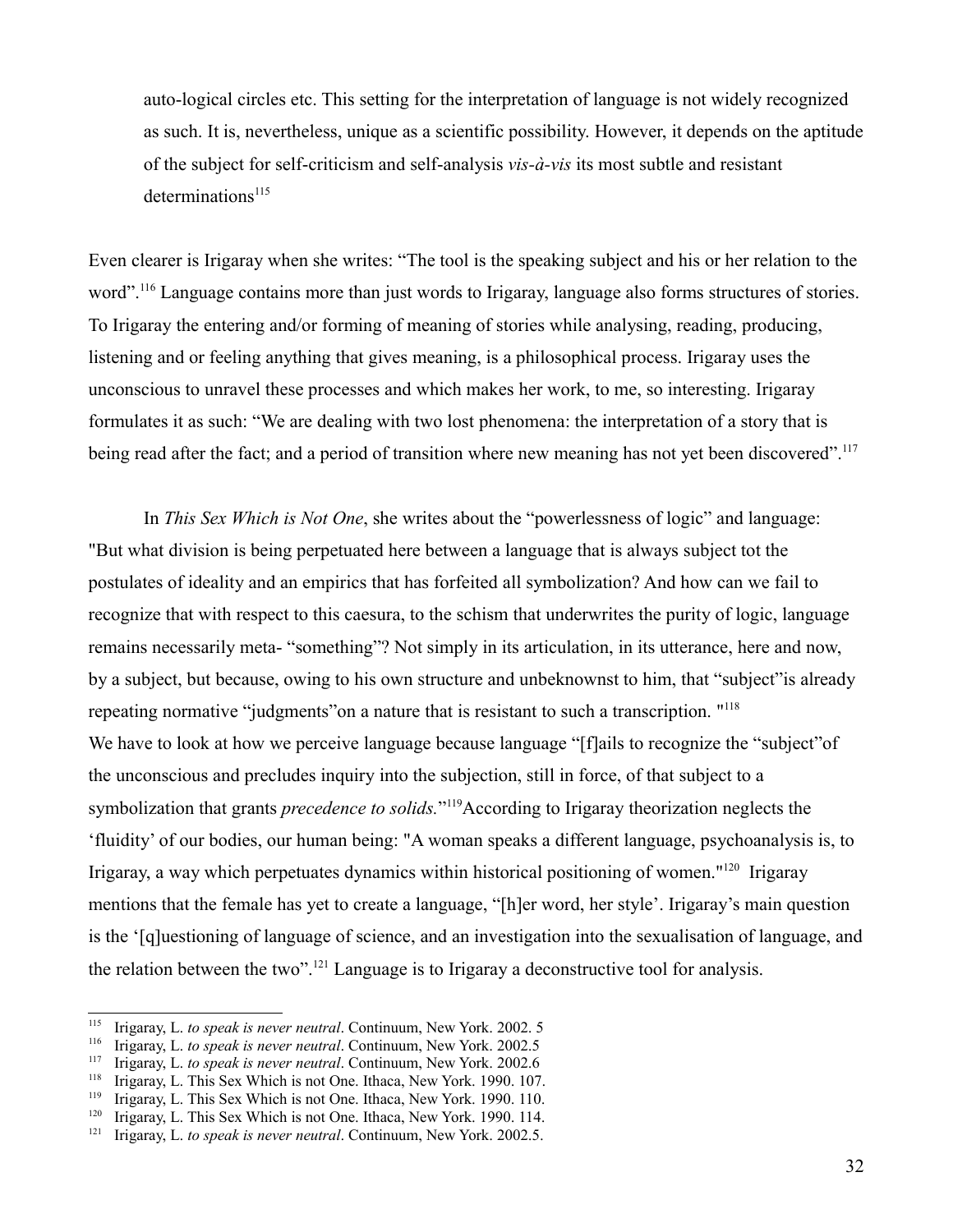auto-logical circles etc. This setting for the interpretation of language is not widely recognized as such. It is, nevertheless, unique as a scientific possibility. However, it depends on the aptitude of the subject for self-criticism and self-analysis *vis-à-vis* its most subtle and resistant  $determinations<sup>115</sup>$  $determinations<sup>115</sup>$  $determinations<sup>115</sup>$ 

Even clearer is Irigaray when she writes: "The tool is the speaking subject and his or her relation to the word".<sup>[116](#page-31-1)</sup> Language contains more than just words to Irigaray, language also forms structures of stories. To Irigaray the entering and/or forming of meaning of stories while analysing, reading, producing, listening and or feeling anything that gives meaning, is a philosophical process. Irigaray uses the unconscious to unravel these processes and which makes her work, to me, so interesting. Irigaray formulates it as such: "We are dealing with two lost phenomena: the interpretation of a story that is being read after the fact; and a period of transition where new meaning has not yet been discovered".<sup>[117](#page-31-2)</sup>

In *This Sex Which is Not One*, she writes about the "powerlessness of logic" and language: "But what division is being perpetuated here between a language that is always subject tot the postulates of ideality and an empirics that has forfeited all symbolization? And how can we fail to recognize that with respect to this caesura, to the schism that underwrites the purity of logic, language remains necessarily meta- "something"? Not simply in its articulation, in its utterance, here and now, by a subject, but because, owing to his own structure and unbeknownst to him, that "subject"is already repeating normative "judgments" on a nature that is resistant to such a transcription. "<sup>[118](#page-31-3)</sup> We have to look at how we perceive language because language "[f]ails to recognize the "subject" of the unconscious and precludes inquiry into the subjection, still in force, of that subject to a symbolization that grants *precedence to solids*."<sup>[119](#page-31-4)</sup>According to Irigaray theorization neglects the 'fluidity' of our bodies, our human being: "A woman speaks a different language, psychoanalysis is, to Irigaray, a way which perpetuates dynamics within historical positioning of women."<sup>[120](#page-31-5)</sup> Irigaray mentions that the female has yet to create a language, "[h]er word, her style'. Irigaray's main question is the '[q]uestioning of language of science, and an investigation into the sexualisation of language, and the relation between the two".[121](#page-31-6) Language is to Irigaray a deconstructive tool for analysis.

<span id="page-31-0"></span><sup>115</sup> Irigaray, L. *to speak is never neutral*. Continuum, New York. 2002. 5

<span id="page-31-1"></span><sup>116</sup> Irigaray, L. *to speak is never neutral*. Continuum, New York. 2002.5

<span id="page-31-2"></span><sup>&</sup>lt;sup>117</sup> Irigaray, L. *to speak is never neutral*. Continuum, New York. 2002.6<br><sup>118</sup> Irigaray, L. This Sex Which is not One, Ithaca, New York. 1990, 107

<span id="page-31-3"></span><sup>&</sup>lt;sup>118</sup> Irigaray, L. This Sex Which is not One. Ithaca, New York. 1990. 107.<br><sup>119</sup> Irigaray, L. This Sex Which is not One. Ithaca, New York. 1990. 110

<span id="page-31-4"></span><sup>&</sup>lt;sup>119</sup> Irigaray, L. This Sex Which is not One. Ithaca, New York. 1990. 110.<br><sup>120</sup> Irigaray, L. This Sex Which is not One. Ithaca, New York. 1990. 114

<span id="page-31-5"></span><sup>&</sup>lt;sup>120</sup> Irigaray, L. This Sex Which is not One. Ithaca, New York. 1990. 114.<br><sup>121</sup> Irigaray J. *to speak is never neutral* Continuum New York. 2002.5

<span id="page-31-6"></span><sup>121</sup> Irigaray, L. *to speak is never neutral*. Continuum, New York. 2002.5.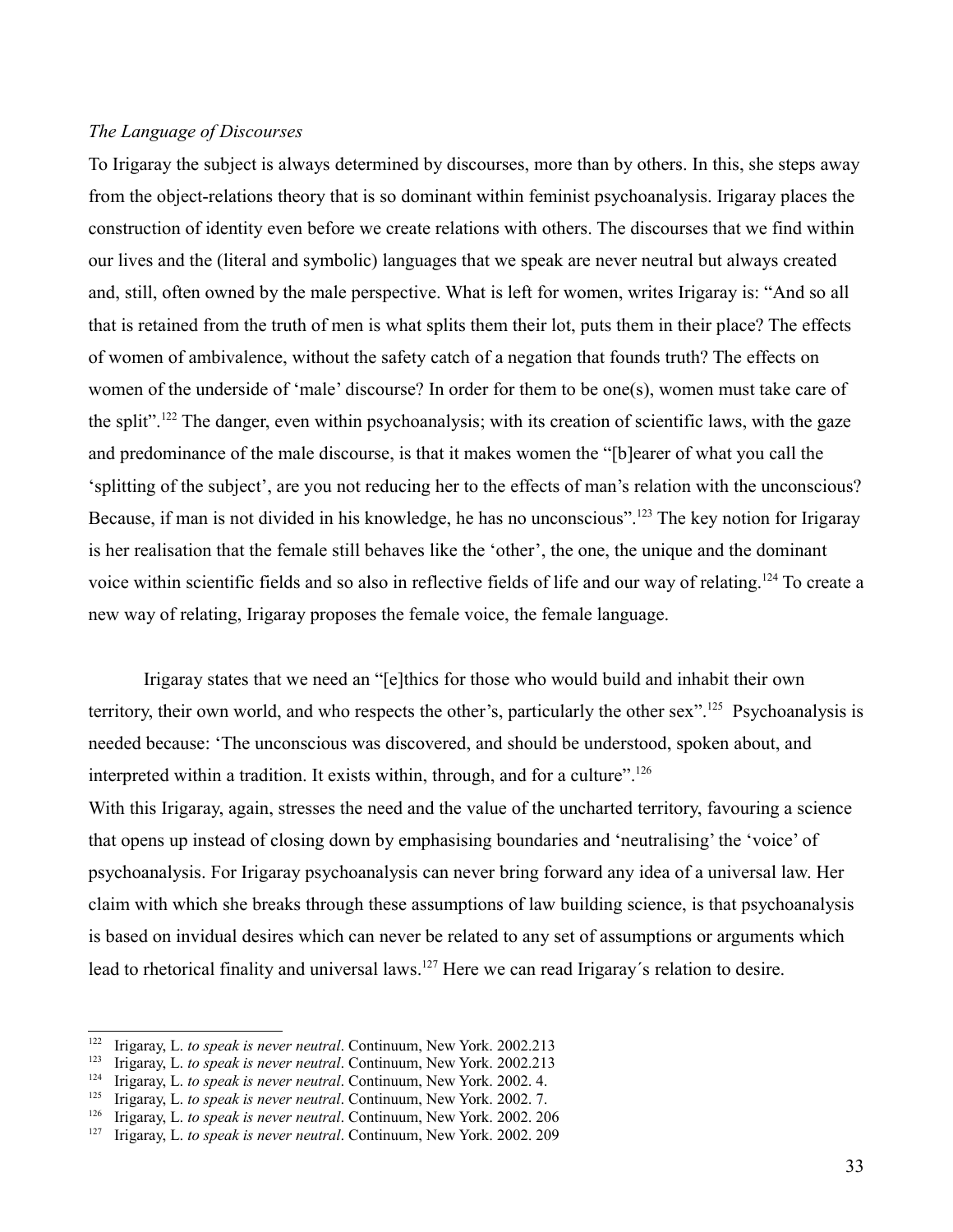## *The Language of Discourses*

To Irigaray the subject is always determined by discourses, more than by others. In this, she steps away from the object-relations theory that is so dominant within feminist psychoanalysis. Irigaray places the construction of identity even before we create relations with others. The discourses that we find within our lives and the (literal and symbolic) languages that we speak are never neutral but always created and, still, often owned by the male perspective. What is left for women, writes Irigaray is: "And so all that is retained from the truth of men is what splits them their lot, puts them in their place? The effects of women of ambivalence, without the safety catch of a negation that founds truth? The effects on women of the underside of 'male' discourse? In order for them to be one(s), women must take care of the split".[122](#page-32-0) The danger, even within psychoanalysis; with its creation of scientific laws, with the gaze and predominance of the male discourse, is that it makes women the "[b]earer of what you call the 'splitting of the subject', are you not reducing her to the effects of man's relation with the unconscious? Because, if man is not divided in his knowledge, he has no unconscious".<sup>[123](#page-32-1)</sup> The key notion for Irigaray is her realisation that the female still behaves like the 'other', the one, the unique and the dominant voice within scientific fields and so also in reflective fields of life and our way of relating.[124](#page-32-2) To create a new way of relating, Irigaray proposes the female voice, the female language.

Irigaray states that we need an "[e]thics for those who would build and inhabit their own territory, their own world, and who respects the other's, particularly the other sex".<sup>[125](#page-32-3)</sup> Psychoanalysis is needed because: 'The unconscious was discovered, and should be understood, spoken about, and interpreted within a tradition. It exists within, through, and for a culture".<sup>[126](#page-32-4)</sup> With this Irigaray, again, stresses the need and the value of the uncharted territory, favouring a science that opens up instead of closing down by emphasising boundaries and 'neutralising' the 'voice' of psychoanalysis. For Irigaray psychoanalysis can never bring forward any idea of a universal law. Her claim with which she breaks through these assumptions of law building science, is that psychoanalysis is based on invidual desires which can never be related to any set of assumptions or arguments which lead to rhetorical finality and universal laws.<sup>[127](#page-32-5)</sup> Here we can read Irigaray's relation to desire.

<span id="page-32-0"></span><sup>122</sup> Irigaray, L. *to speak is never neutral*. Continuum, New York. 2002.213

<span id="page-32-1"></span><sup>&</sup>lt;sup>123</sup> Irigaray, L. *to speak is never neutral*. Continuum, New York. 2002.213

<span id="page-32-2"></span><sup>&</sup>lt;sup>124</sup> Irigaray, L. *to speak is never neutral*. Continuum, New York. 2002. 4.<br><sup>125</sup> Irigaray, L. *to speak is never neutral*. Continuum, New York. 2002. 7.

<span id="page-32-3"></span><sup>&</sup>lt;sup>125</sup> Irigaray, L. *to speak is never neutral*. Continuum, New York. 2002. 7.<br><sup>126</sup> Irigaray, L. *to speak is never neutral*. Continuum, New York. 2002. 20

<span id="page-32-4"></span><sup>&</sup>lt;sup>126</sup> Irigaray, L. *to speak is never neutral*. Continuum, New York. 2002. 206<br><sup>127</sup> Irigaray J. *to speak is never neutral*. Continuum, New York. 2002. 209

<span id="page-32-5"></span><sup>127</sup> Irigaray, L. *to speak is never neutral*. Continuum, New York. 2002. 209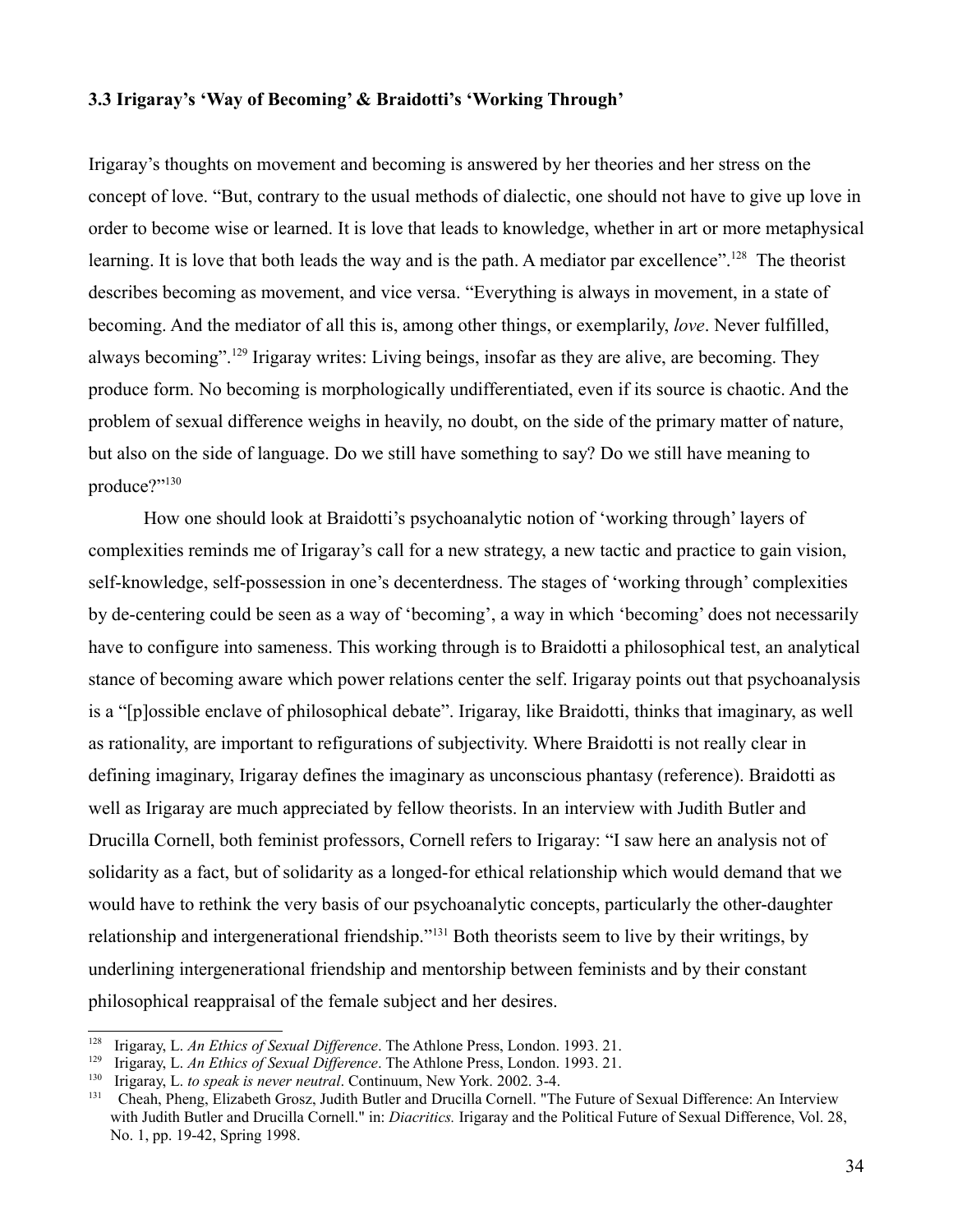#### **3.3 Irigaray's 'Way of Becoming' & Braidotti's 'Working Through'**

Irigaray's thoughts on movement and becoming is answered by her theories and her stress on the concept of love. "But, contrary to the usual methods of dialectic, one should not have to give up love in order to become wise or learned. It is love that leads to knowledge, whether in art or more metaphysical learning. It is love that both leads the way and is the path. A mediator par excellence".<sup>[128](#page-33-0)</sup> The theorist describes becoming as movement, and vice versa. "Everything is always in movement, in a state of becoming. And the mediator of all this is, among other things, or exemplarily, *love*. Never fulfilled, always becoming".<sup>[129](#page-33-1)</sup> Irigaray writes: Living beings, insofar as they are alive, are becoming. They produce form. No becoming is morphologically undifferentiated, even if its source is chaotic. And the problem of sexual difference weighs in heavily, no doubt, on the side of the primary matter of nature, but also on the side of language. Do we still have something to say? Do we still have meaning to produce?"<sup>[130](#page-33-2)</sup>

How one should look at Braidotti's psychoanalytic notion of 'working through' layers of complexities reminds me of Irigaray's call for a new strategy, a new tactic and practice to gain vision, self-knowledge, self-possession in one's decenterdness. The stages of 'working through' complexities by de-centering could be seen as a way of 'becoming', a way in which 'becoming' does not necessarily have to configure into sameness. This working through is to Braidotti a philosophical test, an analytical stance of becoming aware which power relations center the self. Irigaray points out that psychoanalysis is a "[p]ossible enclave of philosophical debate". Irigaray, like Braidotti, thinks that imaginary, as well as rationality, are important to refigurations of subjectivity. Where Braidotti is not really clear in defining imaginary, Irigaray defines the imaginary as unconscious phantasy (reference). Braidotti as well as Irigaray are much appreciated by fellow theorists. In an interview with Judith Butler and Drucilla Cornell, both feminist professors, Cornell refers to Irigaray: "I saw here an analysis not of solidarity as a fact, but of solidarity as a longed-for ethical relationship which would demand that we would have to rethink the very basis of our psychoanalytic concepts, particularly the other-daughter relationship and intergenerational friendship."[131](#page-33-3) Both theorists seem to live by their writings, by underlining intergenerational friendship and mentorship between feminists and by their constant philosophical reappraisal of the female subject and her desires.

<span id="page-33-0"></span><sup>128</sup> Irigaray, L. *An Ethics of Sexual Difference*. The Athlone Press, London. 1993. 21.

<span id="page-33-1"></span><sup>&</sup>lt;sup>129</sup> Irigaray, L. *An Ethics of Sexual Difference*. The Athlone Press, London. 1993. 21.

<span id="page-33-2"></span><sup>130</sup> Irigaray, L. *to speak is never neutral*. Continuum, New York. 2002. 3-4.

<span id="page-33-3"></span><sup>131</sup> Cheah, Pheng, Elizabeth Grosz, Judith Butler and Drucilla Cornell. ["The Future of Sexual Difference: An Interview](http://content9.wuala.com/contents/nappan/Documents/Butler,%20Judith;%20Drucilla%20Cornell%20(1998)%20-%20The%20Future%20of%20Sexual%20Difference..%20An%20Interview%20with%20Judith%20Butler%20and%20Drucilla%20Cornell.pdf?dl=1) [with Judith Butler and Drucilla Cornell."](http://content9.wuala.com/contents/nappan/Documents/Butler,%20Judith;%20Drucilla%20Cornell%20(1998)%20-%20The%20Future%20of%20Sexual%20Difference..%20An%20Interview%20with%20Judith%20Butler%20and%20Drucilla%20Cornell.pdf?dl=1) in: *Diacritics.* Irigaray and the Political Future of Sexual Difference, Vol. 28, No. 1, pp. 19-42, Spring 1998.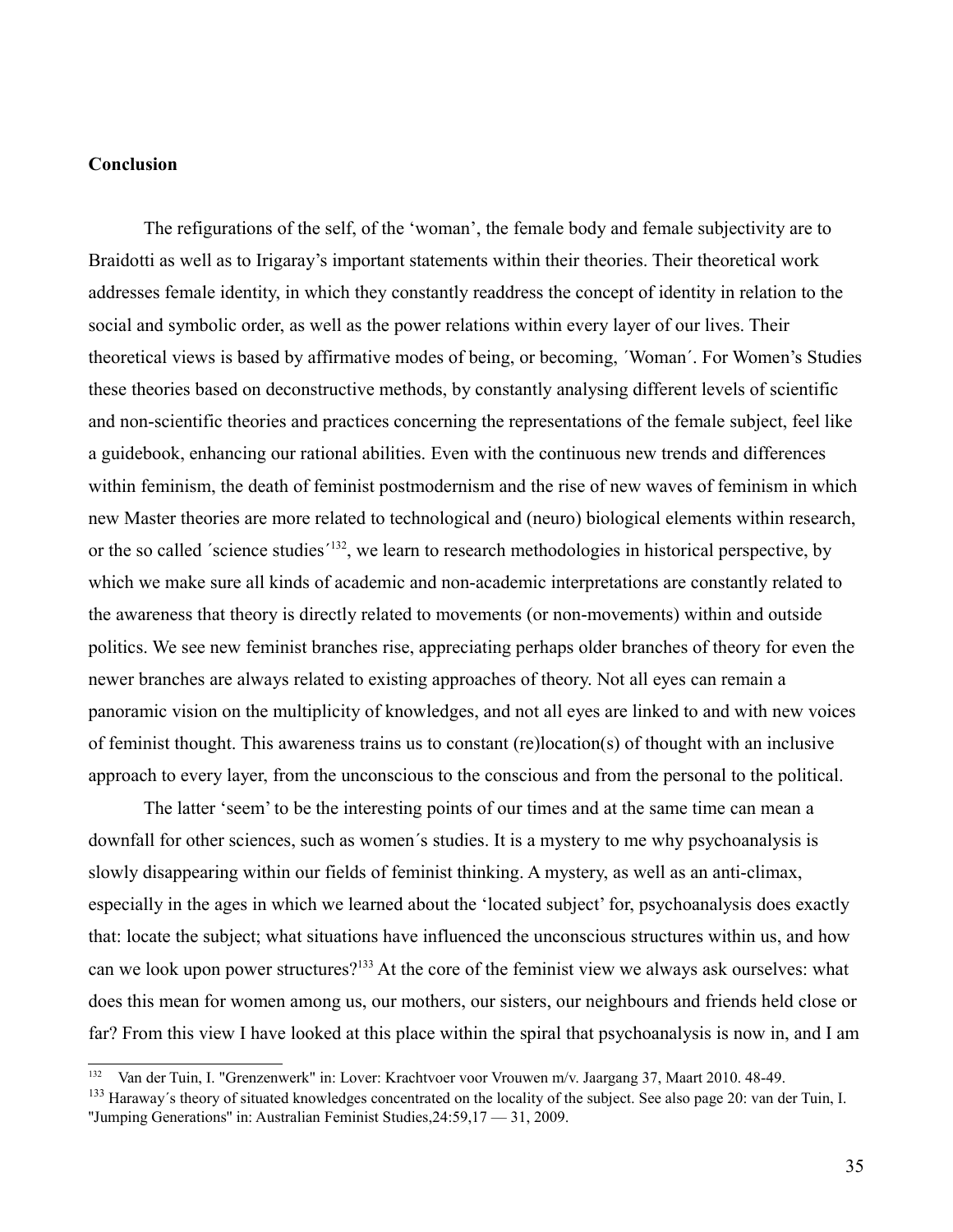## **Conclusion**

The refigurations of the self, of the 'woman', the female body and female subjectivity are to Braidotti as well as to Irigaray's important statements within their theories. Their theoretical work addresses female identity, in which they constantly readdress the concept of identity in relation to the social and symbolic order, as well as the power relations within every layer of our lives. Their theoretical views is based by affirmative modes of being, or becoming, ´Woman´. For Women's Studies these theories based on deconstructive methods, by constantly analysing different levels of scientific and non-scientific theories and practices concerning the representations of the female subject, feel like a guidebook, enhancing our rational abilities. Even with the continuous new trends and differences within feminism, the death of feminist postmodernism and the rise of new waves of feminism in which new Master theories are more related to technological and (neuro) biological elements within research, or the so called 'science studies'<sup>[132](#page-34-0)</sup>, we learn to research methodologies in historical perspective, by which we make sure all kinds of academic and non-academic interpretations are constantly related to the awareness that theory is directly related to movements (or non-movements) within and outside politics. We see new feminist branches rise, appreciating perhaps older branches of theory for even the newer branches are always related to existing approaches of theory. Not all eyes can remain a panoramic vision on the multiplicity of knowledges, and not all eyes are linked to and with new voices of feminist thought. This awareness trains us to constant (re)location(s) of thought with an inclusive approach to every layer, from the unconscious to the conscious and from the personal to the political.

The latter 'seem' to be the interesting points of our times and at the same time can mean a downfall for other sciences, such as women´s studies. It is a mystery to me why psychoanalysis is slowly disappearing within our fields of feminist thinking. A mystery, as well as an anti-climax, especially in the ages in which we learned about the 'located subject' for, psychoanalysis does exactly that: locate the subject; what situations have influenced the unconscious structures within us, and how can we look upon power structures?<sup>[133](#page-34-1)</sup> At the core of the feminist view we always ask ourselves: what does this mean for women among us, our mothers, our sisters, our neighbours and friends held close or far? From this view I have looked at this place within the spiral that psychoanalysis is now in, and I am

<span id="page-34-0"></span><sup>&</sup>lt;sup>132</sup> Van der Tuin, I. "Grenzenwerk" in: Lover: Krachtvoer voor Vrouwen m/v. Jaargang 37, Maart 2010. 48-49.

<span id="page-34-1"></span><sup>&</sup>lt;sup>133</sup> Haraway's theory of situated knowledges concentrated on the locality of the subject. See also page 20: van der Tuin, I. ''Jumping Generations'' in: Australian Feminist Studies,24:59,17 — 31, 2009.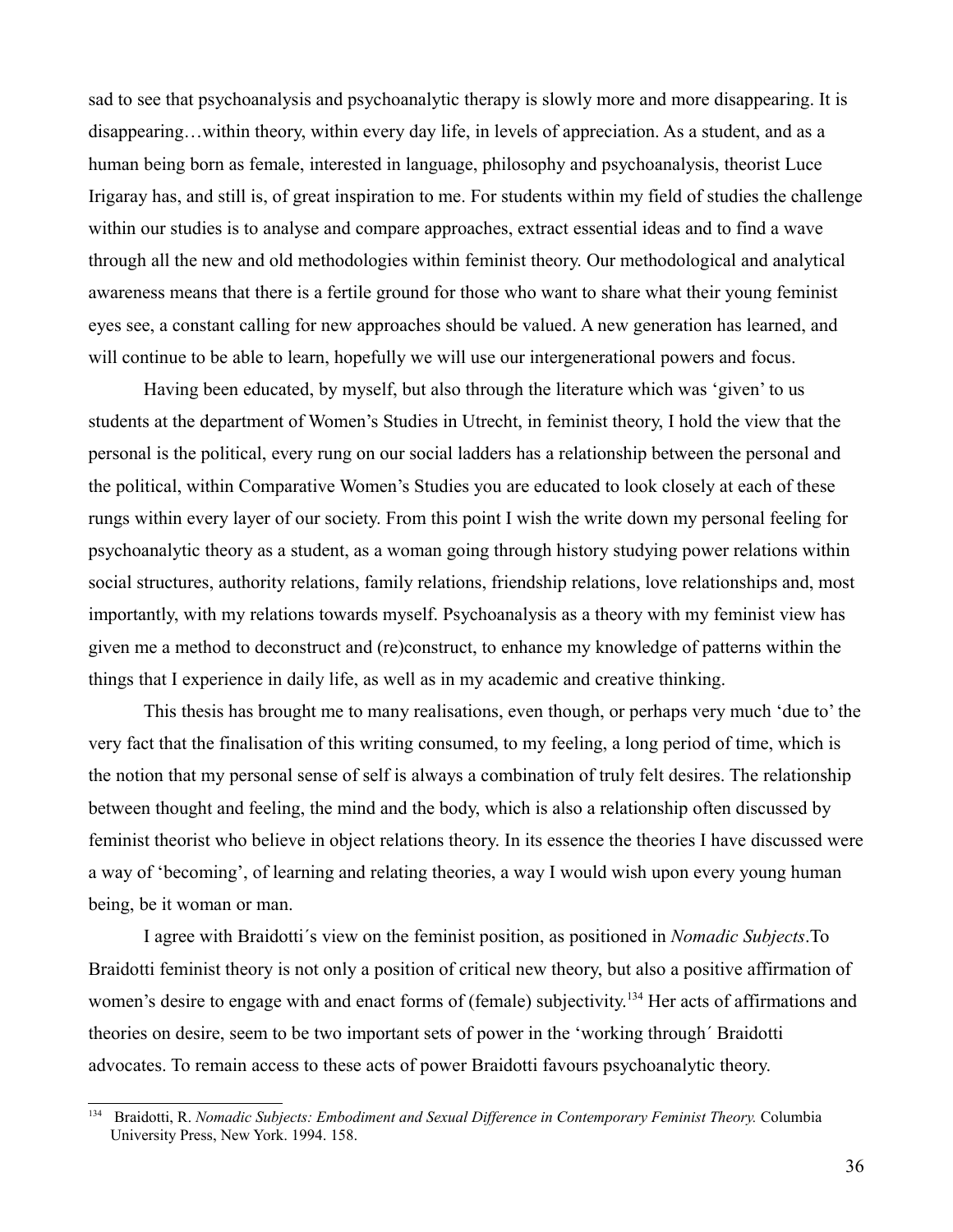sad to see that psychoanalysis and psychoanalytic therapy is slowly more and more disappearing. It is disappearing…within theory, within every day life, in levels of appreciation. As a student, and as a human being born as female, interested in language, philosophy and psychoanalysis, theorist Luce Irigaray has, and still is, of great inspiration to me. For students within my field of studies the challenge within our studies is to analyse and compare approaches, extract essential ideas and to find a wave through all the new and old methodologies within feminist theory. Our methodological and analytical awareness means that there is a fertile ground for those who want to share what their young feminist eyes see, a constant calling for new approaches should be valued. A new generation has learned, and will continue to be able to learn, hopefully we will use our intergenerational powers and focus.

Having been educated, by myself, but also through the literature which was 'given' to us students at the department of Women's Studies in Utrecht, in feminist theory, I hold the view that the personal is the political, every rung on our social ladders has a relationship between the personal and the political, within Comparative Women's Studies you are educated to look closely at each of these rungs within every layer of our society. From this point I wish the write down my personal feeling for psychoanalytic theory as a student, as a woman going through history studying power relations within social structures, authority relations, family relations, friendship relations, love relationships and, most importantly, with my relations towards myself. Psychoanalysis as a theory with my feminist view has given me a method to deconstruct and (re)construct, to enhance my knowledge of patterns within the things that I experience in daily life, as well as in my academic and creative thinking.

This thesis has brought me to many realisations, even though, or perhaps very much 'due to' the very fact that the finalisation of this writing consumed, to my feeling, a long period of time, which is the notion that my personal sense of self is always a combination of truly felt desires. The relationship between thought and feeling, the mind and the body, which is also a relationship often discussed by feminist theorist who believe in object relations theory. In its essence the theories I have discussed were a way of 'becoming', of learning and relating theories, a way I would wish upon every young human being, be it woman or man.

I agree with Braidotti´s view on the feminist position, as positioned in *Nomadic Subjects*.To Braidotti feminist theory is not only a position of critical new theory, but also a positive affirmation of women's desire to engage with and enact forms of (female) subjectivity.<sup>[134](#page-35-0)</sup> Her acts of affirmations and theories on desire, seem to be two important sets of power in the 'working through´ Braidotti advocates. To remain access to these acts of power Braidotti favours psychoanalytic theory.

<span id="page-35-0"></span><sup>134</sup> Braidotti, R. *Nomadic Subjects: Embodiment and Sexual Difference in Contemporary Feminist Theory.* Columbia University Press, New York. 1994. 158.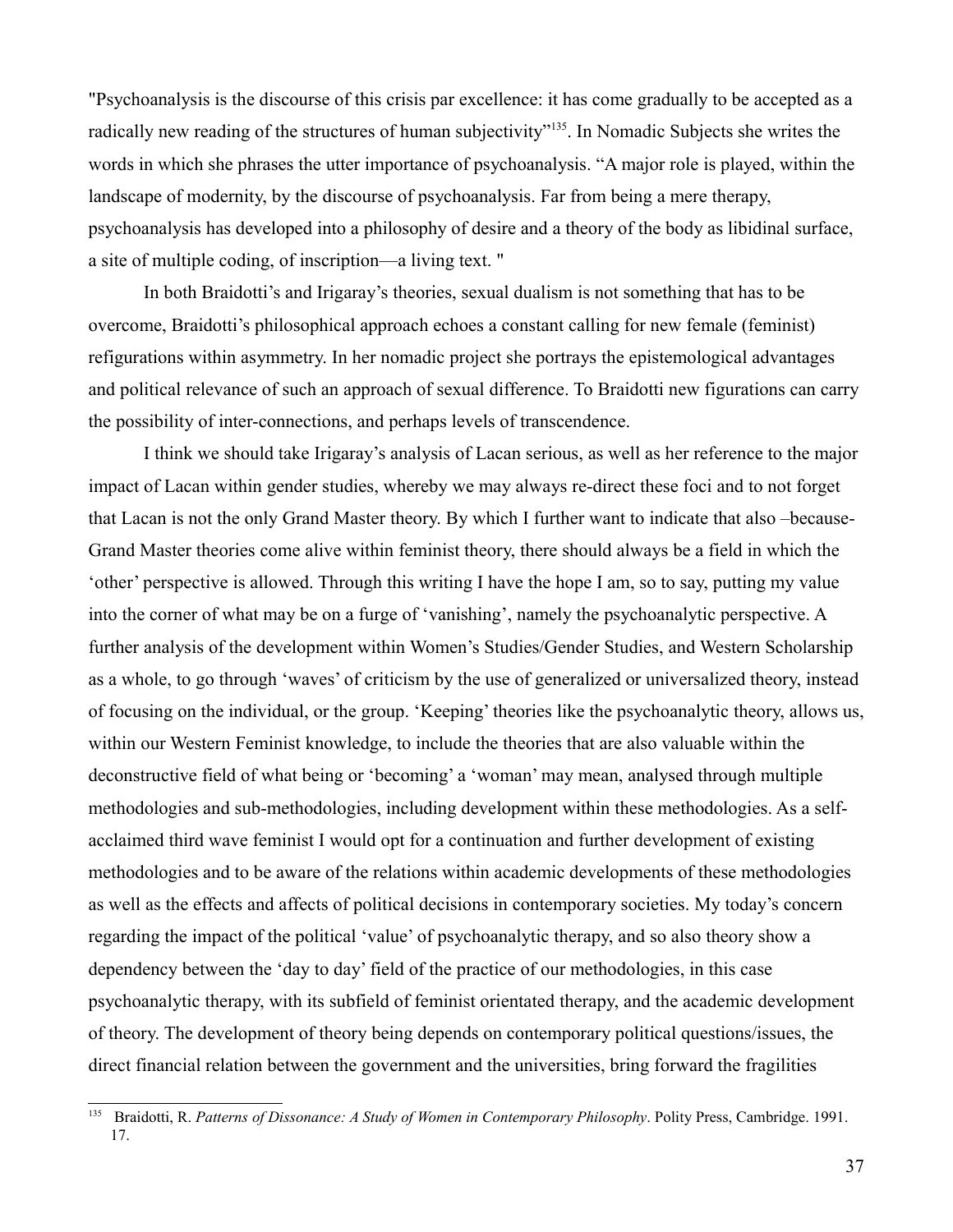"Psychoanalysis is the discourse of this crisis par excellence: it has come gradually to be accepted as a radically new reading of the structures of human subjectivity"<sup>[135](#page-36-0)</sup>. In Nomadic Subjects she writes the words in which she phrases the utter importance of psychoanalysis. "A major role is played, within the landscape of modernity, by the discourse of psychoanalysis. Far from being a mere therapy, psychoanalysis has developed into a philosophy of desire and a theory of the body as libidinal surface, a site of multiple coding, of inscription—a living text. "

In both Braidotti's and Irigaray's theories, sexual dualism is not something that has to be overcome, Braidotti's philosophical approach echoes a constant calling for new female (feminist) refigurations within asymmetry. In her nomadic project she portrays the epistemological advantages and political relevance of such an approach of sexual difference. To Braidotti new figurations can carry the possibility of inter-connections, and perhaps levels of transcendence.

I think we should take Irigaray's analysis of Lacan serious, as well as her reference to the major impact of Lacan within gender studies, whereby we may always re-direct these foci and to not forget that Lacan is not the only Grand Master theory. By which I further want to indicate that also –because-Grand Master theories come alive within feminist theory, there should always be a field in which the 'other' perspective is allowed. Through this writing I have the hope I am, so to say, putting my value into the corner of what may be on a furge of 'vanishing', namely the psychoanalytic perspective. A further analysis of the development within Women's Studies/Gender Studies, and Western Scholarship as a whole, to go through 'waves' of criticism by the use of generalized or universalized theory, instead of focusing on the individual, or the group. 'Keeping' theories like the psychoanalytic theory, allows us, within our Western Feminist knowledge, to include the theories that are also valuable within the deconstructive field of what being or 'becoming' a 'woman' may mean, analysed through multiple methodologies and sub-methodologies, including development within these methodologies. As a selfacclaimed third wave feminist I would opt for a continuation and further development of existing methodologies and to be aware of the relations within academic developments of these methodologies as well as the effects and affects of political decisions in contemporary societies. My today's concern regarding the impact of the political 'value' of psychoanalytic therapy, and so also theory show a dependency between the 'day to day' field of the practice of our methodologies, in this case psychoanalytic therapy, with its subfield of feminist orientated therapy, and the academic development of theory. The development of theory being depends on contemporary political questions/issues, the direct financial relation between the government and the universities, bring forward the fragilities

<span id="page-36-0"></span><sup>135</sup> Braidotti, R. *Patterns of Dissonance: A Study of Women in Contemporary Philosophy*. Polity Press, Cambridge. 1991. 17.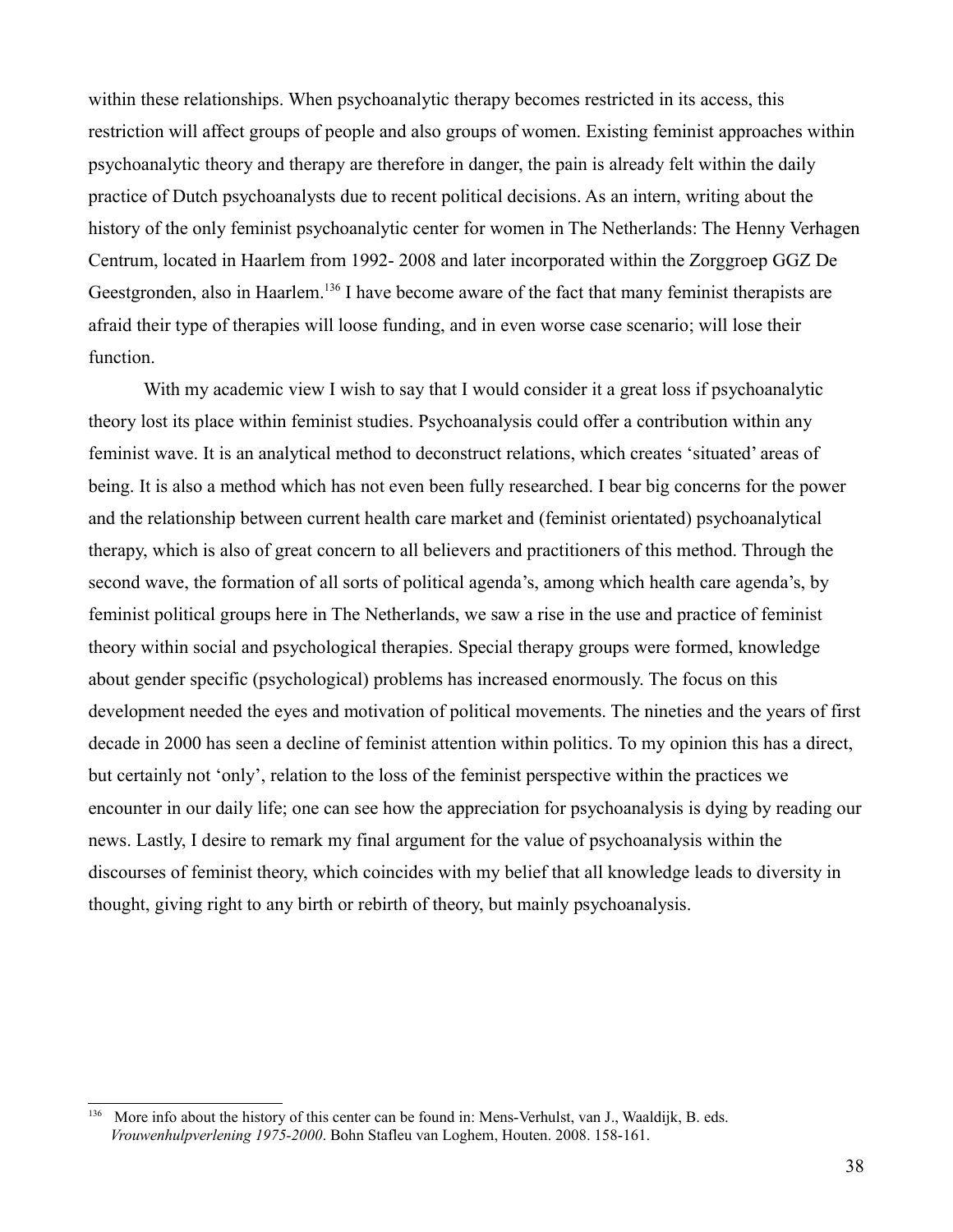within these relationships. When psychoanalytic therapy becomes restricted in its access, this restriction will affect groups of people and also groups of women. Existing feminist approaches within psychoanalytic theory and therapy are therefore in danger, the pain is already felt within the daily practice of Dutch psychoanalysts due to recent political decisions. As an intern, writing about the history of the only feminist psychoanalytic center for women in The Netherlands: The Henny Verhagen Centrum, located in Haarlem from 1992- 2008 and later incorporated within the Zorggroep GGZ De Geestgronden, also in Haarlem.<sup>[136](#page-37-0)</sup> I have become aware of the fact that many feminist therapists are afraid their type of therapies will loose funding, and in even worse case scenario; will lose their function.

With my academic view I wish to say that I would consider it a great loss if psychoanalytic theory lost its place within feminist studies. Psychoanalysis could offer a contribution within any feminist wave. It is an analytical method to deconstruct relations, which creates 'situated' areas of being. It is also a method which has not even been fully researched. I bear big concerns for the power and the relationship between current health care market and (feminist orientated) psychoanalytical therapy, which is also of great concern to all believers and practitioners of this method. Through the second wave, the formation of all sorts of political agenda's, among which health care agenda's, by feminist political groups here in The Netherlands, we saw a rise in the use and practice of feminist theory within social and psychological therapies. Special therapy groups were formed, knowledge about gender specific (psychological) problems has increased enormously. The focus on this development needed the eyes and motivation of political movements. The nineties and the years of first decade in 2000 has seen a decline of feminist attention within politics. To my opinion this has a direct, but certainly not 'only', relation to the loss of the feminist perspective within the practices we encounter in our daily life; one can see how the appreciation for psychoanalysis is dying by reading our news. Lastly, I desire to remark my final argument for the value of psychoanalysis within the discourses of feminist theory, which coincides with my belief that all knowledge leads to diversity in thought, giving right to any birth or rebirth of theory, but mainly psychoanalysis.

<span id="page-37-0"></span><sup>&</sup>lt;sup>136</sup> More info about the history of this center can be found in: Mens-Verhulst, van J., Waaldijk, B. eds. *Vrouwenhulpverlening 1975-2000*. Bohn Stafleu van Loghem, Houten. 2008. 158-161.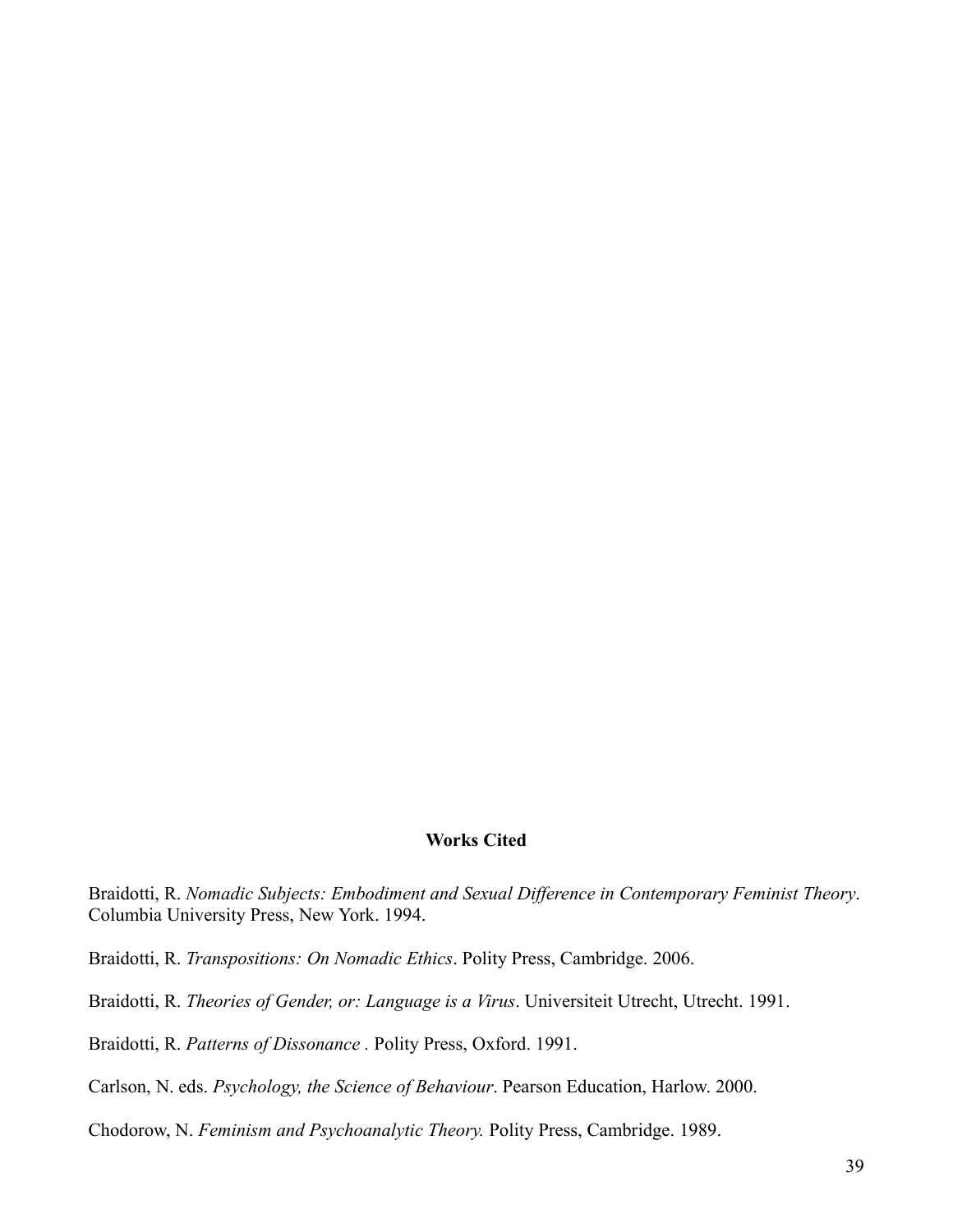## **Works Cited**

Braidotti, R. *Nomadic Subjects: Embodiment and Sexual Difference in Contemporary Feminist Theory*. Columbia University Press, New York. 1994.

Braidotti, R. *Transpositions: On Nomadic Ethics*. Polity Press, Cambridge. 2006.

Braidotti, R. *Theories of Gender, or: Language is a Virus*. Universiteit Utrecht, Utrecht. 1991.

Braidotti, R. *Patterns of Dissonance .* Polity Press, Oxford. 1991.

Carlson, N. eds. *Psychology, the Science of Behaviour*. Pearson Education, Harlow. 2000.

Chodorow, N. *Feminism and Psychoanalytic Theory.* Polity Press, Cambridge. 1989.